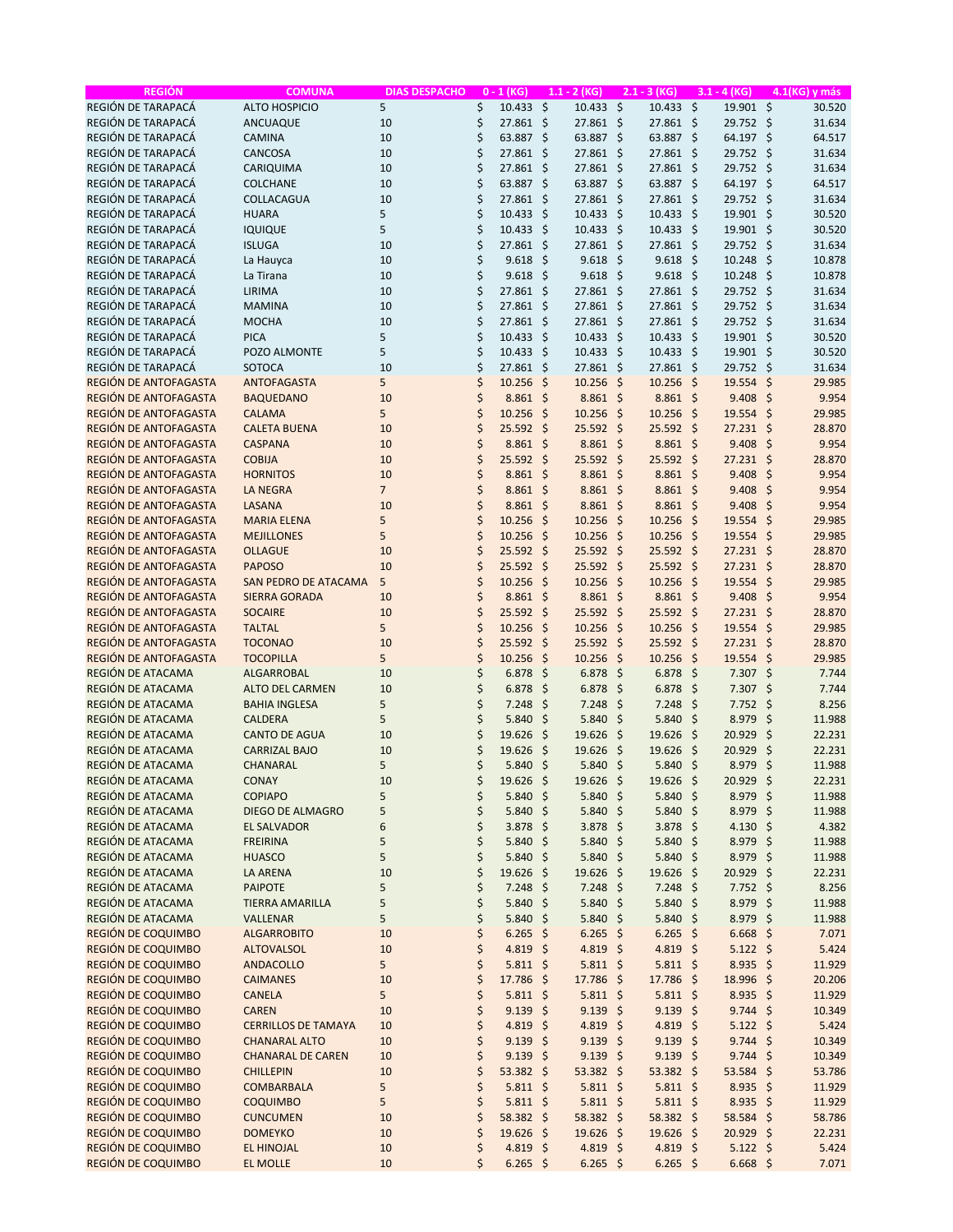| <b>REGIÓN</b>         | <b>COMUNA</b>              | <b>DIAS DESPACHO</b> | $0 - 1$ (KG)      |                     | $1.1 - 2 (KG)$       |              | $2.1 - 3 (KG)$       |         | $3.1 - 4$ (KG)   | 4.1(KG) y más               |
|-----------------------|----------------------------|----------------------|-------------------|---------------------|----------------------|--------------|----------------------|---------|------------------|-----------------------------|
| REGIÓN DE TARAPACÁ    | <b>ALTO HOSPICIO</b>       | 5                    | \$<br>10.433 \$   |                     | 10.433               | -\$          | $10.433 \div$        |         | 19.901 \$        | 30.520                      |
| REGIÓN DE TARAPACÁ    | ANCUAQUE                   | 10                   | \$<br>27.861 \$   |                     | 27.861 \$            |              | 27.861 \$            |         | 29.752 \$        | 31.634                      |
| REGIÓN DE TARAPACÁ    | <b>CAMINA</b>              | 10                   | \$<br>63.887      | \$                  | 63.887 \$            |              | 63.887 \$            |         | 64.197 \$        | 64.517                      |
| REGIÓN DE TARAPACÁ    | CANCOSA                    | 10                   | \$<br>27.861      | -\$                 | 27.861 \$            |              | 27.861 \$            |         | 29.752 \$        | 31.634                      |
| REGIÓN DE TARAPACÁ    | CARIQUIMA                  | 10                   | \$<br>27.861      | -\$                 | 27.861 \$            |              | 27.861 \$            |         | 29.752 \$        | 31.634                      |
| REGIÓN DE TARAPACÁ    | <b>COLCHANE</b>            | 10                   | \$<br>63.887      | $\zeta$             | 63.887 \$            |              | 63.887 \$            |         | 64.197 \$        | 64.517                      |
| REGIÓN DE TARAPACÁ    | COLLACAGUA                 | 10                   | \$<br>27.861      | -\$                 | 27.861 \$            |              | 27.861 \$            |         | 29.752 \$        | 31.634                      |
| REGIÓN DE TARAPACÁ    | <b>HUARA</b>               | 5                    | \$                |                     |                      |              |                      |         |                  |                             |
|                       |                            |                      | 10.433            | -\$                 | $10.433 \; \text{S}$ |              | $10.433 \; \text{S}$ |         | 19.901 \$        | 30.520                      |
| REGIÓN DE TARAPACÁ    | <b>IQUIQUE</b>             | 5                    | \$<br>10.433      | -\$                 | $10.433 \; \text{S}$ |              | $10.433 \div$        |         | 19.901 \$        | 30.520                      |
| REGIÓN DE TARAPACÁ    | <b>ISLUGA</b>              | 10                   | \$<br>27.861      | \$                  | $27.861$ \$          |              | 27.861 \$            |         | 29.752 \$        | 31.634                      |
| REGIÓN DE TARAPACÁ    | La Hauyca                  | 10                   | \$<br>9.618       | \$                  | $9.618$ \$           |              | $9.618$ \$           |         | 10.248           | -\$<br>10.878               |
| REGIÓN DE TARAPACÁ    | La Tirana                  | 10                   | \$<br>9.618       | -\$                 | $9.618 \; \simeq$    |              | $9.618$ \$           |         | 10.248           | -\$<br>10.878               |
| REGIÓN DE TARAPACÁ    | LIRIMA                     | 10                   | \$<br>27.861      | -\$                 | 27.861 \$            |              | 27.861 \$            |         | 29.752 \$        | 31.634                      |
| REGIÓN DE TARAPACÁ    | <b>MAMINA</b>              | 10                   | \$<br>27.861      | -\$                 | $27.861$ \$          |              | 27.861 \$            |         | 29.752 \$        | 31.634                      |
| REGIÓN DE TARAPACÁ    | <b>MOCHA</b>               | 10                   | \$<br>27.861      | -\$                 | 27.861 \$            |              | 27.861 \$            |         | 29.752 \$        | 31.634                      |
| REGIÓN DE TARAPACÁ    | <b>PICA</b>                | 5                    | \$<br>10.433      | \$                  | $10.433 \; \text{S}$ |              | $10.433 \; \text{S}$ |         | 19.901 \$        | 30.520                      |
| REGIÓN DE TARAPACÁ    | POZO ALMONTE               | 5                    | \$<br>10.433      | $\zeta$             | $10.433 \; \text{S}$ |              | $10.433 \div$        |         | 19.901 \$        | 30.520                      |
| REGIÓN DE TARAPACÁ    | SOTOCA                     | 10                   | \$<br>27.861      | -\$                 | $27.861$ \$          |              | 27.861 \$            |         | 29.752 \$        | 31.634                      |
| REGIÓN DE ANTOFAGASTA | <b>ANTOFAGASTA</b>         | 5                    | \$<br>10.256      | $\zeta$             | $10.256$ \$          |              | $10.256$ \$          |         | $19.554$ \$      | 29.985                      |
| REGIÓN DE ANTOFAGASTA | <b>BAQUEDANO</b>           | 10                   | \$<br>8.861       | \$                  | $8.861$ \$           |              | $8.861$ \$           |         | 9.408            | $\ddot{\varsigma}$<br>9.954 |
| REGIÓN DE ANTOFAGASTA | <b>CALAMA</b>              | 5                    | \$<br>10.256      | -\$                 | $10.256$ \$          |              | $10.256$ \$          |         | $19.554$ \$      | 29.985                      |
| REGIÓN DE ANTOFAGASTA | <b>CALETA BUENA</b>        | 10                   | \$<br>25.592      | -\$                 | $25.592$ \$          |              | 25.592 \$            |         | $27.231$ \$      | 28.870                      |
|                       |                            |                      | \$                |                     | $8.861$ \$           |              | $8.861$ \$           |         | $9.408$ \$       |                             |
| REGIÓN DE ANTOFAGASTA | <b>CASPANA</b>             | 10                   | $8.861$ \$        |                     |                      |              |                      |         |                  | 9.954                       |
| REGIÓN DE ANTOFAGASTA | <b>COBIJA</b>              | 10                   | \$<br>25.592      | -\$                 | $25.592$ \$          |              | 25.592 \$            |         | $27.231$ \$      | 28.870                      |
| REGIÓN DE ANTOFAGASTA | <b>HORNITOS</b>            | 10                   | \$<br>$8.861$ \$  |                     | $8.861$ \$           |              | $8.861$ \$           |         | 9.408            | \$<br>9.954                 |
| REGIÓN DE ANTOFAGASTA | <b>LA NEGRA</b>            | $\overline{7}$       | \$<br>$8.861$ \$  |                     | $8.861$ \$           |              | $8.861$ \$           |         | $9.408$ \$       | 9.954                       |
| REGIÓN DE ANTOFAGASTA | LASANA                     | 10                   | \$<br>8.861       | $\zeta$             | $8.861$ \$           |              | $8.861$ \$           |         | 9.408            | \$<br>9.954                 |
| REGIÓN DE ANTOFAGASTA | <b>MARIA ELENA</b>         | 5                    | \$<br>10.256      | $\zeta$             | $10.256$ \$          |              | $10.256$ \$          |         | 19.554           | \$<br>29.985                |
| REGIÓN DE ANTOFAGASTA | <b>MEJILLONES</b>          | 5                    | \$<br>10.256      | \$                  | $10.256$ \$          |              | $10.256$ \$          |         | $19.554$ \$      | 29.985                      |
| REGIÓN DE ANTOFAGASTA | <b>OLLAGUE</b>             | 10                   | \$<br>25.592      | -\$                 | $25.592$ \$          |              | 25.592 \$            |         | $27.231$ \$      | 28.870                      |
| REGIÓN DE ANTOFAGASTA | <b>PAPOSO</b>              | 10                   | \$<br>25.592      | $\ddot{\mathsf{s}}$ | $25.592$ \$          |              | $25.592$ \$          |         | $27.231$ \$      | 28.870                      |
| REGIÓN DE ANTOFAGASTA | SAN PEDRO DE ATACAMA       | 5                    | \$<br>10.256      | -\$                 | $10.256$ \$          |              | $10.256$ \$          |         | 19.554 \$        | 29.985                      |
| REGIÓN DE ANTOFAGASTA | <b>SIERRA GORADA</b>       | 10                   | \$<br>8.861       | -\$                 | $8.861$ \$           |              | $8.861$ \$           |         | $9.408$ \$       | 9.954                       |
| REGIÓN DE ANTOFAGASTA | <b>SOCAIRE</b>             | 10                   | \$<br>25.592      | $\zeta$             | 25.592 \$            |              | 25.592 \$            |         | $27.231$ \$      | 28.870                      |
| REGIÓN DE ANTOFAGASTA | <b>TALTAL</b>              | 5                    | \$<br>10.256      | $\zeta$             | $10.256$ \$          |              | $10.256$ \$          |         | 19.554           | $\zeta$<br>29.985           |
| REGIÓN DE ANTOFAGASTA | <b>TOCONAO</b>             | 10                   | \$<br>25.592      | $\zeta$             | $25.592$ \$          |              | 25.592 \$            |         | $27.231$ \$      | 28.870                      |
| REGIÓN DE ANTOFAGASTA | <b>TOCOPILLA</b>           | 5                    | \$<br>10.256      | -\$                 | $10.256$ \$          |              | $10.256$ \$          |         | $19.554$ \$      | 29.985                      |
|                       |                            |                      |                   |                     |                      |              |                      |         |                  |                             |
| REGIÓN DE ATACAMA     | ALGARROBAL                 | 10                   | \$<br>6.878       | -\$                 | $6.878$ \$           |              | $6.878$ \$           |         | $7.307$ \$       | 7.744                       |
| REGIÓN DE ATACAMA     | <b>ALTO DEL CARMEN</b>     | 10                   | \$<br>6.878       | $\zeta$             | $6.878$ \$           |              | 6.878                | $\zeta$ | 7.307            | \$<br>7.744                 |
| REGIÓN DE ATACAMA     | <b>BAHIA INGLESA</b>       | 5                    | \$<br>7.248       | \$                  | 7.248                | -\$          | 7.248                | -\$     | $7.752 \div$     | 8.256                       |
| REGIÓN DE ATACAMA     | <b>CALDERA</b>             | 5                    | \$<br>5.840       | \$                  | 5.840                | -\$          | 5.840%               |         | 8.979            | \$<br>11.988                |
| REGIÓN DE ATACAMA     | <b>CANTO DE AGUA</b>       | 10                   | \$<br>19.626      | $\zeta$             | 19.626               | $\mathsf{S}$ | 19.626               | $\zeta$ | 20.929           | \$<br>22.231                |
| REGIÓN DE ATACAMA     | <b>CARRIZAL BAJO</b>       | 10                   | \$<br>19.626      | \$                  | 19.626 \$            |              | 19.626 \$            |         | 20.929           | -\$<br>22.231               |
| REGIÓN DE ATACAMA     | CHANARAL                   | 5                    | \$<br>5.840       | -\$                 | $5.840 \; \simeq$    |              | 5.840 \$             |         | 8.979            | \$<br>11.988                |
| REGIÓN DE ATACAMA     | CONAY                      | 10                   | \$<br>$19.626$ \$ |                     | $19.626$ \$          |              | $19.626$ \$          |         | $20.929$ \$      | 22.231                      |
| REGIÓN DE ATACAMA     | <b>COPIAPO</b>             | 5                    | \$<br>5.840       | \$                  | $5.840 \; \simeq$    |              | 5.840%               |         | 8.979 \$         | 11.988                      |
| REGIÓN DE ATACAMA     | <b>DIEGO DE ALMAGRO</b>    | 5                    | \$<br>5.840 \$    |                     | $5.840$ \$           |              | 5.840 \$             |         | 8.979 \$         | 11.988                      |
| REGIÓN DE ATACAMA     | <b>EL SALVADOR</b>         | 6                    | \$<br>3.878 \$    |                     | $3.878$ \$           |              | 3.878 \$             |         | 4.130 \$         | 4.382                       |
| REGIÓN DE ATACAMA     | <b>FREIRINA</b>            | 5                    | \$<br>5.840       | -\$                 | 5.840 \$             |              | 5.840 \$             |         | 8.979 \$         | 11.988                      |
| REGIÓN DE ATACAMA     | <b>HUASCO</b>              | 5                    | \$<br>5.840       | -\$                 | $5.840$ \$           |              | 5.840 \$             |         | 8.979 \$         | 11.988                      |
| REGIÓN DE ATACAMA     | <b>LA ARENA</b>            | 10                   | \$<br>19.626 \$   |                     | 19.626 \$            |              | 19.626 \$            |         | 20.929 \$        | 22.231                      |
| REGIÓN DE ATACAMA     | <b>PAIPOTE</b>             | 5                    | \$<br>7.248       | -\$                 | $7.248$ \$           |              | $7.248$ \$           |         | $7.752$ \$       | 8.256                       |
|                       |                            |                      |                   |                     |                      |              |                      |         |                  |                             |
| REGIÓN DE ATACAMA     | <b>TIERRA AMARILLA</b>     | 5                    | \$<br>5.840       | $\zeta$             | $5.840$ \$           |              | 5.840%               |         | 8.979            | -\$<br>11.988               |
| REGIÓN DE ATACAMA     | VALLENAR                   | 5                    | \$<br>5.840       | -\$                 | $5.840$ \$           |              | 5.840 \$             |         | 8.979 \$         | 11.988                      |
| REGIÓN DE COQUIMBO    | <b>ALGARROBITO</b>         | 10                   | \$<br>$6.265$ \$  |                     | $6.265$ \$           |              | $6.265$ \$           |         | $6.668$ \$       | 7.071                       |
| REGIÓN DE COQUIMBO    | <b>ALTOVALSOL</b>          | 10                   | \$<br>$4.819$ \$  |                     | 4.819 \$             |              | 4.819 \$             |         | $5.122$ \$       | 5.424                       |
| REGIÓN DE COQUIMBO    | <b>ANDACOLLO</b>           | 5                    | \$<br>$5.811$ \$  |                     | $5.811$ \$           |              | $5.811$ \$           |         | $8.935$ \$       | 11.929                      |
| REGIÓN DE COQUIMBO    | <b>CAIMANES</b>            | 10                   | \$<br>17.786 \$   |                     | 17.786 \$            |              | 17.786 \$            |         | 18.996 \$        | 20.206                      |
| REGIÓN DE COQUIMBO    | <b>CANELA</b>              | 5                    | \$<br>$5.811$ \$  |                     | $5.811$ \$           |              | $5.811$ \$           |         | $8.935$ \$       | 11.929                      |
| REGIÓN DE COQUIMBO    | <b>CAREN</b>               | 10                   | \$<br>$9.139$ \$  |                     | $9.139$ \$           |              | $9.139$ \$           |         | $9.744$ \$       | 10.349                      |
| REGIÓN DE COQUIMBO    | <b>CERRILLOS DE TAMAYA</b> | 10                   | \$<br>4.819 \$    |                     | 4.819 \$             |              | 4.819 \$             |         | $5.122$ \$       | 5.424                       |
| REGIÓN DE COQUIMBO    | <b>CHANARAL ALTO</b>       | 10                   | \$<br>$9.139$ \$  |                     | $9.139$ \$           |              | $9.139$ \$           |         | $9.744 \text{ }$ | 10.349                      |
| REGIÓN DE COQUIMBO    | <b>CHANARAL DE CAREN</b>   | 10                   | \$<br>$9.139$ \$  |                     | $9.139$ \$           |              | $9.139$ \$           |         | $9.744 \text{ }$ | 10.349                      |
| REGIÓN DE COQUIMBO    | <b>CHILLEPIN</b>           | 10                   | \$<br>53.382 \$   |                     | 53.382 \$            |              | 53.382 \$            |         | $53.584$ \$      | 53.786                      |
| REGIÓN DE COQUIMBO    | <b>COMBARBALA</b>          | 5                    | \$<br>$5.811$ \$  |                     | $5.811$ \$           |              | $5.811$ \$           |         | $8.935$ \$       | 11.929                      |
| REGIÓN DE COQUIMBO    | <b>COQUIMBO</b>            | 5                    | \$<br>$5.811$ \$  |                     | $5.811$ \$           |              | $5.811$ \$           |         | $8.935$ \$       | 11.929                      |
| REGIÓN DE COQUIMBO    | <b>CUNCUMEN</b>            | 10                   | \$<br>58.382 \$   |                     | 58.382 \$            |              | 58.382 \$            |         | 58.584 \$        | 58.786                      |
| REGIÓN DE COQUIMBO    |                            |                      |                   |                     |                      |              |                      |         |                  |                             |
|                       | <b>DOMEYKO</b>             | 10                   | \$<br>19.626 \$   |                     | $19.626$ \$          |              | 19.626 \$            |         | 20.929 \$        | 22.231                      |
| REGIÓN DE COQUIMBO    | <b>EL HINOJAL</b>          | 10                   | \$<br>4.819 \$    |                     | 4.819 \$             |              | 4.819 \$             |         | $5.122$ \$       | 5.424                       |
| REGIÓN DE COQUIMBO    | <b>EL MOLLE</b>            | 10                   | \$<br>$6.265$ \$  |                     | $6.265$ \$           |              | $6.265$ \$           |         | $6.668$ \$       | 7.071                       |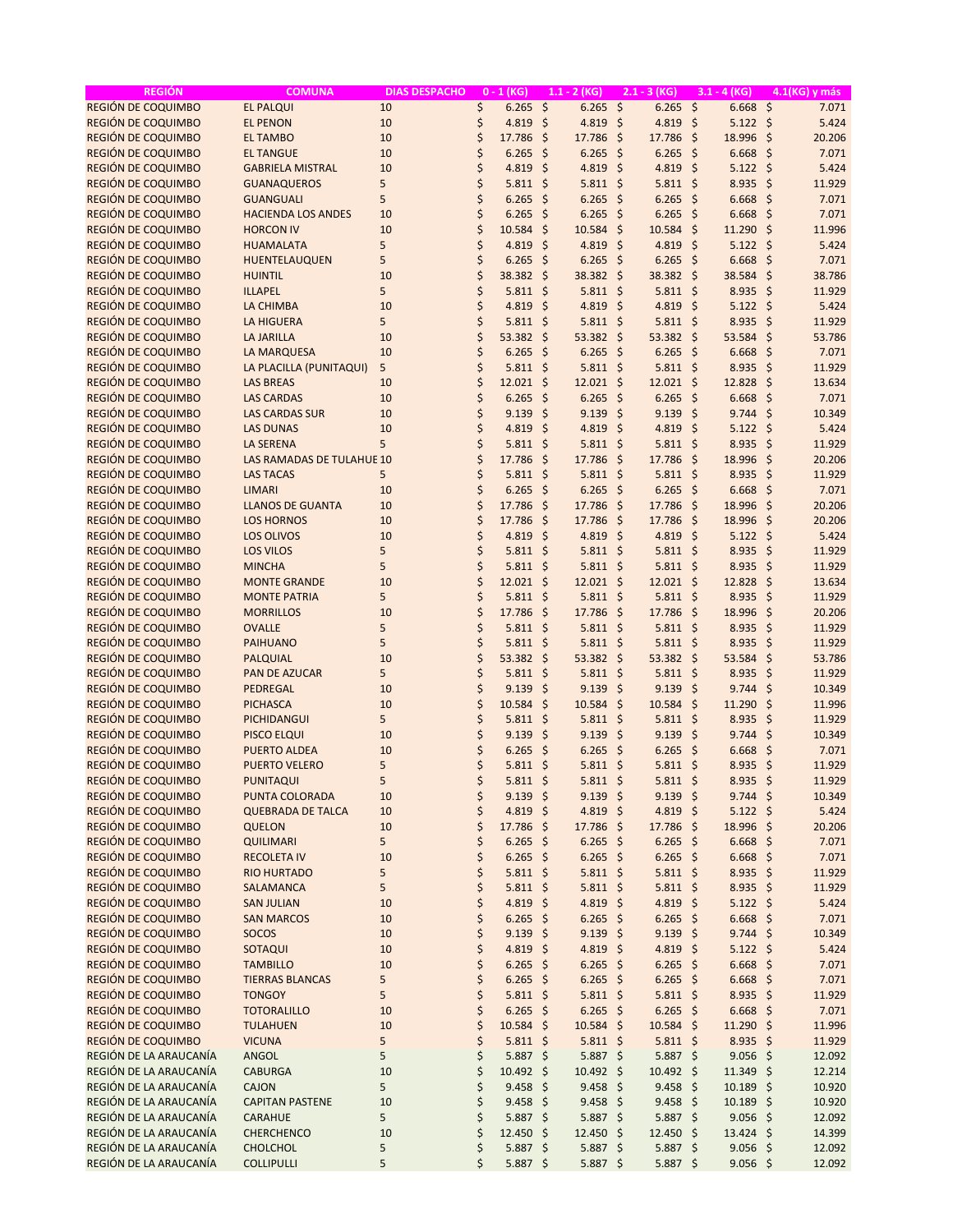| <b>REGIÓN</b>          | <b>COMUNA</b>             | <b>DIAS DESPACHO</b> | $0 - 1$ (KG)     |                     | $1.1 - 2 (KG)$      |                     | $2.1 - 3 (KG)$ |         | $3.1 - 4 (KG)$    |                     | 4.1(KG) y más |
|------------------------|---------------------------|----------------------|------------------|---------------------|---------------------|---------------------|----------------|---------|-------------------|---------------------|---------------|
| REGIÓN DE COQUIMBO     | <b>EL PALQUI</b>          | 10                   | \$<br>$6.265$ \$ |                     | 6.265               | $\zeta$             | $6.265$ \$     |         | $6.668$ \$        |                     | 7.071         |
| REGIÓN DE COQUIMBO     | <b>EL PENON</b>           | 10                   | \$<br>4.819      | $\zeta$             | 4.819               | $\ddot{\mathsf{S}}$ | 4.819 \$       |         | $5.122$ \$        |                     | 5.424         |
| REGIÓN DE COQUIMBO     | <b>EL TAMBO</b>           | 10                   | \$<br>17.786     | $\zeta$             | 17.786 \$           |                     | 17.786         | $\zeta$ | 18.996 \$         |                     | 20.206        |
| REGIÓN DE COQUIMBO     | <b>EL TANGUE</b>          | 10                   | \$<br>6.265      | $\zeta$             | $6.265$ \$          |                     | $6.265$ \$     |         | $6.668$ \$        |                     | 7.071         |
| REGIÓN DE COQUIMBO     | <b>GABRIELA MISTRAL</b>   | 10                   | \$<br>4.819      | $\zeta$             | 4.819 \$            |                     | 4.819 \$       |         | $5.122$ \$        |                     | 5.424         |
| REGIÓN DE COQUIMBO     | <b>GUANAQUEROS</b>        | 5                    | \$<br>5.811      | $\zeta$             | $5.811 \; \S$       |                     | $5.811$ \$     |         | 8.935             | \$                  | 11.929        |
| REGIÓN DE COQUIMBO     | <b>GUANGUALI</b>          | 5                    | \$<br>6.265      | $\zeta$             | $6.265$ \$          |                     | $6.265$ \$     |         | 6.668             | \$                  | 7.071         |
| REGIÓN DE COQUIMBO     | <b>HACIENDA LOS ANDES</b> | 10                   | \$<br>6.265      | $\zeta$             | 6.265               | -\$                 | $6.265$ \$     |         | 6.668             | -\$                 | 7.071         |
| REGIÓN DE COQUIMBO     | <b>HORCON IV</b>          | 10                   | \$<br>10.584     | $\zeta$             | 10.584              | $\zeta$             | 10.584         | $\zeta$ | 11.290            | $\zeta$             | 11.996        |
| REGIÓN DE COQUIMBO     | <b>HUAMALATA</b>          | 5                    | \$<br>4.819      | $\zeta$             | 4.819               | -\$                 | 4.819          | $\zeta$ | $5.122$ \$        |                     | 5.424         |
| REGIÓN DE COQUIMBO     | HUENTELAUQUEN             | 5                    | \$<br>6.265      | \$                  | $6.265$ \$          |                     | $6.265$ \$     |         | 6.668             | $\ddot{\varsigma}$  | 7.071         |
| REGIÓN DE COQUIMBO     | <b>HUINTIL</b>            | 10                   | \$<br>38.382     | $\zeta$             | 38.382 \$           |                     | 38.382 \$      |         | 38.584            | \$                  | 38.786        |
| REGIÓN DE COQUIMBO     | <b>ILLAPEL</b>            | 5                    | \$<br>5.811      | $\zeta$             | $5.811 \; \S$       |                     | $5.811$ \$     |         | 8.935             | $\zeta$             | 11.929        |
| REGIÓN DE COQUIMBO     | <b>LA CHIMBA</b>          | 10                   | \$<br>4.819      | $\zeta$             | 4.819 \$            |                     | 4.819          | $\zeta$ | $5.122 \div$      |                     | 5.424         |
| REGIÓN DE COQUIMBO     | <b>LA HIGUERA</b>         | 5                    | \$<br>5.811      | -\$                 | $5.811$ \$          |                     | $5.811$ \$     |         | 8.935             | $\ddot{\mathsf{s}}$ | 11.929        |
| REGIÓN DE COQUIMBO     | <b>LA JARILLA</b>         | 10                   | \$<br>53.382     | $\zeta$             | $53.382 \quad $$    |                     | 53.382 \$      |         | 53.584            | \$                  | 53.786        |
| REGIÓN DE COQUIMBO     | <b>LA MARQUESA</b>        | 10                   | \$<br>6.265      | $\zeta$             | $6.265$ \$          |                     | $6.265$ \$     |         | 6.668             | \$                  | 7.071         |
| REGIÓN DE COQUIMBO     | LA PLACILLA (PUNITAQUI)   | 5                    | \$<br>$5.811$ \$ |                     | $5.811$ \$          |                     | $5.811$ \$     |         | 8.935 \$          |                     | 11.929        |
| REGIÓN DE COQUIMBO     | <b>LAS BREAS</b>          | 10                   | \$<br>12.021     | -\$                 | $12.021$ \$         |                     | $12.021$ \$    |         | 12.828            | - \$                | 13.634        |
| REGIÓN DE COQUIMBO     | <b>LAS CARDAS</b>         | 10                   | \$<br>6.265      | $\ddot{\mathsf{s}}$ | $6.265$ \$          |                     | $6.265$ \$     |         | $6.668$ \$        |                     | 7.071         |
| REGIÓN DE COQUIMBO     | <b>LAS CARDAS SUR</b>     | 10                   | \$<br>9.139      | $\zeta$             | 9.139               | $\zeta$             | $9.139$ \$     |         | $9.744$ \$        |                     | 10.349        |
| REGIÓN DE COQUIMBO     | <b>LAS DUNAS</b>          | 10                   | \$<br>4.819      | $\zeta$             | 4.819 \$            |                     | 4.819 \$       |         | $5.122$ \$        |                     | 5.424         |
| REGIÓN DE COQUIMBO     | <b>LA SERENA</b>          | 5                    | \$<br>5.811      | $\zeta$             | $5.811$ \$          |                     | $5.811$ \$     |         | 8.935             | $\zeta$             | 11.929        |
| REGIÓN DE COQUIMBO     | LAS RAMADAS DE TULAHUE 10 |                      | \$<br>17.786     | $\zeta$             | 17.786              | -\$                 | 17.786 \$      |         | 18.996            | $\zeta$             | 20.206        |
| REGIÓN DE COQUIMBO     | <b>LAS TACAS</b>          | 5                    | \$<br>5.811      | -\$                 | $5.811 \; \text{S}$ |                     | $5.811$ \$     |         | 8.935             | -\$                 | 11.929        |
| REGIÓN DE COQUIMBO     | <b>LIMARI</b>             | 10                   | \$<br>6.265      | $\zeta$             | $6.265$ \$          |                     | $6.265$ \$     |         | 6.668             | $\zeta$             | 7.071         |
| REGIÓN DE COQUIMBO     | <b>LLANOS DE GUANTA</b>   | 10                   | \$<br>17.786     | $\zeta$             | 17.786 \$           |                     | 17.786 \$      |         | 18.996 \$         |                     | 20.206        |
| REGIÓN DE COQUIMBO     | <b>LOS HORNOS</b>         | 10                   | \$<br>17.786     | $\zeta$             | 17.786 \$           |                     | 17.786         | $\zeta$ | 18.996            | -\$                 | 20.206        |
| REGIÓN DE COQUIMBO     | <b>LOS OLIVOS</b>         | 10                   | \$<br>4.819      | $\ddot{\mathsf{s}}$ | 4.819 \$            |                     | 4.819 \$       |         | $5.122$ \$        |                     | 5.424         |
| REGIÓN DE COQUIMBO     | <b>LOS VILOS</b>          | 5                    | \$<br>5.811      | $\zeta$             | $5.811$ \$          |                     | $5.811$ \$     |         | 8.935             | -\$                 | 11.929        |
| REGIÓN DE COQUIMBO     | <b>MINCHA</b>             | 5                    | \$<br>5.811      | $\zeta$             | $5.811$ \$          |                     | $5.811$ \$     |         | 8.935             | $\zeta$             | 11.929        |
| REGIÓN DE COQUIMBO     | <b>MONTE GRANDE</b>       | 10                   | \$<br>12.021     | \$                  | $12.021$ \$         |                     | $12.021$ \$    |         | 12.828            | \$                  | 13.634        |
| REGIÓN DE COQUIMBO     | <b>MONTE PATRIA</b>       | 5                    | \$<br>$5.811$ \$ |                     | $5.811$ \$          |                     | $5.811$ \$     |         | 8.935             | $\ddot{\varsigma}$  | 11.929        |
| REGIÓN DE COQUIMBO     | <b>MORRILLOS</b>          | 10                   | \$<br>17.786     | $\zeta$             | 17.786 \$           |                     | 17.786 \$      |         | 18.996            | $\ddot{\varsigma}$  | 20.206        |
| REGIÓN DE COQUIMBO     | <b>OVALLE</b>             | 5                    | \$<br>$5.811$ \$ |                     | $5.811$ \$          |                     | $5.811$ \$     |         | 8.935             | - \$                | 11.929        |
| REGIÓN DE COQUIMBO     | <b>PAIHUANO</b>           | 5                    | \$<br>5.811      | -\$                 | $5.811 \; \text{S}$ |                     | $5.811$ \$     |         | 8.935             | $\ddot{\varsigma}$  | 11.929        |
| REGIÓN DE COQUIMBO     | <b>PALQUIAL</b>           | 10                   | \$<br>53.382     | -\$                 | $53.382 \div$       |                     | 53.382 \$      |         | 53.584            | \$                  | 53.786        |
| REGIÓN DE COQUIMBO     | <b>PAN DE AZUCAR</b>      | 5                    | \$<br>5.811      | -\$                 | $5.811 \; \text{S}$ |                     | $5.811$ \$     |         | $8.935$ \$        |                     | 11.929        |
| REGIÓN DE COQUIMBO     | PEDREGAL                  | 10                   | \$<br>9.139      | $\zeta$             | 9.139               | -\$                 | $9.139$ \$     |         | 9.744             | \$                  | 10.349        |
| REGIÓN DE COQUIMBO     | <b>PICHASCA</b>           | 10                   | \$<br>10.584     | $\zeta$             | $10.584$ \$         |                     | 10.584 \$      |         | 11.290            | $\zeta$             | 11.996        |
| REGIÓN DE COQUIMBO     | PICHIDANGUI               | 5                    | \$<br>5.811      | -\$                 | $5.811 \; \text{S}$ |                     | $5.811$ \$     |         | $8.935$ \$        |                     | 11.929        |
| REGIÓN DE COQUIMBO     | <b>PISCO ELQUI</b>        | 10                   | \$<br>9.139      | $\zeta$             | 9.139               | $\zeta$             | 9.139          | $\zeta$ | $9.744$ \$        |                     | 10.349        |
| REGIÓN DE COQUIMBO     | <b>PUERTO ALDEA</b>       | 10                   | \$<br>6.265      | $\ddot{\mathsf{s}}$ | $6.265$ \$          |                     | $6.265$ \$     |         | $6.668$ \$        |                     | 7.071         |
| REGIÓN DE COQUIMBO     | <b>PUERTO VELERO</b>      | 5                    | \$<br>$5.811$ \$ |                     | $5.811 \; \text{S}$ |                     | $5.811$ \$     |         | $8.935$ \$        |                     | 11.929        |
| REGIÓN DE COQUIMBO     | <b>PUNITAQUI</b>          | 5                    | \$<br>$5.811$ \$ |                     | 5.811               | \$                  | $5.811$ \$     |         | 8.935 \$          |                     | 11.929        |
| REGIÓN DE COQUIMBO     | PUNTA COLORADA            | 10                   | \$<br>$9.139$ \$ |                     | $9.139$ \$          |                     | $9.139$ \$     |         | $9.744$ \$        |                     | 10.349        |
| REGIÓN DE COQUIMBO     | <b>QUEBRADA DE TALCA</b>  | 10                   | \$<br>4.819 \$   |                     | 4.819 \$            |                     | 4.819 \$       |         | $5.122$ \$        |                     | 5.424         |
| REGIÓN DE COQUIMBO     | <b>QUELON</b>             | 10                   | \$<br>17.786 \$  |                     | 17.786 \$           |                     | 17.786 \$      |         | 18.996 \$         |                     | 20.206        |
| REGIÓN DE COQUIMBO     | <b>QUILIMARI</b>          | 5                    | \$<br>$6.265$ \$ |                     | $6.265$ \$          |                     | $6.265$ \$     |         | $6.668$ \$        |                     | 7.071         |
| REGIÓN DE COQUIMBO     | <b>RECOLETA IV</b>        | 10                   | \$<br>$6.265$ \$ |                     | $6.265$ \$          |                     | $6.265$ \$     |         | $6.668$ \$        |                     | 7.071         |
| REGIÓN DE COQUIMBO     | <b>RIO HURTADO</b>        | 5                    | \$<br>$5.811$ \$ |                     | $5.811$ \$          |                     | $5.811$ \$     |         | $8.935$ \$        |                     | 11.929        |
| REGIÓN DE COQUIMBO     | SALAMANCA                 | 5                    | \$<br>$5.811$ \$ |                     | $5.811$ \$          |                     | $5.811$ \$     |         | $8.935$ \$        |                     | 11.929        |
| REGIÓN DE COQUIMBO     | <b>SAN JULIAN</b>         | 10                   | \$<br>$4.819$ \$ |                     | 4.819 \$            |                     | 4.819 \$       |         | $5.122 \div$      |                     | 5.424         |
| REGIÓN DE COQUIMBO     | <b>SAN MARCOS</b>         | 10                   | \$<br>$6.265$ \$ |                     | $6.265$ \$          |                     | $6.265$ \$     |         | $6.668$ \$        |                     | 7.071         |
| REGIÓN DE COQUIMBO     | <b>SOCOS</b>              | 10                   | \$<br>$9.139$ \$ |                     | $9.139$ \$          |                     | $9.139$ \$     |         | $9.744$ \$        |                     | 10.349        |
| REGIÓN DE COQUIMBO     | SOTAQUI                   | 10                   | \$<br>$4.819$ \$ |                     | 4.819 \$            |                     | 4.819 \$       |         | $5.122 \div$      |                     | 5.424         |
| REGIÓN DE COQUIMBO     | <b>TAMBILLO</b>           | 10                   | \$<br>$6.265$ \$ |                     | $6.265$ \$          |                     | $6.265$ \$     |         | $6.668$ \$        |                     | 7.071         |
| REGIÓN DE COQUIMBO     | <b>TIERRAS BLANCAS</b>    | 5                    | \$<br>$6.265$ \$ |                     | $6.265$ \$          |                     | $6.265$ \$     |         | $6.668$ \$        |                     | 7.071         |
| REGIÓN DE COQUIMBO     | <b>TONGOY</b>             | 5                    | \$<br>$5.811$ \$ |                     | $5.811$ \$          |                     | $5.811$ \$     |         | $8.935$ \$        |                     | 11.929        |
| REGIÓN DE COQUIMBO     | <b>TOTORALILLO</b>        | 10                   | \$<br>$6.265$ \$ |                     | $6.265$ \$          |                     | $6.265$ \$     |         | $6.668$ \$        |                     | 7.071         |
| REGIÓN DE COQUIMBO     | <b>TULAHUEN</b>           | 10                   | \$<br>10.584 \$  |                     | 10.584 \$           |                     | 10.584 \$      |         | 11.290 \$         |                     | 11.996        |
| REGIÓN DE COQUIMBO     | <b>VICUNA</b>             | 5                    | \$<br>$5.811$ \$ |                     | $5.811$ \$          |                     | $5.811$ \$     |         | $8.935$ \$        |                     | 11.929        |
| REGIÓN DE LA ARAUCANÍA | <b>ANGOL</b>              | 5                    | \$<br>$5.887$ \$ |                     | $5.887$ \$          |                     | 5.887 \$       |         | $9.056$ \$        |                     | 12.092        |
| REGIÓN DE LA ARAUCANÍA | <b>CABURGA</b>            | 10                   | \$<br>10.492 \$  |                     | 10.492 \$           |                     | 10.492 \$      |         | $11.349 \text{ }$ |                     | 12.214        |
| REGIÓN DE LA ARAUCANÍA | CAJON                     | 5                    | \$<br>$9.458$ \$ |                     | $9.458$ \$          |                     | $9.458$ \$     |         | $10.189$ \$       |                     | 10.920        |
| REGIÓN DE LA ARAUCANÍA | <b>CAPITAN PASTENE</b>    | 10                   | \$<br>$9.458$ \$ |                     | $9.458$ \$          |                     | $9.458$ \$     |         | $10.189$ \$       |                     | 10.920        |
| REGIÓN DE LA ARAUCANÍA | <b>CARAHUE</b>            | 5                    | \$<br>$5.887$ \$ |                     | $5.887$ \$          |                     | 5.887 \$       |         | $9.056$ \$        |                     | 12.092        |
| REGIÓN DE LA ARAUCANÍA | <b>CHERCHENCO</b>         | 10                   | \$<br>12.450 \$  |                     | 12.450 \$           |                     | 12.450 \$      |         | $13.424$ \$       |                     | 14.399        |
| REGIÓN DE LA ARAUCANÍA | CHOLCHOL                  | 5                    | \$<br>$5.887$ \$ |                     | 5.887 \$            |                     | $5.887$ \$     |         | $9.056$ \$        |                     | 12.092        |
| REGIÓN DE LA ARAUCANÍA | <b>COLLIPULLI</b>         | 5                    | \$<br>$5.887$ \$ |                     | $5.887$ \$          |                     | $5.887$ \$     |         | $9.056$ \$        |                     | 12.092        |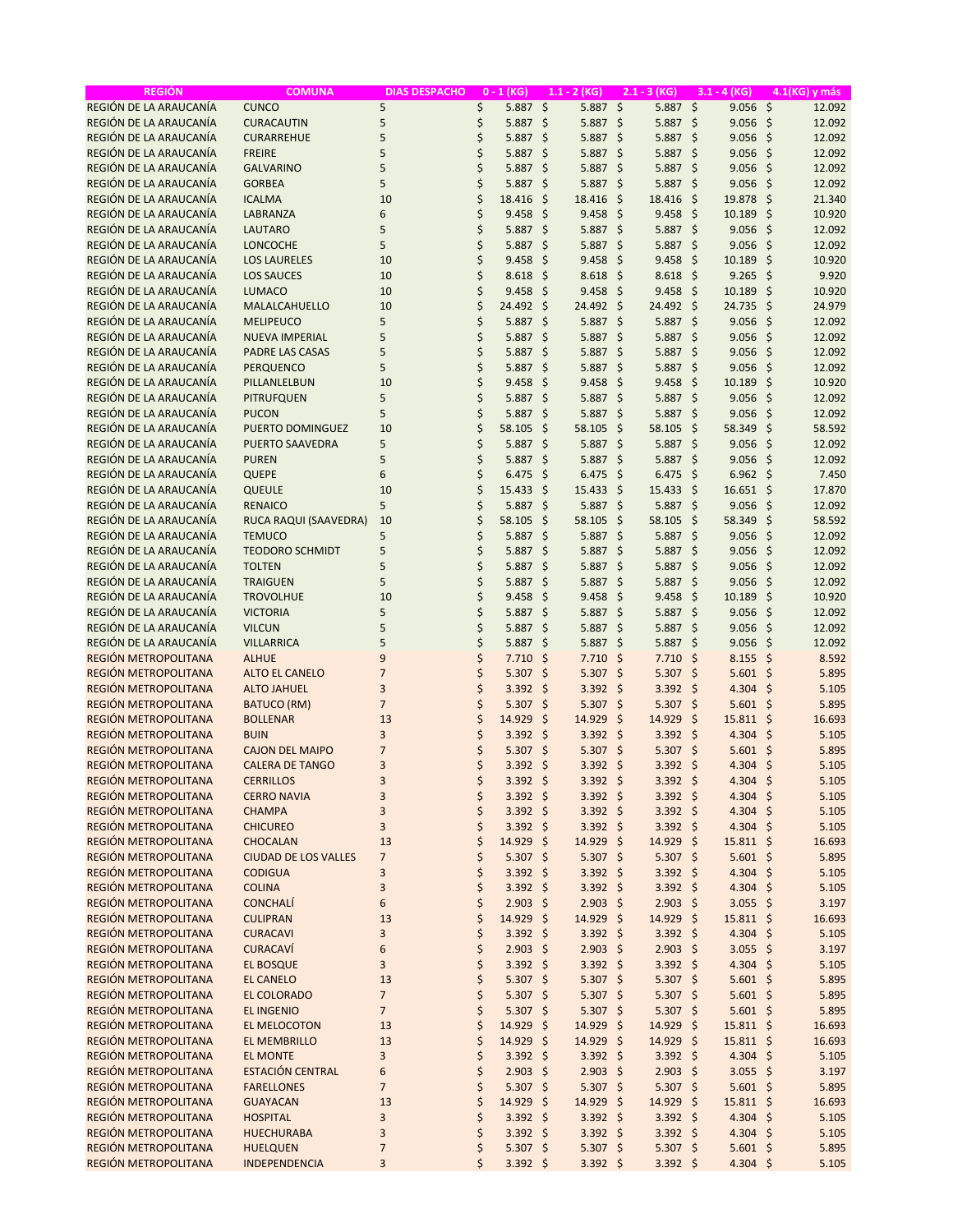| <b>REGIÓN</b>                                | <b>COMUNA</b>                                 | <b>DIAS DESPACHO</b> |          | $0 - 1$ (KG)               |         | $1.1 - 2$ (KG)           |                     | $2.1 - 3$ (KG)           |      | $3.1 - 4$ (KG)         |                     | 4.1(KG) y más  |
|----------------------------------------------|-----------------------------------------------|----------------------|----------|----------------------------|---------|--------------------------|---------------------|--------------------------|------|------------------------|---------------------|----------------|
| REGIÓN DE LA ARAUCANÍA                       | <b>CUNCO</b>                                  | 5                    | \$       | $5.887$ \$                 |         | 5.887                    | $\ddot{\mathsf{S}}$ | $5.887$ \$               |      | $9.056$ \$             |                     | 12.092         |
| REGIÓN DE LA ARAUCANÍA                       | <b>CURACAUTIN</b>                             | 5                    | \$       | 5.887                      | $\zeta$ | 5.887                    | \$                  | $5.887$ \$               |      | $9.056$ \$             |                     | 12.092         |
| REGIÓN DE LA ARAUCANÍA                       | <b>CURARREHUE</b>                             | 5                    | \$       | 5.887                      | \$      | 5.887                    | \$                  | 5.887 \$                 |      | $9.056$ \$             |                     | 12.092         |
| REGIÓN DE LA ARAUCANÍA                       | <b>FREIRE</b>                                 | 5                    | \$       | 5.887                      | \$      | $5.887$ \$               |                     | $5.887$ \$               |      | $9.056$ \$             |                     | 12.092         |
| REGIÓN DE LA ARAUCANÍA                       | <b>GALVARINO</b>                              | 5                    | \$       | 5.887                      | $\zeta$ | 5.887 \$                 |                     | $5.887$ \$               |      | $9.056$ \$             |                     | 12.092         |
| REGIÓN DE LA ARAUCANÍA                       | <b>GORBEA</b>                                 | 5                    | \$       | 5.887                      | \$      | $5.887$ \$               |                     | 5.887 \$                 |      | $9.056$ \$             |                     | 12.092         |
| REGIÓN DE LA ARAUCANÍA                       | <b>ICALMA</b>                                 | 10                   | \$       | 18.416                     | \$      | 18.416                   | -\$                 | 18.416 \$                |      | 19.878 \$              |                     | 21.340         |
| REGIÓN DE LA ARAUCANÍA                       | LABRANZA                                      | 6                    | \$       | 9.458                      | $\zeta$ | 9.458                    | -\$                 | $9.458$ \$               |      | 10.189                 | -\$                 | 10.920         |
| REGIÓN DE LA ARAUCANÍA                       | <b>LAUTARO</b>                                | 5                    | \$       | 5.887                      | \$      | $5.887$ \$               |                     | 5.887 \$                 |      | 9.056                  | $\zeta$             | 12.092         |
| REGIÓN DE LA ARAUCANÍA                       | <b>LONCOCHE</b>                               | 5                    | \$       | 5.887                      | \$      | $5.887$ \$               |                     | $5.887$ \$               |      | 9.056                  | -\$                 | 12.092         |
| REGIÓN DE LA ARAUCANÍA                       | <b>LOS LAURELES</b>                           | 10                   | \$       | 9.458                      | \$      | 9.458                    | -\$                 | 9.458                    | -\$  | 10.189                 | -\$                 | 10.920         |
| REGIÓN DE LA ARAUCANÍA                       | <b>LOS SAUCES</b>                             | 10                   | \$       | 8.618                      | \$      | $8.618$ \$               |                     | $8.618$ \$               |      | 9.265                  | $\ddot{\varsigma}$  | 9.920          |
| REGIÓN DE LA ARAUCANÍA                       | <b>LUMACO</b>                                 | 10                   | \$       | 9.458                      | \$      | 9.458                    | -\$                 | $9.458$ \$               |      | 10.189                 | $\mathsf{S}$        | 10.920         |
| REGIÓN DE LA ARAUCANÍA                       | MALALCAHUELLO                                 | 10                   | \$       | 24.492                     | $\zeta$ | 24.492 \$                |                     | 24.492 \$                |      | 24.735                 | -\$                 | 24.979         |
| REGIÓN DE LA ARAUCANÍA                       | <b>MELIPEUCO</b>                              | 5                    | \$       | 5.887                      | $\zeta$ | $5.887$ \$               |                     | $5.887$ \$               |      | $9.056$ \$             |                     | 12.092         |
| REGIÓN DE LA ARAUCANÍA                       | <b>NUEVA IMPERIAL</b>                         | 5                    | \$       | 5.887                      | $\zeta$ | $5.887$ \$               |                     | $5.887$ \$               |      | 9.056                  | -\$                 | 12.092         |
| REGIÓN DE LA ARAUCANÍA                       | <b>PADRE LAS CASAS</b>                        | 5                    | \$       | 5.887                      | \$      | $5.887$ \$               |                     | 5.887 \$                 |      | 9.056                  | $\ddot{\varsigma}$  | 12.092         |
| REGIÓN DE LA ARAUCANÍA                       | <b>PERQUENCO</b>                              | 5                    | \$       | 5.887                      | \$      | 5.887                    | \$                  | $5.887$ \$               |      | $9.056$ \$             |                     | 12.092         |
| REGIÓN DE LA ARAUCANÍA                       | PILLANLELBUN                                  | 10                   | \$       | 9.458                      | $\zeta$ | $9.458$ \$               |                     | $9.458$ \$               |      | 10.189                 | -\$                 | 10.920         |
| REGIÓN DE LA ARAUCANÍA                       | <b>PITRUFQUEN</b>                             | 5                    | \$       | 5.887                      | \$      | 5.887                    | \$                  | 5.887 \$                 |      | 9.056                  | $\ddot{\varsigma}$  | 12.092         |
| REGIÓN DE LA ARAUCANÍA                       | <b>PUCON</b>                                  | 5                    | \$       | 5.887                      | \$      | $5.887$ \$               |                     | $5.887$ \$               |      | $9.056$ \$             |                     | 12.092         |
| REGIÓN DE LA ARAUCANÍA                       | PUERTO DOMINGUEZ                              | 10                   | \$       | 58.105                     | $\zeta$ | 58.105                   | - \$                | 58.105                   | - \$ | 58.349                 | -\$                 | 58.592         |
| REGIÓN DE LA ARAUCANÍA                       | <b>PUERTO SAAVEDRA</b>                        | 5                    | \$       | 5.887                      | \$      | 5.887 \$                 |                     | 5.887 \$                 |      | $9.056$ \$             |                     | 12.092         |
| REGIÓN DE LA ARAUCANÍA                       | <b>PUREN</b>                                  | 5                    | \$       | 5.887                      | $\zeta$ | $5.887$ \$               |                     | $5.887$ \$               |      | $9.056$ \$             |                     | 12.092         |
| REGIÓN DE LA ARAUCANÍA                       | QUEPE                                         | 6                    | \$       | 6.475                      | \$      | 6.475                    | -\$                 | 6.475                    | -\$  | $6.962 \quad $$        |                     | 7.450          |
| REGIÓN DE LA ARAUCANÍA                       | QUEULE                                        | 10                   | \$       | 15.433                     | \$      | $15.433$ \$              |                     | $15.433$ \$              |      | $16.651$ \$            |                     | 17.870         |
| REGIÓN DE LA ARAUCANÍA                       | <b>RENAICO</b>                                | 5                    | \$       | 5.887                      | \$      | 5.887 \$                 |                     | $5.887$ \$               |      | $9.056$ \$             |                     | 12.092         |
| REGIÓN DE LA ARAUCANÍA                       | RUCA RAQUI (SAAVEDRA)                         | 10                   | \$       | 58.105                     | \$      | 58.105                   | \$                  | 58.105                   | \$   | 58.349                 | $\ddot{\mathsf{s}}$ | 58.592         |
| REGIÓN DE LA ARAUCANÍA                       | <b>TEMUCO</b>                                 | 5                    | \$       | 5.887                      | \$      | $5.887$ \$               |                     | $5.887$ \$               |      | $9.056$ \$             |                     | 12.092         |
| REGIÓN DE LA ARAUCANÍA                       | <b>TEODORO SCHMIDT</b>                        | 5                    | \$       | 5.887                      | $\zeta$ | 5.887                    | -\$                 | $5.887$ \$               |      | 9.056                  | -\$                 | 12.092         |
| REGIÓN DE LA ARAUCANÍA                       | <b>TOLTEN</b>                                 | 5                    | \$       | 5.887                      | \$      | 5.887                    | \$                  | 5.887 \$                 |      | $9.056$ \$             |                     | 12.092         |
| REGIÓN DE LA ARAUCANÍA                       | <b>TRAIGUEN</b>                               | 5                    | \$       | 5.887                      | \$      | $5.887$ \$               |                     | $5.887$ \$               |      | $9.056$ \$             |                     | 12.092         |
| REGIÓN DE LA ARAUCANÍA                       | <b>TROVOLHUE</b>                              | 10                   | \$       | 9.458                      | $\zeta$ | $9.458$ \$               |                     | $9.458$ \$               |      | 10.189                 | -\$                 | 10.920         |
| REGIÓN DE LA ARAUCANÍA                       | <b>VICTORIA</b>                               | 5                    | \$       | 5.887                      | \$      | 5.887                    | -\$                 | 5.887 \$                 |      | 9.056                  | $\zeta$             | 12.092         |
| REGIÓN DE LA ARAUCANÍA                       | <b>VILCUN</b>                                 | 5                    | \$       | 5.887                      | \$      | $5.887$ \$               |                     | $5.887$ \$               |      | $9.056$ \$             |                     | 12.092         |
| REGIÓN DE LA ARAUCANÍA                       | <b>VILLARRICA</b>                             | 5                    | \$       | 5.887                      | \$      | 5.887                    | \$                  | $5.887$ \$               |      | 9.056                  | -\$                 | 12.092         |
| REGIÓN METROPOLITANA                         | <b>ALHUE</b>                                  | 9                    | \$       | 7.710                      | $\zeta$ | $7.710$ \$               |                     | $7.710$ \$               |      | $8.155$ \$             |                     | 8.592          |
| REGIÓN METROPOLITANA                         | <b>ALTO EL CANELO</b>                         | $\overline{7}$       | \$       | 5.307                      | $\zeta$ | $5.307$ \$               |                     | $5.307$ \$               |      | $5.601$ \$             |                     | 5.895          |
| REGIÓN METROPOLITANA                         | <b>ALTO JAHUEL</b>                            | 3                    | \$       | 3.392                      | $\zeta$ | $3.392$ \$               |                     | $3.392$ \$               |      | 4.304 \$               |                     | 5.105          |
| REGIÓN METROPOLITANA                         | <b>BATUCO (RM)</b>                            | $\overline{7}$       | \$       | 5.307                      | $\zeta$ | $5.307$ \$               |                     | $5.307$ \$               |      | $5.601$ \$             |                     | 5.895          |
| REGIÓN METROPOLITANA                         | <b>BOLLENAR</b>                               | 13                   | \$       | 14.929                     | $\zeta$ | 14.929                   | \$                  | 14.929                   | - \$ | 15.811 \$              |                     | 16.693         |
| REGIÓN METROPOLITANA                         | <b>BUIN</b>                                   | 3                    | \$       | $3.392$ \$                 |         | $3.392$ \$               |                     | $3.392$ \$               |      | 4.304 \$               |                     | 5.105          |
| REGIÓN METROPOLITANA                         | <b>CAJON DEL MAIPO</b>                        | $\overline{7}$       | \$       | $5.307$ \$                 |         | $5.307$ \$               |                     | $5.307$ \$               |      | $5.601$ \$             |                     | 5.895          |
| REGIÓN METROPOLITANA                         | <b>CALERA DE TANGO</b>                        | 3                    | \$       | $3.392$ \$                 |         | $3.392$ \$               |                     | $3.392$ \$               |      | 4.304 \$               |                     | 5.105          |
| REGIÓN METROPOLITANA                         | <b>CERRILLOS</b>                              | 3                    | \$       | $3.392 \div$               |         | $3.392 \quad S$          |                     | $3.392 \quad S$          |      | 4.304 \$               |                     | 5.105          |
| REGIÓN METROPOLITANA                         | <b>CERRO NAVIA</b>                            | 3                    | \$       | $3.392$ \$                 |         | $3.392 \div$             |                     | $3.392$ \$               |      | 4.304 \$               |                     | 5.105          |
| REGIÓN METROPOLITANA                         | <b>CHAMPA</b>                                 | 3                    | \$       | $3.392 \div$               |         | 3.392 \$                 |                     | 3.392 \$                 |      | 4.304 \$               |                     | 5.105          |
| REGIÓN METROPOLITANA                         | <b>CHICUREO</b>                               | 3                    | \$       | $3.392 \div$               |         | 3.392 \$                 |                     | 3.392 \$                 |      | 4.304 \$               |                     | 5.105          |
| REGIÓN METROPOLITANA                         | CHOCALAN                                      | 13                   | \$       | 14.929 \$                  |         | $14.929$ \$              |                     | 14.929 \$                |      | $15.811 \; \simeq$     |                     | 16.693         |
| REGIÓN METROPOLITANA                         | <b>CIUDAD DE LOS VALLES</b><br><b>CODIGUA</b> | $\overline{7}$       | \$       | $5.307 \; \S$              |         | 5.307 \$                 |                     | $5.307$ \$               |      | $5.601$ \$             |                     | 5.895          |
| REGIÓN METROPOLITANA<br>REGIÓN METROPOLITANA |                                               | 3<br>3               | \$<br>\$ | $3.392 \div$<br>$3.392$ \$ |         | $3.392$ \$<br>$3.392$ \$ |                     | $3.392$ \$<br>$3.392$ \$ |      | 4.304 \$<br>4.304 \$   |                     | 5.105          |
| REGIÓN METROPOLITANA                         | <b>COLINA</b><br><b>CONCHALÍ</b>              | 6                    | \$       | $2.903$ \$                 |         | $2.903$ \$               |                     | $2.903$ \$               |      | 3.055 \$               |                     | 5.105<br>3.197 |
| REGIÓN METROPOLITANA                         | <b>CULIPRAN</b>                               | 13                   | \$       | 14.929 \$                  |         | 14.929 \$                |                     | 14.929 \$                |      | 15.811 \$              |                     | 16.693         |
|                                              |                                               |                      |          |                            |         |                          |                     |                          |      |                        |                     |                |
| REGIÓN METROPOLITANA<br>REGIÓN METROPOLITANA | <b>CURACAVI</b><br><b>CURACAVÍ</b>            | 3<br>6               | \$<br>\$ | 3.392 \$<br>$2.903$ \$     |         | $3.392$ \$<br>$2.903$ \$ |                     | 3.392 \$<br>$2.903$ \$   |      | 4.304 \$<br>3.055 \$   |                     | 5.105          |
| REGIÓN METROPOLITANA                         |                                               | 3                    | \$       | $3.392$ \$                 |         | 3.392 \$                 |                     |                          |      |                        |                     | 3.197          |
| REGIÓN METROPOLITANA                         | EL BOSQUE<br><b>EL CANELO</b>                 | 13                   | \$       | 5.307 \$                   |         | 5.307 \$                 |                     | $3.392$ \$<br>$5.307$ \$ |      | 4.304 \$<br>$5.601$ \$ |                     | 5.105<br>5.895 |
| REGIÓN METROPOLITANA                         | <b>EL COLORADO</b>                            | $\overline{7}$       | \$       | $5.307 \; \S$              |         | 5.307 \$                 |                     | 5.307 \$                 |      | $5.601$ \$             |                     | 5.895          |
| REGIÓN METROPOLITANA                         | <b>EL INGENIO</b>                             | $\overline{7}$       | \$       | 5.307 \$                   |         | 5.307 \$                 |                     | $5.307$ \$               |      | $5.601$ \$             |                     | 5.895          |
| REGIÓN METROPOLITANA                         | <b>EL MELOCOTON</b>                           | 13                   | \$       | 14.929                     |         | 14.929 \$                |                     | 14.929 \$                |      | $15.811$ \$            |                     | 16.693         |
| REGIÓN METROPOLITANA                         | <b>EL MEMBRILLO</b>                           | 13                   | \$       | 14.929 \$                  | \$      | $14.929$ \$              |                     | $14.929$ \$              |      | $15.811$ \$            |                     | 16.693         |
| REGIÓN METROPOLITANA                         | <b>EL MONTE</b>                               | 3                    | \$       | 3.392 \$                   |         | $3.392$ \$               |                     | $3.392$ \$               |      | 4.304 \$               |                     | 5.105          |
| REGIÓN METROPOLITANA                         | <b>ESTACIÓN CENTRAL</b>                       | 6                    | \$       | $2.903$ \$                 |         | $2.903$ \$               |                     | $2.903$ \$               |      | 3.055 \$               |                     | 3.197          |
| REGIÓN METROPOLITANA                         | <b>FARELLONES</b>                             | $\overline{7}$       | \$       | $5.307 \; \S$              |         | 5.307 \$                 |                     | 5.307 \$                 |      | $5.601$ \$             |                     | 5.895          |
| REGIÓN METROPOLITANA                         | <b>GUAYACAN</b>                               | 13                   | \$       | 14.929 \$                  |         | 14.929 \$                |                     | 14.929 \$                |      | $15.811 \; \simeq$     |                     | 16.693         |
| REGIÓN METROPOLITANA                         | <b>HOSPITAL</b>                               | 3                    | \$       | $3.392 \div$               |         | $3.392$ \$               |                     | $3.392$ \$               |      | 4.304 \$               |                     | 5.105          |
| REGIÓN METROPOLITANA                         | <b>HUECHURABA</b>                             | 3                    | \$       | $3.392$ \$                 |         | $3.392$ \$               |                     | $3.392$ \$               |      | 4.304 \$               |                     | 5.105          |
| REGIÓN METROPOLITANA                         | <b>HUELQUEN</b>                               | $\overline{7}$       | \$       | 5.307 \$                   |         | 5.307 \$                 |                     | $5.307$ \$               |      | $5.601$ \$             |                     | 5.895          |
| REGIÓN METROPOLITANA                         | INDEPENDENCIA                                 | 3                    | \$       | $3.392$ \$                 |         | $3.392$ \$               |                     | $3.392$ \$               |      | 4.304 \$               |                     | 5.105          |
|                                              |                                               |                      |          |                            |         |                          |                     |                          |      |                        |                     |                |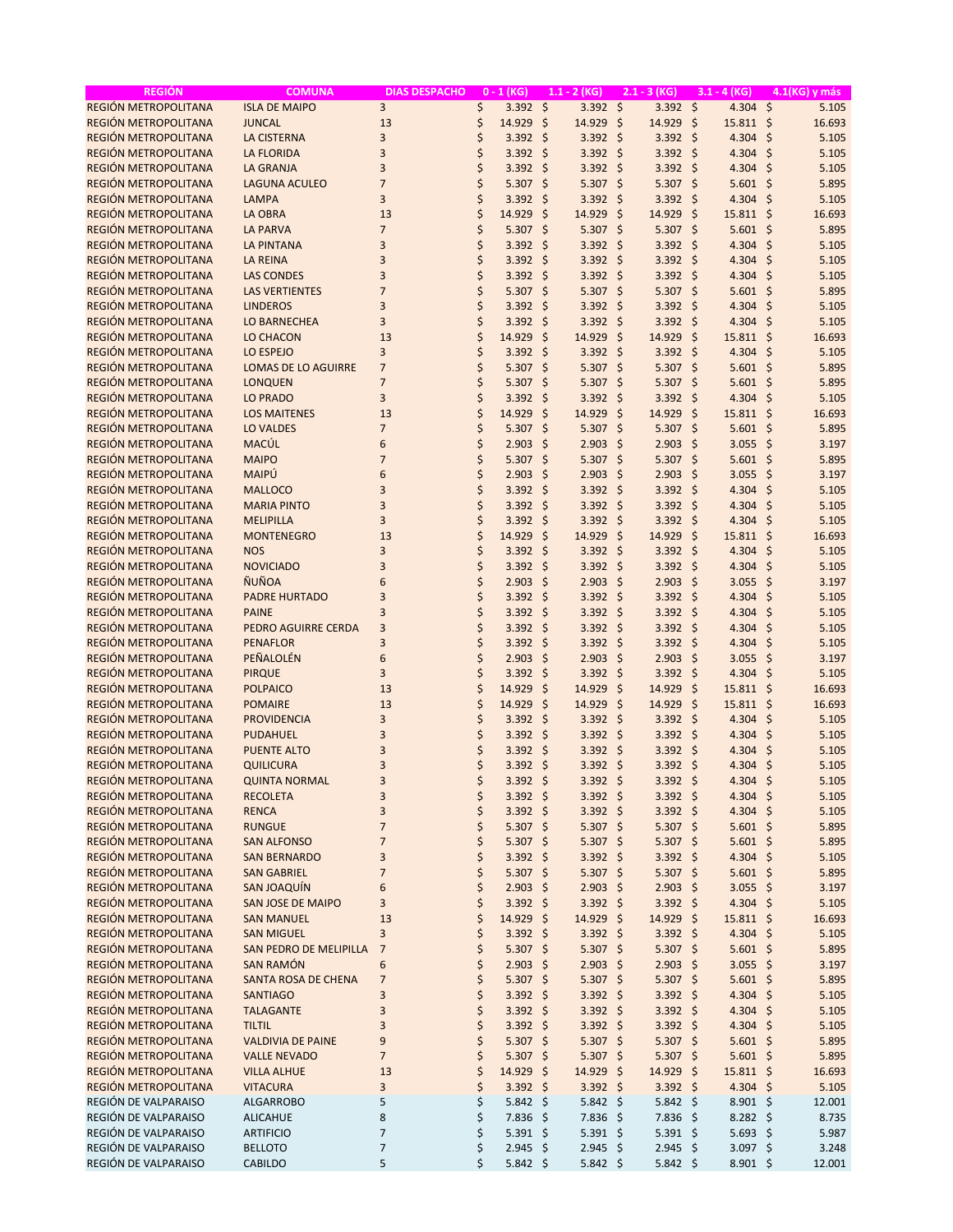| <b>REGIÓN</b>        | <b>COMUNA</b>              | <b>DIAS DESPACHO</b> | $0 - 1$ (KG)            |                     | $1.1 - 2 (KG)$   | $2.1 - 3 (KG)$ |                  | $3.1 - 4 (KG)$       | 4.1(KG) y más |
|----------------------|----------------------------|----------------------|-------------------------|---------------------|------------------|----------------|------------------|----------------------|---------------|
| REGIÓN METROPOLITANA | <b>ISLA DE MAIPO</b>       | $\overline{3}$       | \$<br>$3.392 \div$      |                     | $3.392 \quad $$  |                | $3.392$ \$       | $4.304$ \$           | 5.105         |
| REGIÓN METROPOLITANA | <b>JUNCAL</b>              | 13                   | \$<br>14.929 \$         |                     | 14.929           | -\$            | 14.929 \$        | $15.811 \; \text{S}$ | 16.693        |
| REGIÓN METROPOLITANA | <b>LA CISTERNA</b>         | $\overline{3}$       | \$<br>3.392             | -\$                 | $3.392$ \$       |                | $3.392$ \$       | 4.304 \$             | 5.105         |
| REGIÓN METROPOLITANA | <b>LA FLORIDA</b>          | $\overline{3}$       | \$<br>$3.392$ \$        |                     | $3.392$ \$       |                | $3.392$ \$       | 4.304 \$             | 5.105         |
| REGIÓN METROPOLITANA | <b>LA GRANJA</b>           | 3                    | \$<br>$3.392$ \$        |                     | $3.392$ \$       |                | $3.392$ \$       | 4.304 \$             | 5.105         |
| REGIÓN METROPOLITANA | <b>LAGUNA ACULEO</b>       | $\overline{7}$       | \$<br>$5.307$ \$        |                     | $5.307$ \$       |                | $5.307$ \$       | $5.601$ \$           | 5.895         |
| REGIÓN METROPOLITANA | <b>LAMPA</b>               | 3                    | \$<br>3.392             | $\mathsf{\hat{S}}$  | $3.392$ \$       |                | $3.392$ \$       | 4.304 \$             | 5.105         |
| REGIÓN METROPOLITANA | <b>LA OBRA</b>             | 13                   | \$<br>14.929            | -\$                 | 14.929           | -\$            | 14.929 \$        | $15.811 \; \text{S}$ | 16.693        |
| REGIÓN METROPOLITANA | <b>LA PARVA</b>            | $\overline{7}$       | \$<br>$5.307$ \$        |                     | $5.307$ \$       |                | $5.307$ \$       | $5.601$ \$           | 5.895         |
| REGIÓN METROPOLITANA | <b>LA PINTANA</b>          | 3                    | \$<br>3.392             | -\$                 | $3.392$ \$       |                | $3.392$ \$       | 4.304 \$             | 5.105         |
| REGIÓN METROPOLITANA | <b>LA REINA</b>            | 3                    | \$<br>$3.392$ \$        |                     | $3.392$ \$       |                | $3.392$ \$       | 4.304 \$             | 5.105         |
| REGIÓN METROPOLITANA | <b>LAS CONDES</b>          | 3                    | \$<br>$3.392$ \$        |                     | $3.392$ \$       |                | $3.392$ \$       | 4.304 \$             | 5.105         |
| REGIÓN METROPOLITANA | <b>LAS VERTIENTES</b>      | $\overline{7}$       | \$<br>$5.307$ \$        |                     | $5.307$ \$       |                | $5.307$ \$       | $5.601$ \$           | 5.895         |
| REGIÓN METROPOLITANA | <b>LINDEROS</b>            | 3                    | \$<br>3.392             | \$                  | $3.392$ \$       |                | $3.392$ \$       | 4.304 \$             | 5.105         |
| REGIÓN METROPOLITANA | <b>LO BARNECHEA</b>        | 3                    | \$<br>$3.392$ \$        |                     | $3.392$ \$       |                | $3.392$ \$       | 4.304 \$             | 5.105         |
| REGIÓN METROPOLITANA | <b>LO CHACON</b>           | 13                   | \$<br>14.929            | \$                  | 14.929 \$        |                | 14.929 \$        | $15.811 \; \text{S}$ | 16.693        |
| REGIÓN METROPOLITANA | LO ESPEJO                  | $\overline{3}$       | \$<br>3.392             | -\$                 | $3.392$ \$       |                | $3.392$ \$       | $4.304$ \$           | 5.105         |
| REGIÓN METROPOLITANA | <b>LOMAS DE LO AGUIRRE</b> | $\overline{7}$       | \$<br>$5.307$ \$        |                     | $5.307$ \$       |                | $5.307$ \$       | $5.601$ \$           | 5.895         |
| REGIÓN METROPOLITANA | <b>LONQUEN</b>             | $\overline{7}$       | \$<br>5.307             | \$                  | $5.307$ \$       |                | $5.307$ \$       | $5.601$ \$           | 5.895         |
| REGIÓN METROPOLITANA | <b>LO PRADO</b>            | $\overline{3}$       | \$<br>3.392             | \$                  | $3.392$ \$       |                | $3.392$ \$       | 4.304 \$             | 5.105         |
| REGIÓN METROPOLITANA | <b>LOS MAITENES</b>        | 13                   | \$<br>14.929            | -\$                 | 14.929 \$        |                | 14.929 \$        | $15.811$ \$          | 16.693        |
| REGIÓN METROPOLITANA | <b>LO VALDES</b>           | $\overline{7}$       | \$<br>$5.307$ \$        |                     | $5.307$ \$       |                | $5.307$ \$       | $5.601$ \$           | 5.895         |
| REGIÓN METROPOLITANA | MACÚL                      | 6                    | \$<br>2.903             | -\$                 | $2.903$ \$       |                | $2.903$ \$       | $3.055$ \$           | 3.197         |
| REGIÓN METROPOLITANA | <b>MAIPO</b>               | $\overline{7}$       | \$<br>5.307             | -\$                 | $5.307$ \$       |                | $5.307$ \$       | $5.601$ \$           | 5.895         |
| REGIÓN METROPOLITANA | MAIPÚ                      | 6                    | \$<br>2.903             | $\zeta$             | $2.903$ \$       |                | $2.903$ \$       | $3.055$ \$           | 3.197         |
|                      |                            |                      |                         |                     |                  |                |                  |                      |               |
| REGIÓN METROPOLITANA | <b>MALLOCO</b>             | 3<br>3               | \$<br>$3.392$ \$        |                     | $3.392$ \$       |                | $3.392$ \$       | 4.304 \$             | 5.105         |
| REGIÓN METROPOLITANA | <b>MARIA PINTO</b>         | 3                    | \$<br>3.392<br>\$       | -\$                 | $3.392$ \$       |                | $3.392$ \$       | 4.304 \$             | 5.105         |
| REGIÓN METROPOLITANA | <b>MELIPILLA</b>           |                      | 3.392                   | -\$                 | $3.392$ \$       |                | $3.392$ \$       | 4.304                | - \$<br>5.105 |
| REGIÓN METROPOLITANA | <b>MONTENEGRO</b>          | 13                   | \$<br>14.929            | -\$                 | 14.929 \$        |                | 14.929 \$        | $15.811$ \$          | 16.693        |
| REGIÓN METROPOLITANA | <b>NOS</b>                 | 3                    | \$<br>3.392             | -\$                 | $3.392$ \$       |                | $3.392$ \$       | 4.304 \$             | 5.105         |
| REGIÓN METROPOLITANA | <b>NOVICIADO</b>           | 3                    | \$<br>3.392             | $\zeta$             | $3.392$ \$       |                | $3.392$ \$       | 4.304 \$             | 5.105         |
| REGIÓN METROPOLITANA | <b>ÑUÑOA</b>               | 6                    | \$<br>2.903             | -\$                 | $2.903$ \$       |                | $2.903$ \$       | $3.055$ \$           | 3.197         |
| REGIÓN METROPOLITANA | <b>PADRE HURTADO</b>       | 3                    | \$<br>$3.392$ \$        |                     | $3.392$ \$       |                | $3.392$ \$       | 4.304 \$             | 5.105         |
| REGIÓN METROPOLITANA | <b>PAINE</b>               | 3                    | \$<br>3.392             | $\ddot{\mathsf{s}}$ | $3.392$ \$       |                | $3.392$ \$       | 4.304                | - \$<br>5.105 |
| REGIÓN METROPOLITANA | PEDRO AGUIRRE CERDA        | $\overline{3}$       | \$<br>3.392             | -\$                 | $3.392$ \$       |                | $3.392$ \$       | 4.304 \$             | 5.105         |
| REGIÓN METROPOLITANA | <b>PENAFLOR</b>            | $\overline{3}$       | \$<br>3.392             | -\$                 | $3.392$ \$       |                | $3.392$ \$       | 4.304 \$             | 5.105         |
| REGIÓN METROPOLITANA | PEÑALOLÉN                  | 6                    | \$<br>2.903             | -\$                 | $2.903$ \$       |                | $2.903$ \$       | $3.055$ \$           | 3.197         |
| REGIÓN METROPOLITANA | <b>PIRQUE</b>              | 3                    | \$<br>3.392             | \$                  | $3.392$ \$       |                | $3.392$ \$       | 4.304 \$             | 5.105         |
| REGIÓN METROPOLITANA | <b>POLPAICO</b>            | 13                   | \$<br>14.929            | $\zeta$             | 14.929           | -\$<br>14.929  | -\$              | $15.811 \; \text{S}$ | 16.693        |
| REGIÓN METROPOLITANA | <b>POMAIRE</b>             | 13                   | \$<br>14.929            | -\$                 | 14.929 \$        |                | 14.929 \$        | 15.811 \$            | 16.693        |
| REGIÓN METROPOLITANA | <b>PROVIDENCIA</b>         | 3                    | \$<br>3.392             | -\$                 | $3.392$ \$       |                | $3.392$ \$       | 4.304 \$             | 5.105         |
| REGIÓN METROPOLITANA | <b>PUDAHUEL</b>            | 3                    | \$<br>3.392             | -\$                 | $3.392$ \$       |                | $3.392$ \$       | $4.304$ \$           | 5.105         |
| REGIÓN METROPOLITANA | <b>PUENTE ALTO</b>         | 3                    | \$<br>$3.392$ \$        |                     | $3.392$ \$       |                | $3.392$ \$       | 4.304 \$             | 5.105         |
| REGIÓN METROPOLITANA | <b>QUILICURA</b>           | 3                    | \$<br>$3.392$ \$        |                     | $3.392$ \$       |                | $3.392$ \$       | $4.304$ \$           | 5.105         |
| REGIÓN METROPOLITANA | <b>QUINTA NORMAL</b>       | 3                    | \$<br>$3.392$ \$        |                     | $3.392 \div$     |                | $3.392 \div$     | 4.304 \$             | 5.105         |
| REGIÓN METROPOLITANA | <b>RECOLETA</b>            | 3                    | \$<br>3.392 \$          |                     | $3.392$ \$       |                | 3.392 \$         | $4.304$ \$           | 5.105         |
| REGIÓN METROPOLITANA | <b>RENCA</b>               | 3                    | \$<br>$3.392 \div$      |                     | $3.392$ \$       |                | $3.392$ \$       | 4.304 \$             | 5.105         |
| REGIÓN METROPOLITANA | <b>RUNGUE</b>              | $\overline{7}$       | \$<br>$5.307 \pm$       |                     | $5.307$ \$       |                | 5.307 \$         | $5.601$ \$           | 5.895         |
| REGIÓN METROPOLITANA | <b>SAN ALFONSO</b>         | $\overline{7}$       | \$<br>5.307 \$          |                     | $5.307$ \$       |                | 5.307 \$         | $5.601$ \$           | 5.895         |
| REGIÓN METROPOLITANA | <b>SAN BERNARDO</b>        | 3                    | \$<br>$3.392$ \$        |                     | $3.392$ \$       |                | $3.392$ \$       | 4.304 \$             | 5.105         |
| REGIÓN METROPOLITANA | <b>SAN GABRIEL</b>         | $\overline{7}$       | \$<br>$5.307$ \$        |                     | $5.307$ \$       |                | 5.307 \$         | $5.601$ \$           | 5.895         |
| REGIÓN METROPOLITANA | <b>SAN JOAQUÍN</b>         | 6                    | \$<br>$2.903$ \$        |                     | $2.903$ \$       |                | $2.903$ \$       | $3.055$ \$           | 3.197         |
| REGIÓN METROPOLITANA | <b>SAN JOSE DE MAIPO</b>   | 3                    | \$<br>$3.392$ \$        |                     | $3.392$ \$       |                | $3.392$ \$       | 4.304 \$             | 5.105         |
| REGIÓN METROPOLITANA | <b>SAN MANUEL</b>          | 13                   | \$<br>14.929 \$         |                     | 14.929 \$        |                | 14.929 \$        | $15.811$ \$          | 16.693        |
| REGIÓN METROPOLITANA | <b>SAN MIGUEL</b>          | 3                    | \$<br>$3.392 \div$      |                     | $3.392$ \$       |                | $3.392$ \$       | 4.304 \$             | 5.105         |
| REGIÓN METROPOLITANA | SAN PEDRO DE MELIPILLA     | $\overline{7}$       | \$<br>$5.307$ \$        |                     | 5.307 \$         |                | 5.307 \$         | $5.601$ \$           | 5.895         |
| REGIÓN METROPOLITANA | <b>SAN RAMÓN</b>           | 6                    | \$<br>$2.903$ \$        |                     | $2.903$ \$       |                | $2.903$ \$       | $3.055$ \$           | 3.197         |
| REGIÓN METROPOLITANA | SANTA ROSA DE CHENA        | $\overline{7}$       | \$<br>$5.307$ \$        |                     | $5.307$ \$       |                | 5.307 \$         | $5.601$ \$           | 5.895         |
| REGIÓN METROPOLITANA | <b>SANTIAGO</b>            | 3                    | \$<br>$3.392$ \$        |                     | $3.392$ \$       |                | $3.392$ \$       | 4.304 \$             | 5.105         |
| REGIÓN METROPOLITANA | <b>TALAGANTE</b>           | 3                    | \$<br>$3.392$ \$        |                     | $3.392$ \$       |                | $3.392$ \$       | 4.304 \$             | 5.105         |
| REGIÓN METROPOLITANA | <b>TILTIL</b>              | 3                    | \$<br>$3.392 \div$      |                     | $3.392$ \$       |                | $3.392$ \$       | 4.304 \$             | 5.105         |
| REGIÓN METROPOLITANA |                            | 9                    | \$<br>5.307 \$          |                     | $5.307$ \$       |                | 5.307 \$         | $5.601$ \$           |               |
| REGIÓN METROPOLITANA | <b>VALDIVIA DE PAINE</b>   | $\overline{7}$       | \$<br>$5.307$ \$        |                     | $5.307$ \$       |                | 5.307 \$         | $5.601$ \$           | 5.895         |
| REGIÓN METROPOLITANA | <b>VALLE NEVADO</b>        |                      |                         |                     |                  |                |                  |                      | 5.895         |
|                      | <b>VILLA ALHUE</b>         | 13                   | \$<br>14.929            | -\$                 | 14.929 \$        |                | 14.929 \$        | $15.811$ \$          | 16.693        |
| REGIÓN METROPOLITANA | <b>VITACURA</b>            | 3                    | \$<br>$3.392$ \$        |                     | $3.392$ \$       |                | $3.392$ \$       | 4.304 \$             | 5.105         |
| REGIÓN DE VALPARAISO | <b>ALGARROBO</b>           | 5                    | \$<br>$5.842 \div$      |                     | $5.842 \; \zeta$ |                | $5.842 \text{ }$ | $8.901$ \$           | 12.001        |
| REGIÓN DE VALPARAISO | <b>ALICAHUE</b>            | 8                    | \$<br>$7.836$ \$        |                     | 7.836 \$         |                | 7.836 \$         | $8.282 \; \zeta$     | 8.735         |
| REGIÓN DE VALPARAISO | <b>ARTIFICIO</b>           | $\overline{7}$       | \$<br>$5.391$ \$        |                     | 5.391 \$         |                | 5.391 \$         | 5.693 \$             | 5.987         |
| REGIÓN DE VALPARAISO | <b>BELLOTO</b>             | 7                    | \$<br>$2.945$ \$        |                     | $2.945$ \$       |                | $2.945$ \$       | 3.097 \$             | 3.248         |
| REGIÓN DE VALPARAISO | CABILDO                    | 5                    | \$<br>$5.842 \; \simeq$ |                     | $5.842 \text{ }$ |                | $5.842 \div$     | $8.901 \; \S$        | 12.001        |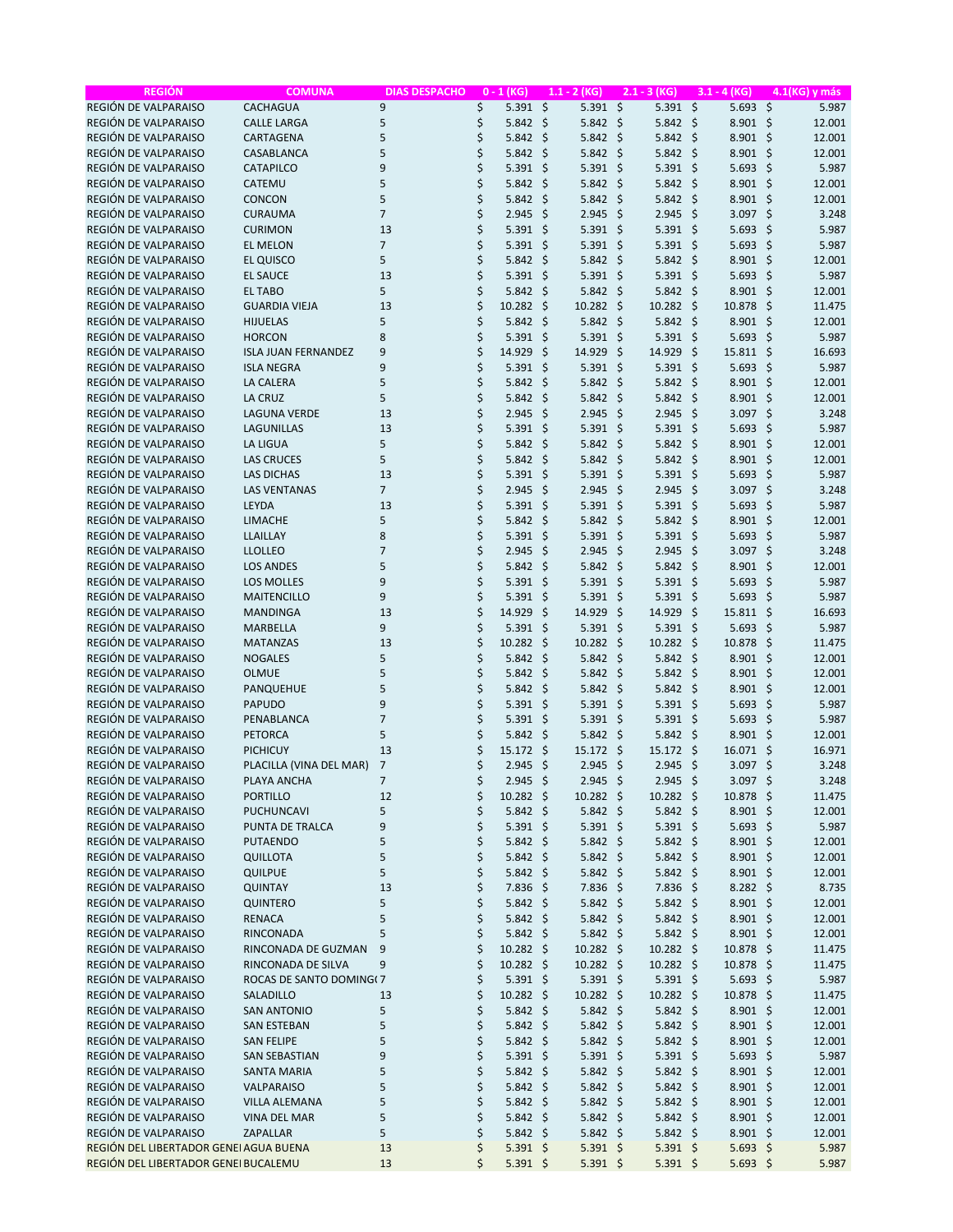| <b>REGIÓN</b>                          | <b>COMUNA</b>              | <b>DIAS DESPACHO</b> | $0 - 1$ (KG)            |         | $1.1 - 2$ (KG)   |     | $2.1 - 3 (KG)$   |      | $3.1 - 4 (KG)$       |         | 4.1(KG) y más |
|----------------------------------------|----------------------------|----------------------|-------------------------|---------|------------------|-----|------------------|------|----------------------|---------|---------------|
| REGIÓN DE VALPARAISO                   | <b>CACHAGUA</b>            | 9                    | \$<br>$5.391$ \$        |         | $5.391$ \$       |     | $5.391$ \$       |      | $5.693$ \$           |         | 5.987         |
| REGIÓN DE VALPARAISO                   | <b>CALLE LARGA</b>         | 5                    | \$<br>5.842             | -\$     | $5.842 \text{ }$ |     | $5.842 \div$     |      | $8.901$ \$           |         | 12.001        |
| REGIÓN DE VALPARAISO                   | CARTAGENA                  | 5                    | \$<br>5.842             | -\$     | $5.842 \div$     |     | $5.842 \div$     |      | $8.901$ \$           |         | 12.001        |
| REGIÓN DE VALPARAISO                   | CASABLANCA                 | 5                    | \$<br>5.842             | -\$     | $5.842 \div$     |     | $5.842 \div$     |      | $8.901$ \$           |         | 12.001        |
| REGIÓN DE VALPARAISO                   | <b>CATAPILCO</b>           | 9                    | \$<br>5.391             | \$      | $5.391$ \$       |     | $5.391$ \$       |      | $5.693$ \$           |         | 5.987         |
| REGIÓN DE VALPARAISO                   | CATEMU                     | 5                    | \$<br>5.842             | $\zeta$ | 5.842            | \$  | $5.842 \text{ }$ |      | $8.901$ \$           |         | 12.001        |
|                                        |                            |                      |                         |         |                  |     |                  |      |                      |         |               |
| REGIÓN DE VALPARAISO                   | CONCON                     | 5                    | \$<br>5.842             | \$      | $5.842 \quad $$  |     | $5.842 \div$     |      | $8.901$ \$           |         | 12.001        |
| REGIÓN DE VALPARAISO                   | <b>CURAUMA</b>             | $\overline{7}$       | \$<br>2.945             | \$      | 2.945            | \$  | 2.945            | - \$ | 3.097 \$             |         | 3.248         |
| REGIÓN DE VALPARAISO                   | <b>CURIMON</b>             | 13                   | \$<br>5.391             | $\zeta$ | $5.391$ \$       |     | $5.391$ \$       |      | 5.693                | $\zeta$ | 5.987         |
| REGIÓN DE VALPARAISO                   | <b>EL MELON</b>            | $\overline{7}$       | \$<br>5.391             | -\$     | $5.391$ \$       |     | $5.391$ \$       |      | 5.693                | \$      | 5.987         |
| REGIÓN DE VALPARAISO                   | <b>EL QUISCO</b>           | 5                    | \$<br>5.842             | -\$     | $5.842 \div$     |     | $5.842 \text{ }$ |      | $8.901$ \$           |         | 12.001        |
| REGIÓN DE VALPARAISO                   | <b>EL SAUCE</b>            | 13                   | \$<br>5.391             | \$      | $5.391$ \$       |     | $5.391$ \$       |      | 5.693                | \$      | 5.987         |
| REGIÓN DE VALPARAISO                   | <b>EL TABO</b>             | 5                    | \$<br>5.842             | \$      | $5.842 \quad $$  |     | $5.842 \div$     |      | 8.901                | \$      | 12.001        |
| REGIÓN DE VALPARAISO                   | <b>GUARDIA VIEJA</b>       | 13                   | \$<br>10.282            | -\$     | $10.282 \div$    |     | 10.282 \$        |      | 10.878               | \$      | 11.475        |
| REGIÓN DE VALPARAISO                   | <b>HIJUELAS</b>            | 5                    | \$<br>5.842             | -\$     | $5.842 \; \zeta$ |     | $5.842 \text{ }$ |      | $8.901$ \$           |         | 12.001        |
| REGIÓN DE VALPARAISO                   | <b>HORCON</b>              | 8                    | \$<br>5.391             | \$      | $5.391$ \$       |     | $5.391$ \$       |      | 5.693                | Ŝ.      | 5.987         |
| REGIÓN DE VALPARAISO                   | <b>ISLA JUAN FERNANDEZ</b> | 9                    | \$<br>14.929            | $\zeta$ | 14.929           | -\$ | 14.929           | - \$ | $15.811 \; \text{S}$ |         | 16.693        |
| REGIÓN DE VALPARAISO                   |                            | 9                    |                         |         |                  |     | $5.391$ \$       |      |                      |         | 5.987         |
|                                        | <b>ISLA NEGRA</b>          |                      | \$<br>5.391             | -\$     | $5.391$ \$       |     |                  |      | $5.693$ \$           |         |               |
| REGIÓN DE VALPARAISO                   | LA CALERA                  | 5                    | \$<br>5.842             | \$      | $5.842 \div$     |     | $5.842 \div$     |      | $8.901$ \$           |         | 12.001        |
| REGIÓN DE VALPARAISO                   | <b>LA CRUZ</b>             | 5                    | \$<br>5.842             | \$      | $5.842 \div$     |     | $5.842 \text{ }$ |      | $8.901$ \$           |         | 12.001        |
| REGIÓN DE VALPARAISO                   | <b>LAGUNA VERDE</b>        | 13                   | \$<br>2.945             | \$      | $2.945$ \$       |     | 2.945            | - \$ | 3.097 \$             |         | 3.248         |
| REGIÓN DE VALPARAISO                   | <b>LAGUNILLAS</b>          | 13                   | \$<br>5.391             | -\$     | $5.391$ \$       |     | $5.391$ \$       |      | 5.693                | - \$    | 5.987         |
| REGIÓN DE VALPARAISO                   | <b>LA LIGUA</b>            | 5                    | \$<br>5.842             | \$      | 5.842            | \$  | $5.842 \quad $$  |      | 8.901                | $\zeta$ | 12.001        |
| REGIÓN DE VALPARAISO                   | <b>LAS CRUCES</b>          | 5                    | \$<br>5.842             | \$      | 5.842            | \$  | $5.842 \div$     |      | 8.901                | \$      | 12.001        |
| REGIÓN DE VALPARAISO                   | <b>LAS DICHAS</b>          | 13                   | \$<br>5.391             | \$      | $5.391$ \$       |     | $5.391$ \$       |      | 5.693                | \$      | 5.987         |
| REGIÓN DE VALPARAISO                   | <b>LAS VENTANAS</b>        | $\overline{7}$       | \$<br>2.945             | S.      | $2.945$ \$       |     | 2.945            | - \$ | 3.097 \$             |         | 3.248         |
| REGIÓN DE VALPARAISO                   | LEYDA                      | 13                   | \$<br>5.391             | \$      | $5.391$ \$       |     | $5.391$ \$       |      | 5.693                | \$      | 5.987         |
| REGIÓN DE VALPARAISO                   | LIMACHE                    | 5                    | \$<br>5.842             | \$      |                  |     | $5.842 \; \zeta$ |      |                      |         | 12.001        |
|                                        |                            |                      |                         |         | $5.842 \div$     |     |                  |      | 8.901                | \$      |               |
| REGIÓN DE VALPARAISO                   | LLAILLAY                   | 8                    | \$<br>5.391             | -\$     | $5.391$ \$       |     | $5.391$ \$       |      | $5.693$ \$           |         | 5.987         |
| REGIÓN DE VALPARAISO                   | <b>LLOLLEO</b>             | $\overline{7}$       | \$<br>2.945             | \$      | 2.945            | \$  | 2.945            | - \$ | 3.097                | \$      | 3.248         |
| REGIÓN DE VALPARAISO                   | <b>LOS ANDES</b>           | 5                    | \$<br>5.842             | $\zeta$ | 5.842            | \$  | 5.842            | - \$ | 8.901                | $\zeta$ | 12.001        |
| REGIÓN DE VALPARAISO                   | <b>LOS MOLLES</b>          | 9                    | \$<br>5.391             | \$      | $5.391$ \$       |     | $5.391$ \$       |      | 5.693                | \$      | 5.987         |
| REGIÓN DE VALPARAISO                   | <b>MAITENCILLO</b>         | 9                    | \$<br>5.391             | -\$     | $5.391$ \$       |     | $5.391$ \$       |      | 5.693                | -\$     | 5.987         |
| REGIÓN DE VALPARAISO                   | <b>MANDINGA</b>            | 13                   | \$<br>14.929            | $\zeta$ | 14.929           | -\$ | 14.929           | - \$ | 15.811               | $\zeta$ | 16.693        |
| REGIÓN DE VALPARAISO                   | <b>MARBELLA</b>            | 9                    | \$<br>5.391             | -\$     | $5.391$ \$       |     | $5.391$ \$       |      | 5.693                | Ŝ.      | 5.987         |
| REGIÓN DE VALPARAISO                   | <b>MATANZAS</b>            | 13                   | \$<br>10.282            | -\$     | $10.282 \div$    |     | $10.282 \div$    |      | 10.878               | \$      | 11.475        |
| REGIÓN DE VALPARAISO                   | <b>NOGALES</b>             | 5                    | \$<br>5.842             | -\$     | $5.842 \div$     |     | $5.842 \text{ }$ |      | $8.901$ \$           |         | 12.001        |
| REGIÓN DE VALPARAISO                   | <b>OLMUE</b>               | 5                    | \$<br>5.842             | \$      | $5.842 \div$     |     | $5.842 \div$     |      | $8.901$ \$           |         | 12.001        |
| REGIÓN DE VALPARAISO                   |                            | 5                    | \$                      | $\zeta$ | $5.842 \quad $$  |     | $5.842 \quad $$  |      |                      |         | 12.001        |
|                                        | PANQUEHUE                  |                      | 5.842                   |         |                  |     |                  |      | $8.901$ \$           |         |               |
| REGIÓN DE VALPARAISO                   | <b>PAPUDO</b>              | 9                    | \$<br>5.391             | \$      | $5.391$ \$       |     | $5.391$ \$       |      | $5.693$ \$           |         | 5.987         |
| REGIÓN DE VALPARAISO                   | PENABLANCA                 | $\overline{7}$       | \$<br>5.391             | \$      | $5.391$ \$       |     | $5.391$ \$       |      | 5.693                | \$      | 5.987         |
| REGIÓN DE VALPARAISO                   | <b>PETORCA</b>             | 5                    | \$<br>5.842             | -\$     | $5.842 \quad $$  |     | $5.842 \div$     |      | 8.901                | \$      | 12.001        |
| REGIÓN DE VALPARAISO                   | <b>PICHICUY</b>            | 13                   | \$<br>15.172            | -\$     | $15.172 \div$    |     | 15.172 \$        |      | 16.071 \$            |         | 16.971        |
| REGIÓN DE VALPARAISO                   | PLACILLA (VINA DEL MAR)    | 7                    | \$<br>2.945             | -\$     | $2.945$ \$       |     | 2.945            | - \$ | $3.097$ \$           |         | 3.248         |
| REGIÓN DE VALPARAISO                   | PLAYA ANCHA                | $\overline{7}$       | \$<br>$2.945$ \$        |         | $2.945$ \$       |     | $2.945$ \$       |      | 3.097 \$             |         | 3.248         |
| REGIÓN DE VALPARAISO                   | <b>PORTILLO</b>            | 12                   | \$<br>$10.282 \div$     |         | 10.282 \$        |     | 10.282 \$        |      | 10.878 \$            |         | 11.475        |
| REGIÓN DE VALPARAISO                   | <b>PUCHUNCAVI</b>          | 5                    | \$<br>$5.842 \div$      |         | $5.842 \; \zeta$ |     | $5.842 \; \zeta$ |      | $8.901$ \$           |         | 12.001        |
| REGIÓN DE VALPARAISO                   | PUNTA DE TRALCA            | 9                    | \$<br>5.391 \$          |         | 5.391 \$         |     | $5.391$ \$       |      | $5.693$ \$           |         | 5.987         |
| REGIÓN DE VALPARAISO                   | <b>PUTAENDO</b>            | 5                    | \$<br>$5.842 \; \zeta$  |         | $5.842 \; \zeta$ |     | $5.842 \div$     |      | $8.901$ \$           |         | 12.001        |
|                                        |                            | 5                    |                         |         |                  |     |                  |      |                      |         |               |
| REGIÓN DE VALPARAISO                   | QUILLOTA                   |                      | \$<br>$5.842 \div$      |         | $5.842 \div$     |     | $5.842 \div$     |      | $8.901$ \$           |         | 12.001        |
| REGIÓN DE VALPARAISO                   | <b>QUILPUE</b>             | 5                    | \$<br>$5.842 \div$      |         | $5.842 \div$     |     | $5.842 \div$     |      | $8.901$ \$           |         | 12.001        |
| REGIÓN DE VALPARAISO                   | <b>QUINTAY</b>             | 13                   | \$<br>7.836 \$          |         | 7.836 \$         |     | 7.836 \$         |      | $8.282$ \$           |         | 8.735         |
| REGIÓN DE VALPARAISO                   | QUINTERO                   | 5                    | \$<br>$5.842 \div$      |         | $5.842 \div$     |     | $5.842 \div$     |      | $8.901$ \$           |         | 12.001        |
| REGIÓN DE VALPARAISO                   | <b>RENACA</b>              | 5                    | \$<br>$5.842 \div$      |         | $5.842 \div$     |     | $5.842 \div$     |      | $8.901$ \$           |         | 12.001        |
| REGIÓN DE VALPARAISO                   | RINCONADA                  | 5                    | \$<br>$5.842 \div$      |         | $5.842 \div$     |     | $5.842 \div$     |      | $8.901$ \$           |         | 12.001        |
| REGIÓN DE VALPARAISO                   | RINCONADA DE GUZMAN        | 9                    | \$<br>$10.282 \div$     |         | $10.282 \div$    |     | $10.282$ \$      |      | 10.878 \$            |         | 11.475        |
| REGIÓN DE VALPARAISO                   | RINCONADA DE SILVA         | 9                    | \$<br>10.282            | -\$     | 10.282 \$        |     | $10.282$ \$      |      | 10.878 \$            |         | 11.475        |
| REGIÓN DE VALPARAISO                   | ROCAS DE SANTO DOMING(7    |                      | \$<br>5.391 \$          |         | 5.391 \$         |     | 5.391 \$         |      | 5.693 \$             |         | 5.987         |
| REGIÓN DE VALPARAISO                   | SALADILLO                  | 13                   | \$<br>$10.282 \div$     |         | $10.282$ \$      |     | 10.282 \$        |      | 10.878 \$            |         | 11.475        |
| REGIÓN DE VALPARAISO                   |                            |                      | \$                      |         |                  |     |                  |      |                      |         |               |
|                                        | <b>SAN ANTONIO</b>         | 5                    | $5.842 \div$            |         | $5.842 \text{ }$ |     | $5.842 \div$     |      | $8.901$ \$           |         | 12.001        |
| REGIÓN DE VALPARAISO                   | <b>SAN ESTEBAN</b>         | 5                    | \$<br>$5.842 \div$      |         | $5.842 \div$     |     | $5.842 \div$     |      | $8.901$ \$           |         | 12.001        |
| REGIÓN DE VALPARAISO                   | <b>SAN FELIPE</b>          | 5                    | \$<br>$5.842 \div$      |         | $5.842 \div$     |     | $5.842 \div$     |      | $8.901$ \$           |         | 12.001        |
| REGIÓN DE VALPARAISO                   | <b>SAN SEBASTIAN</b>       | 9                    | \$<br>5.391 \$          |         | 5.391 \$         |     | 5.391 \$         |      | 5.693 \$             |         | 5.987         |
| REGIÓN DE VALPARAISO                   | <b>SANTA MARIA</b>         | 5                    | \$<br>$5.842 \; \simeq$ |         | $5.842 \div$     |     | $5.842 \div$     |      | $8.901$ \$           |         | 12.001        |
| REGIÓN DE VALPARAISO                   | VALPARAISO                 | 5                    | \$<br>$5.842 \div$      |         | $5.842 \div$     |     | $5.842 \div$     |      | $8.901$ \$           |         | 12.001        |
| REGIÓN DE VALPARAISO                   | <b>VILLA ALEMANA</b>       | 5                    | \$<br>$5.842 \div$      |         | $5.842 \div$     |     | $5.842 \div$     |      | $8.901$ \$           |         | 12.001        |
| REGIÓN DE VALPARAISO                   | <b>VINA DEL MAR</b>        | 5                    | \$<br>$5.842 \div$      |         | $5.842 \div$     |     | $5.842 \div$     |      | $8.901$ \$           |         | 12.001        |
| REGIÓN DE VALPARAISO                   | ZAPALLAR                   | 5                    | \$<br>$5.842 \div$      |         | $5.842 \div$     |     | $5.842 \div$     |      | $8.901$ \$           |         | 12.001        |
| REGIÓN DEL LIBERTADOR GENEI AGUA BUENA |                            | 13                   | \$<br>$5.391$ \$        |         | $5.391$ \$       |     | 5.391 \$         |      | $5.693$ \$           |         | 5.987         |
| REGIÓN DEL LIBERTADOR GENEI BUCALEMU   |                            | 13                   | \$<br>$5.391$ \$        |         | 5.391 \$         |     | $5.391$ \$       |      | $5.693$ \$           |         | 5.987         |
|                                        |                            |                      |                         |         |                  |     |                  |      |                      |         |               |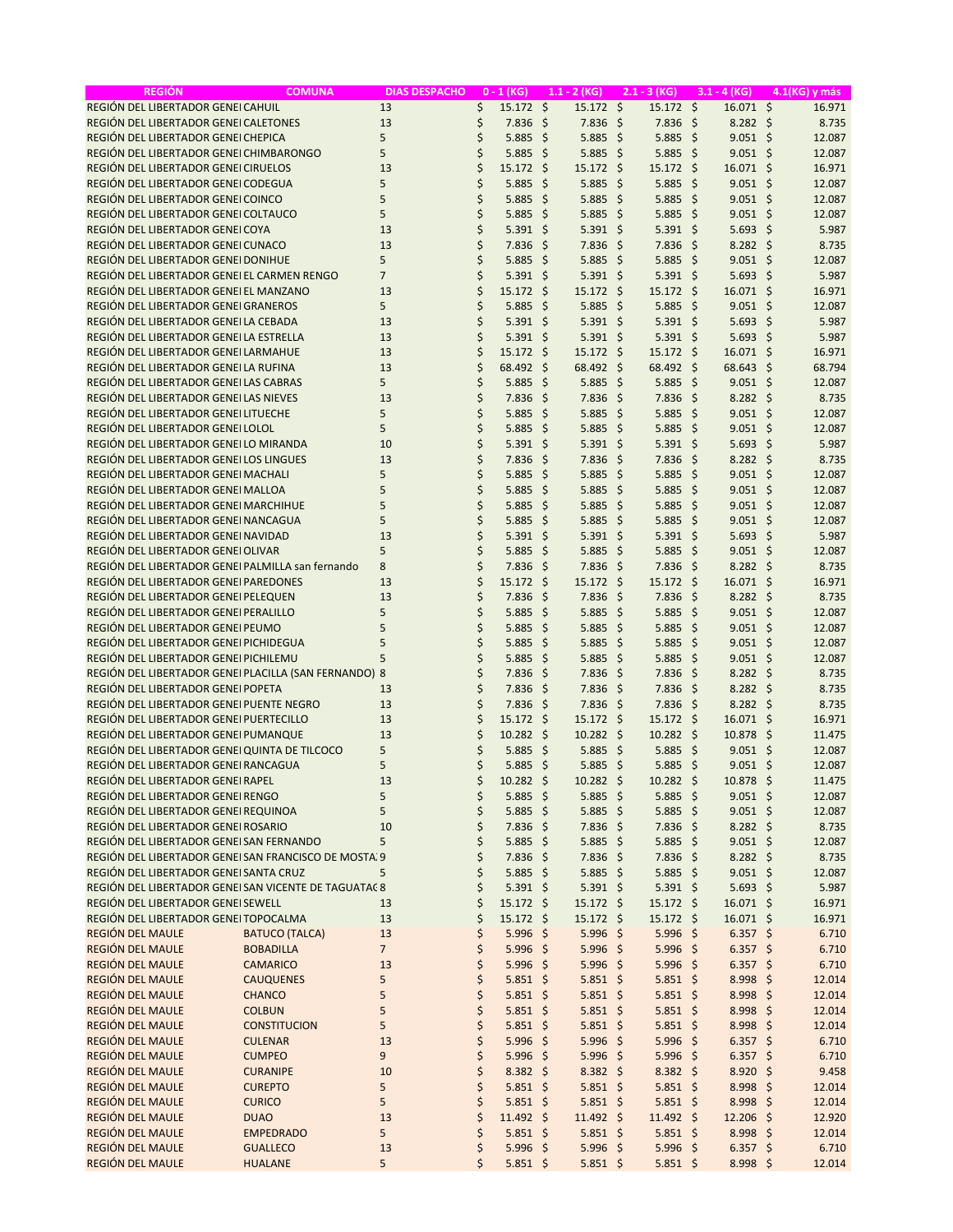| <b>REGIÓN</b>                                         | <b>COMUNA</b>         | <b>DIAS DESPACHO</b> |    | $0 - 1$ (KG)      |     | $1.1 - 2$ (KG)      | $2.1 - 3 (KG)$ |      | $3.1 - 4 (KG)$       | 4.1(KG) y más |
|-------------------------------------------------------|-----------------------|----------------------|----|-------------------|-----|---------------------|----------------|------|----------------------|---------------|
| REGIÓN DEL LIBERTADOR GENEI CAHUIL                    |                       | 13                   | \$ | $15.172 \div$     |     | 15.172 \$           | $15.172 \div$  |      | $16.071$ \$          | 16.971        |
| REGIÓN DEL LIBERTADOR GENEI CALETONES                 |                       | 13                   | \$ | $7.836$ \$        |     | $7.836 \; \S$       | $7.836$ \$     |      | $8.282 \div$         | 8.735         |
| REGIÓN DEL LIBERTADOR GENEI CHEPICA                   |                       | 5                    | \$ | 5.885             | -\$ | $5.885$ \$          | $5.885$ \$     |      | $9.051$ \$           | 12.087        |
| REGIÓN DEL LIBERTADOR GENEI CHIMBARONGO               |                       | 5                    | \$ | $5.885$ \$        |     | $5.885$ \$          | $5.885$ \$     |      | $9.051$ \$           | 12.087        |
| REGIÓN DEL LIBERTADOR GENEI CIRUELOS                  |                       | 13                   | \$ | $15.172 \div$     |     | $15.172 \div$       | 15.172 \$      |      | $16.071 \; \text{S}$ | 16.971        |
| REGIÓN DEL LIBERTADOR GENEI CODEGUA                   |                       | 5                    | \$ | 5.885             | \$  | $5.885$ \$          | 5.885          | - \$ | $9.051 \; \simeq$    | 12.087        |
| REGIÓN DEL LIBERTADOR GENEI COINCO                    |                       | 5                    | \$ | 5.885             | -\$ | $5.885$ \$          | $5.885$ \$     |      | $9.051 \; \simeq$    | 12.087        |
| REGIÓN DEL LIBERTADOR GENEI COLTAUCO                  |                       | 5                    | \$ | 5.885             | \$  | $5.885$ \$          | $5.885$ \$     |      | $9.051$ \$           | 12.087        |
| REGIÓN DEL LIBERTADOR GENEI COYA                      |                       | 13                   | \$ | 5.391             | -\$ | $5.391$ \$          | $5.391$ \$     |      | $5.693$ \$           | 5.987         |
| REGIÓN DEL LIBERTADOR GENEI CUNACO                    |                       | 13                   | \$ | 7.836             | -\$ | $7.836$ \$          | $7.836$ \$     |      | $8.282 \div$         | 8.735         |
| REGIÓN DEL LIBERTADOR GENEI DONIHUE                   |                       | 5                    | \$ | 5.885             | -\$ | $5.885$ \$          | $5.885$ \$     |      | $9.051 \; \simeq$    | 12.087        |
| REGIÓN DEL LIBERTADOR GENEI EL CARMEN RENGO           |                       | $\overline{7}$       | \$ | $5.391$ \$        |     | $5.391$ \$          | $5.391$ \$     |      | $5.693$ \$           | 5.987         |
| REGIÓN DEL LIBERTADOR GENEI EL MANZANO                |                       | 13                   | \$ | $15.172 \div$     |     | $15.172 \div$       | 15.172 \$      |      | $16.071 \; \text{S}$ | 16.971        |
| REGIÓN DEL LIBERTADOR GENEI GRANEROS                  |                       | 5                    | \$ | 5.885             | -\$ | $5.885$ \$          | $5.885$ \$     |      | $9.051 \; \simeq$    | 12.087        |
| REGIÓN DEL LIBERTADOR GENEILA CEBADA                  |                       | 13                   | \$ | $5.391$ \$        |     | $5.391 \; \text{S}$ | $5.391$ \$     |      | $5.693$ \$           | 5.987         |
| REGIÓN DEL LIBERTADOR GENEILA ESTRELLA                |                       | 13                   | \$ | $5.391$ \$        |     | 5.391 \$            | $5.391$ \$     |      | $5.693$ \$           | 5.987         |
| REGIÓN DEL LIBERTADOR GENEI LARMAHUE                  |                       | 13                   | \$ | 15.172            | -\$ | $15.172$ \$         | 15.172 \$      |      | $16.071 \; \text{S}$ | 16.971        |
| REGIÓN DEL LIBERTADOR GENEILA RUFINA                  |                       | 13                   | \$ | 68.492 \$         |     | 68.492 \$           | 68.492 \$      |      | 68.643 \$            | 68.794        |
| REGIÓN DEL LIBERTADOR GENEILAS CABRAS                 |                       | 5                    | \$ | 5.885             | -\$ | $5.885$ \$          | $5.885$ \$     |      | $9.051$ \$           | 12.087        |
| REGIÓN DEL LIBERTADOR GENEILAS NIEVES                 |                       | 13                   | \$ | 7.836             | \$  | $7.836 \; \S$       | $7.836$ \$     |      | $8.282 \div$         | 8.735         |
| REGIÓN DEL LIBERTADOR GENEI LITUECHE                  |                       | 5                    | \$ | 5.885             | -\$ | $5.885$ \$          | $5.885$ \$     |      | $9.051 \; \simeq$    | 12.087        |
| REGIÓN DEL LIBERTADOR GENEI LOLOL                     |                       | 5                    | \$ | 5.885             | -\$ | $5.885$ \$          | $5.885$ \$     |      | $9.051$ \$           | 12.087        |
| REGIÓN DEL LIBERTADOR GENEILO MIRANDA                 |                       | 10                   | \$ | 5.391             | \$  | $5.391$ \$          | $5.391$ \$     |      | $5.693$ \$           | 5.987         |
| REGIÓN DEL LIBERTADOR GENEILOS LINGUES                |                       | 13                   | \$ | 7.836             | -\$ | $7.836 \; \S$       | $7.836$ \$     |      | $8.282 \div$         | 8.735         |
| REGIÓN DEL LIBERTADOR GENEI MACHALI                   |                       | 5                    | \$ | 5.885             | -\$ | $5.885$ \$          | $5.885$ \$     |      | $9.051 \; \simeq$    | 12.087        |
| REGIÓN DEL LIBERTADOR GENEI MALLOA                    |                       | 5                    | \$ | 5.885             | \$  | $5.885$ \$          | $5.885$ \$     |      | $9.051$ \$           | 12.087        |
| REGIÓN DEL LIBERTADOR GENEI MARCHIHUE                 |                       | 5                    | \$ | 5.885             | \$  | $5.885$ \$          | $5.885$ \$     |      | $9.051 \; \simeq$    | 12.087        |
| REGIÓN DEL LIBERTADOR GENEI NANCAGUA                  |                       | 5                    | \$ | 5.885             | -\$ | $5.885$ \$          | $5.885$ \$     |      | $9.051 \; \simeq$    | 12.087        |
| REGIÓN DEL LIBERTADOR GENEI NAVIDAD                   |                       | 13                   | \$ | $5.391$ \$        |     | $5.391$ \$          | $5.391$ \$     |      | $5.693$ \$           | 5.987         |
| REGIÓN DEL LIBERTADOR GENEI OLIVAR                    |                       | 5                    | \$ | 5.885             | -\$ | $5.885$ \$          | $5.885$ \$     |      | $9.051 \; \simeq$    | 12.087        |
| REGIÓN DEL LIBERTADOR GENEI PALMILLA san fernando     |                       | 8                    | \$ | 7.836             | \$  | $7.836$ \$          | $7.836$ \$     |      | $8.282 \quad$ \$     | 8.735         |
| REGIÓN DEL LIBERTADOR GENEI PAREDONES                 |                       | 13                   | \$ | $15.172 \div$     |     | $15.172 \div$       | 15.172 \$      |      | 16.071 \$            | 16.971        |
| REGIÓN DEL LIBERTADOR GENEI PELEQUEN                  |                       | 13                   | \$ | 7.836             | \$  | $7.836$ \$          | $7.836$ \$     |      | $8.282 \div$         | 8.735         |
| REGIÓN DEL LIBERTADOR GENEI PERALILLO                 |                       | 5                    | \$ | 5.885             | \$  | $5.885$ \$          | $5.885$ \$     |      | $9.051$ \$           | 12.087        |
| REGIÓN DEL LIBERTADOR GENEI PEUMO                     |                       | 5                    | \$ | 5.885             | \$  | $5.885$ \$          | $5.885$ \$     |      | $9.051$ \$           | 12.087        |
| REGIÓN DEL LIBERTADOR GENEI PICHIDEGUA                |                       | 5                    | \$ | 5.885             | -\$ | $5.885$ \$          | $5.885$ \$     |      | $9.051 \; \simeq$    | 12.087        |
| REGIÓN DEL LIBERTADOR GENEI PICHILEMU                 |                       | 5                    | \$ | 5.885             | -\$ | $5.885$ \$          | $5.885$ \$     |      | $9.051$ \$           | 12.087        |
| REGIÓN DEL LIBERTADOR GENEI PLACILLA (SAN FERNANDO) 8 |                       |                      | \$ | 7.836             | -\$ | $7.836$ \$          | $7.836 \;$ \$  |      | $8.282 \div$         | 8.735         |
| REGIÓN DEL LIBERTADOR GENEI POPETA                    |                       | 13                   | \$ | 7.836             | -\$ | $7.836$ \$          | $7.836$ \$     |      | $8.282 \div$         | 8.735         |
| REGIÓN DEL LIBERTADOR GENEI PUENTE NEGRO              |                       | 13                   | \$ | $7.836$ \$        |     | $7.836$ \$          | $7.836$ \$     |      | $8.282 \div$         | 8.735         |
| REGIÓN DEL LIBERTADOR GENEI PUERTECILLO               |                       | 13                   | \$ | $15.172 \div$     |     | $15.172 \text{ }$   | 15.172 \$      |      | $16.071 \; \text{S}$ | 16.971        |
| REGIÓN DEL LIBERTADOR GENEI PUMANQUE                  |                       | 13                   | \$ | $10.282 \div$     |     | $10.282 \div$       | 10.282 \$      |      | $10.878$ \$          | 11.475        |
| REGIÓN DEL LIBERTADOR GENEI QUINTA DE TILCOCO         |                       | 5                    | \$ | $5.885$ \$        |     | $5.885$ \$          | $5.885$ \$     |      | $9.051 \; \simeq$    | 12.087        |
| REGIÓN DEL LIBERTADOR GENEI RANCAGUA                  |                       | 5                    | \$ | $5.885$ \$        |     | $5.885$ \$          | $5.885$ \$     |      | $9.051 \; \S$        | 12.087        |
| REGIÓN DEL LIBERTADOR GENEI RAPEL                     |                       | 13                   | \$ | $10.282 \div$     |     | $10.282 \div$       | $10.282 \div$  |      | 10.878 \$            | 11.475        |
| REGIÓN DEL LIBERTADOR GENEI RENGO                     |                       | 5                    | \$ | $5.885$ \$        |     | $5.885$ \$          | $5.885$ \$     |      | $9.051$ \$           | 12.087        |
| REGIÓN DEL LIBERTADOR GENEI REQUINOA                  |                       | 5                    | \$ | $5.885$ \$        |     | $5.885$ \$          | $5.885$ \$     |      | $9.051$ \$           | 12.087        |
| REGIÓN DEL LIBERTADOR GENEI ROSARIO                   |                       | 10                   | \$ | $7.836$ \$        |     | 7.836 \$            | 7.836 \$       |      | $8.282$ \$           | 8.735         |
| REGIÓN DEL LIBERTADOR GENEI SAN FERNANDO              |                       | 5                    | \$ | $5.885$ \$        |     | $5.885$ \$          | $5.885$ \$     |      | $9.051$ \$           | 12.087        |
| REGIÓN DEL LIBERTADOR GENEI SAN FRANCISCO DE MOSTA. 9 |                       |                      | \$ | $7.836 \;$ \$     |     | 7.836 \$            | 7.836 \$       |      | $8.282 \div$         | 8.735         |
| REGIÓN DEL LIBERTADOR GENEI SANTA CRUZ                |                       | 5                    | \$ | $5.885$ \$        |     | 5.885 \$            | $5.885$ \$     |      | $9.051$ \$           | 12.087        |
| REGIÓN DEL LIBERTADOR GENEISAN VICENTE DE TAGUATAC 8  |                       |                      | \$ | 5.391 \$          |     | $5.391$ \$          | $5.391$ \$     |      | $5.693$ \$           | 5.987         |
| REGIÓN DEL LIBERTADOR GENEI SEWELL                    |                       | 13                   | \$ | $15.172 \div$     |     | 15.172 \$           | 15.172 \$      |      | 16.071 \$            | 16.971        |
| REGIÓN DEL LIBERTADOR GENEI TOPOCALMA                 |                       | 13                   | \$ | 15.172 \$         |     | 15.172 \$           | 15.172 \$      |      | 16.071 \$            | 16.971        |
| REGIÓN DEL MAULE                                      | <b>BATUCO (TALCA)</b> | 13                   | \$ | $5.996$ \$        |     | $5.996$ \$          | $5.996$ \$     |      | $6.357$ \$           | 6.710         |
| REGIÓN DEL MAULE                                      | <b>BOBADILLA</b>      | $\overline{7}$       | \$ | $5.996$ \$        |     | $5.996$ \$          | $5.996$ \$     |      | $6.357$ \$           | 6.710         |
| REGIÓN DEL MAULE                                      | <b>CAMARICO</b>       | 13                   | \$ | $5.996$ \$        |     | $5.996$ \$          | $5.996$ \$     |      | $6.357$ \$           | 6.710         |
| REGIÓN DEL MAULE                                      | <b>CAUQUENES</b>      | 5                    | \$ | $5.851$ \$        |     | $5.851$ \$          | $5.851$ \$     |      | $8.998$ \$           | 12.014        |
| REGIÓN DEL MAULE                                      | <b>CHANCO</b>         | 5                    | \$ | $5.851$ \$        |     | $5.851$ \$          | $5.851$ \$     |      | $8.998$ \$           | 12.014        |
| <b>REGIÓN DEL MAULE</b>                               | <b>COLBUN</b>         | 5                    | \$ | $5.851$ \$        |     | $5.851$ \$          | $5.851$ \$     |      | $8.998$ \$           | 12.014        |
| REGIÓN DEL MAULE                                      | <b>CONSTITUCION</b>   | 5                    | \$ | $5.851$ \$        |     | $5.851$ \$          | $5.851$ \$     |      | $8.998$ \$           | 12.014        |
| REGIÓN DEL MAULE                                      | <b>CULENAR</b>        | 13                   | \$ | $5.996$ \$        |     | $5.996$ \$          | 5.996 \$       |      | $6.357$ \$           | 6.710         |
| <b>REGIÓN DEL MAULE</b>                               | <b>CUMPEO</b>         | 9                    | \$ | $5.996$ \$        |     | $5.996$ \$          | $5.996$ \$     |      | $6.357$ \$           | 6.710         |
| REGIÓN DEL MAULE                                      | <b>CURANIPE</b>       | 10                   | \$ | $8.382 \; \simeq$ |     | $8.382 \div$        | $8.382 \div$   |      | 8.920 \$             | 9.458         |
| REGIÓN DEL MAULE                                      | <b>CUREPTO</b>        | 5                    | \$ | $5.851$ \$        |     | $5.851$ \$          | $5.851$ \$     |      | 8.998 \$             | 12.014        |
| REGIÓN DEL MAULE                                      | <b>CURICO</b>         | 5                    | \$ | $5.851$ \$        |     | $5.851$ \$          | $5.851$ \$     |      | 8.998;               | 12.014        |
| REGIÓN DEL MAULE                                      | <b>DUAO</b>           | 13                   | \$ | $11.492 \div$     |     | 11.492 \$           | $11.492 \div$  |      | 12.206 \$            | 12.920        |
| REGIÓN DEL MAULE                                      | <b>EMPEDRADO</b>      | 5                    | \$ | $5.851$ \$        |     | $5.851$ \$          | $5.851$ \$     |      | 8.998 \$             | 12.014        |
| REGIÓN DEL MAULE                                      | <b>GUALLECO</b>       | 13                   | \$ | $5.996$ \$        |     | $5.996$ \$          | $5.996$ \$     |      | $6.357$ \$           | 6.710         |
| REGIÓN DEL MAULE                                      | <b>HUALANE</b>        | 5                    | Ś  | $5.851$ \$        |     | $5.851$ \$          | $5.851$ \$     |      | 8.998 \$             | 12.014        |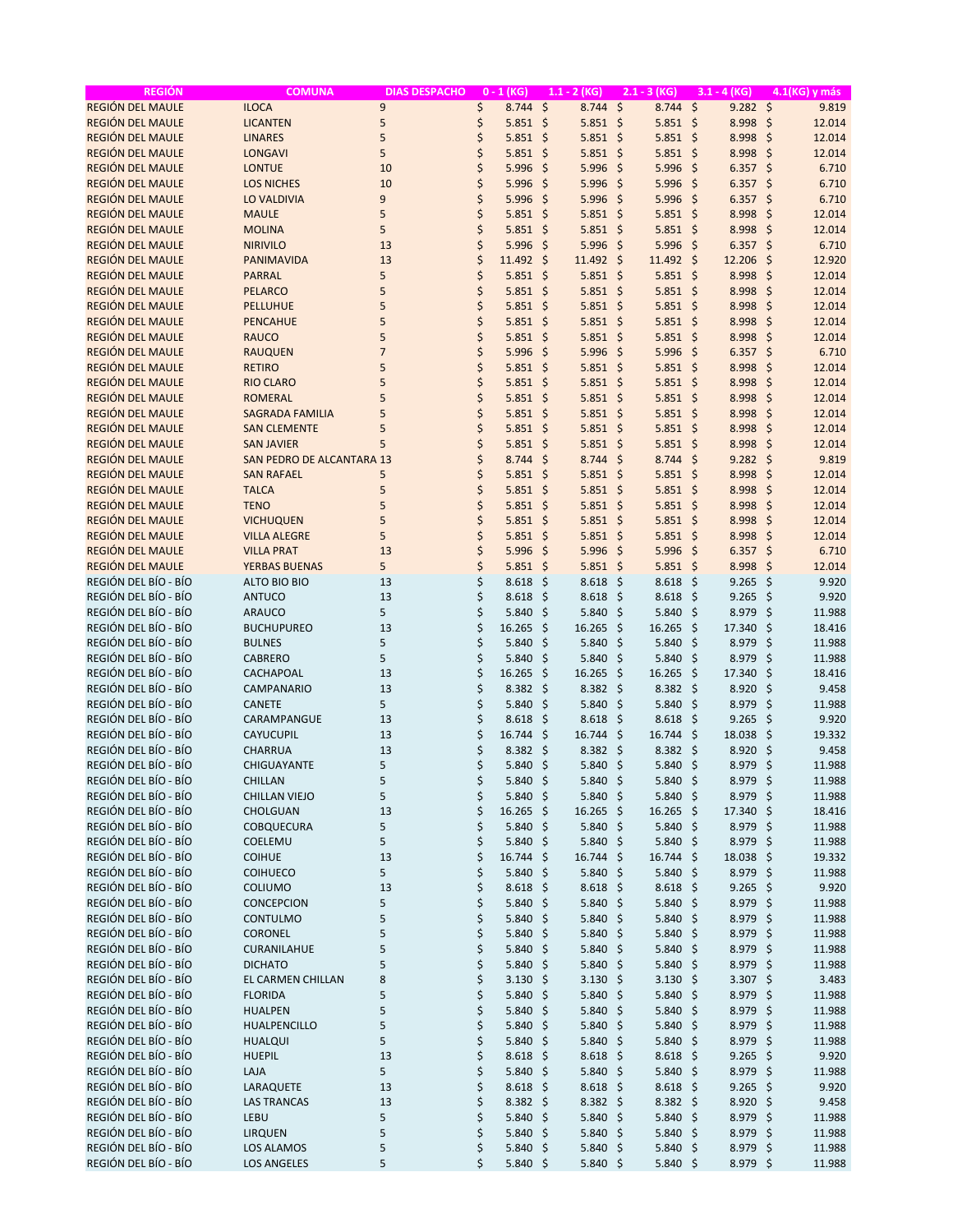| <b>REGIÓN</b>                                | <b>COMUNA</b>                       | <b>DIAS DESPACHO</b> |          | $0 - 1$ (KG)                             |                     | $1.1 - 2$ (KG)                           |     | $2.1 - 3 (KG)$                  |                     | $3.1 - 4$ (KG)         | 4.1(KG) y más                 |  |
|----------------------------------------------|-------------------------------------|----------------------|----------|------------------------------------------|---------------------|------------------------------------------|-----|---------------------------------|---------------------|------------------------|-------------------------------|--|
| <b>REGIÓN DEL MAULE</b>                      | <b>ILOCA</b>                        | 9                    | \$       | 8.744                                    | $\ddot{\mathsf{S}}$ | $8.744$ \$                               |     | 8.744                           | $\ddot{\varsigma}$  | $9.282 \div$           | 9.819                         |  |
| <b>REGIÓN DEL MAULE</b>                      | <b>LICANTEN</b>                     | 5                    | \$       | $5.851$ \$                               |                     | $5.851$ \$                               |     | $5.851$ \$                      |                     | $8.998$ \$             | 12.014                        |  |
| <b>REGIÓN DEL MAULE</b>                      | <b>LINARES</b>                      | 5                    | \$       | $5.851$ \$                               |                     | $5.851$ \$                               |     | $5.851$ \$                      |                     | 8.998 \$               | 12.014                        |  |
| <b>REGIÓN DEL MAULE</b>                      | <b>LONGAVI</b>                      | 5                    | \$       | 5.851                                    | \$                  | $5.851$ \$                               |     | $5.851$ \$                      |                     | $8.998$ \$             | 12.014                        |  |
| <b>REGIÓN DEL MAULE</b>                      | <b>LONTUE</b>                       | 10                   | \$       | 5.996                                    | $\zeta$             | $5.996$ \$                               |     | $5.996$ \$                      |                     | $6.357$ \$             | 6.710                         |  |
| <b>REGIÓN DEL MAULE</b>                      | <b>LOS NICHES</b>                   | 10                   | \$       | 5.996                                    | $\zeta$             | $5.996$ \$                               |     | 5.996                           | $\zeta$             | 6.357                  | \$<br>6.710                   |  |
| <b>REGIÓN DEL MAULE</b>                      | <b>LO VALDIVIA</b>                  | 9                    | \$       | 5.996                                    | $\zeta$             | $5.996$ \$                               |     | 5.996                           | $\ddot{\mathsf{S}}$ | 6.357                  | 6.710<br>\$                   |  |
| REGIÓN DEL MAULE                             | <b>MAULE</b>                        | 5                    | \$       | 5.851                                    | $\zeta$             | $5.851$ \$                               |     | $5.851$ \$                      |                     | 8.998                  | \$<br>12.014                  |  |
| <b>REGIÓN DEL MAULE</b>                      | <b>MOLINA</b>                       | 5                    | \$       | 5.851                                    | $\zeta$             | $5.851$ \$                               |     | $5.851$ \$                      |                     | 8.998                  | $\ddot{\mathsf{s}}$<br>12.014 |  |
| <b>REGIÓN DEL MAULE</b>                      | <b>NIRIVILO</b>                     | 13                   | \$       | 5.996                                    | -\$                 | $5.996$ \$                               |     | 5.996 \$                        |                     | $6.357$ \$             | 6.710                         |  |
| REGIÓN DEL MAULE                             | PANIMAVIDA                          | 13                   | \$       | 11.492                                   | \$                  | $11.492 \div$                            |     | 11.492 \$                       |                     | 12.206                 | \$<br>12.920                  |  |
| <b>REGIÓN DEL MAULE</b>                      | <b>PARRAL</b>                       | 5                    | \$       | 5.851                                    | $\zeta$             | $5.851$ \$                               |     | $5.851$ \$                      |                     | 8.998                  | $\ddot{\varsigma}$<br>12.014  |  |
| <b>REGIÓN DEL MAULE</b>                      | <b>PELARCO</b>                      | 5                    | \$       | 5.851                                    | $\mathsf{\hat{S}}$  | $5.851$ \$                               |     | $5.851$ \$                      |                     | 8.998                  | -\$<br>12.014                 |  |
| <b>REGIÓN DEL MAULE</b>                      | PELLUHUE                            | 5                    | \$       | $5.851$ \$                               |                     | $5.851$ \$                               |     | $5.851$ \$                      |                     | 8.998                  | -\$<br>12.014                 |  |
| <b>REGIÓN DEL MAULE</b>                      | <b>PENCAHUE</b>                     | 5                    | \$       | 5.851                                    | $\zeta$             | $5.851$ \$                               |     | $5.851$ \$                      |                     | 8.998                  | $\zeta$<br>12.014             |  |
| REGIÓN DEL MAULE                             | <b>RAUCO</b>                        | 5                    | \$       | 5.851                                    | $\zeta$             | $5.851$ \$                               |     | $5.851$ \$                      |                     | 8.998                  | $\zeta$<br>12.014             |  |
| <b>REGIÓN DEL MAULE</b>                      | <b>RAUQUEN</b>                      | $\overline{7}$       | \$       | 5.996                                    | $\zeta$             | $5.996$ \$                               |     | 5.996                           | $\zeta$             | $6.357$ \$             | 6.710                         |  |
| <b>REGIÓN DEL MAULE</b>                      | <b>RETIRO</b>                       | 5                    | \$       | 5.851                                    | \$                  | $5.851$ \$                               |     | $5.851$ \$                      |                     | 8.998                  | \$<br>12.014                  |  |
| REGIÓN DEL MAULE                             | <b>RIO CLARO</b>                    | 5                    | \$       | 5.851                                    | $\zeta$             | $5.851$ \$                               |     | $5.851$ \$                      |                     | 8.998                  | -\$<br>12.014                 |  |
| <b>REGIÓN DEL MAULE</b>                      | <b>ROMERAL</b>                      | 5                    | \$       | 5.851                                    | \$                  | $5.851$ \$                               |     | $5.851$ \$                      |                     | 8.998                  | \$<br>12.014                  |  |
| <b>REGIÓN DEL MAULE</b>                      | <b>SAGRADA FAMILIA</b>              | 5                    | \$       | 5.851                                    | -\$                 | $5.851$ \$                               |     | $5.851$ \$                      |                     | 8.998                  | $\zeta$<br>12.014             |  |
| <b>REGIÓN DEL MAULE</b>                      | <b>SAN CLEMENTE</b>                 | 5                    | \$       | 5.851                                    | $\zeta$             | $5.851$ \$                               |     | $5.851$ \$                      |                     | 8.998                  | \$<br>12.014                  |  |
| <b>REGIÓN DEL MAULE</b>                      | <b>SAN JAVIER</b>                   | 5                    | \$       | 5.851                                    | $\zeta$             | $5.851$ \$                               |     | $5.851$ \$                      |                     | 8.998                  | \$<br>12.014                  |  |
| <b>REGIÓN DEL MAULE</b>                      | <b>SAN PEDRO DE ALCANTARA 13</b>    |                      | \$       | 8.744                                    | $\zeta$             | $8.744$ \$                               |     | 8.744                           | -\$                 | 9.282                  | 9.819<br>\$                   |  |
| REGIÓN DEL MAULE                             | <b>SAN RAFAEL</b>                   | 5                    | \$       | 5.851                                    | \$                  | $5.851$ \$                               |     | $5.851$ \$                      |                     | 8.998                  | \$<br>12.014                  |  |
| <b>REGIÓN DEL MAULE</b>                      | <b>TALCA</b>                        | 5                    | \$       | 5.851                                    | $\zeta$             | $5.851$ \$                               |     | $5.851$ \$                      |                     | 8.998                  | $\ddot{\varsigma}$<br>12.014  |  |
| <b>REGIÓN DEL MAULE</b>                      | <b>TENO</b>                         | 5                    | \$       | 5.851                                    | $\zeta$             | $5.851$ \$                               |     | $5.851$ \$                      |                     | 8.998                  | \$<br>12.014                  |  |
| <b>REGIÓN DEL MAULE</b>                      | <b>VICHUQUEN</b>                    | 5                    | \$       | $5.851$ \$                               |                     | $5.851$ \$                               |     | $5.851$ \$                      |                     | 8.998                  | $\ddot{\varsigma}$<br>12.014  |  |
| REGIÓN DEL MAULE                             | <b>VILLA ALEGRE</b>                 | 5                    | \$       | 5.851                                    | \$                  | $5.851$ \$                               |     | $5.851$ \$                      |                     | 8.998                  | - \$<br>12.014                |  |
| REGIÓN DEL MAULE                             | <b>VILLA PRAT</b>                   | 13                   | \$       | 5.996                                    | $\zeta$             | 5.996                                    | -\$ | 5.996                           | - \$                | 6.357                  | \$<br>6.710                   |  |
| <b>REGIÓN DEL MAULE</b>                      | <b>YERBAS BUENAS</b>                | 5                    | \$       | 5.851                                    | \$                  | $5.851$ \$                               |     | $5.851$ \$                      |                     | 8.998                  | \$<br>12.014                  |  |
| REGIÓN DEL BÍO - BÍO                         | ALTO BIO BIO                        | 13                   | \$       | 8.618                                    | \$                  | 8.618                                    | -\$ | 8.618                           | - \$                | 9.265                  | 9.920<br>\$                   |  |
| REGIÓN DEL BÍO - BÍO                         | <b>ANTUCO</b>                       | 13                   | \$       | 8.618                                    | \$                  | 8.618                                    | -\$ | $8.618$ \$                      |                     | 9.265                  | \$<br>9.920                   |  |
| REGIÓN DEL BÍO - BÍO                         | <b>ARAUCO</b>                       | 5                    | \$       | 5.840                                    | $\zeta$             | 5.840                                    | -\$ | 5.840                           | -\$                 | 8.979                  | \$<br>11.988                  |  |
| REGIÓN DEL BÍO - BÍO                         | <b>BUCHUPUREO</b>                   | 13                   | \$       | 16.265                                   | Ŝ.                  | 16.265                                   | -\$ | 16.265                          | -\$                 | 17.340                 | \$<br>18.416                  |  |
| REGIÓN DEL BÍO - BÍO                         | <b>BULNES</b>                       | 5                    | \$       | 5.840                                    | \$                  | 5.840                                    | -\$ | 5.840%                          |                     | 8.979                  | -\$<br>11.988                 |  |
| REGIÓN DEL BÍO - BÍO                         | <b>CABRERO</b>                      | 5                    | \$       | 5.840                                    | $\zeta$             | 5.840                                    | \$  | 5.840                           | -\$                 | 8.979                  | \$<br>11.988                  |  |
| REGIÓN DEL BÍO - BÍO                         | CACHAPOAL                           | 13                   | \$       | 16.265                                   | Ŝ.                  | 16.265                                   | -\$ | 16.265                          | - \$                | 17.340                 | \$<br>18.416                  |  |
| REGIÓN DEL BÍO - BÍO                         | CAMPANARIO                          | 13                   | \$       | 8.382                                    | \$                  | $8.382 \;$ \$                            |     | $8.382 \div$                    |                     | 8.920                  | -\$<br>9.458                  |  |
| REGIÓN DEL BÍO - BÍO                         | <b>CANETE</b>                       | 5                    | \$       | 5.840                                    | \$                  | 5.840                                    | -\$ | 5.840                           | - \$                | 8.979                  | \$<br>11.988                  |  |
| REGIÓN DEL BÍO - BÍO                         | CARAMPANGUE                         | 13                   | \$       | 8.618                                    | \$                  | 8.618                                    | -\$ | 8.618                           | - \$                | 9.265                  | \$<br>9.920                   |  |
| REGIÓN DEL BÍO - BÍO                         | CAYUCUPIL                           | 13                   | \$       | 16.744                                   | \$                  | $16.744$ \$                              |     | 16.744                          | -\$                 | 18.038                 | -\$<br>19.332                 |  |
| REGIÓN DEL BÍO - BÍO                         | CHARRUA                             | 13                   | \$       | 8.382                                    | \$                  | $8.382 \div$                             |     | 8.382 \$                        |                     | 8.920                  | -\$<br>9.458                  |  |
| REGIÓN DEL BÍO - BÍO                         | CHIGUAYANTE                         | 5                    | \$       | 5.840                                    | -\$                 | 5.840%                                   |     | 5.840 \$                        |                     | 8.979                  | $\ddot{\varsigma}$<br>11.988  |  |
| REGIÓN DEL BÍO - BÍO                         | CHILLAN                             | 5                    | \$       | 5.840 \$                                 |                     | 5.840 \$                                 |     | 5.840 \$                        |                     | 8.979 \$               | 11.988                        |  |
| REGIÓN DEL BÍO - BÍO                         | <b>CHILLAN VIEJO</b>                | 5                    | \$       | $5.840 \; \simeq$                        |                     | $5.840 \; \simeq$                        |     | $5.840$ \$                      |                     | 8.979 \$               | 11.988                        |  |
| REGIÓN DEL BÍO - BÍO                         | CHOLGUAN                            | 13                   | \$       | 16.265 \$                                |                     | 16.265 \$                                |     | 16.265 \$                       |                     | 17.340 \$              | 18.416                        |  |
| REGIÓN DEL BÍO - BÍO                         | COBQUECURA                          | 5                    | \$       | 5.840                                    | -\$                 | 5.840 \$                                 |     | 5.840 \$                        |                     | $8.979$ \$             | 11.988                        |  |
| REGIÓN DEL BÍO - BÍO                         | COELEMU                             | 5                    | \$       | $5.840 \; \simeq$                        |                     | 5.840 \$                                 |     | 5.840 \$                        |                     | $8.979$ \$             | 11.988                        |  |
| REGIÓN DEL BÍO - BÍO                         | <b>COIHUE</b>                       | 13                   | \$       | 16.744 \$                                |                     | 16.744 \$                                |     | 16.744 \$                       |                     | 18.038 \$              | 19.332                        |  |
| REGIÓN DEL BÍO - BÍO                         | <b>COIHUECO</b>                     | 5                    | \$       | 5.840                                    | -\$                 | 5.840 \$                                 |     | 5.840 \$                        |                     | 8.979 \$               | 11.988                        |  |
| REGIÓN DEL BÍO - BÍO                         | COLIUMO                             | 13                   | \$       | $8.618$ \$                               |                     | $8.618$ \$                               |     | $8.618$ \$                      |                     | $9.265$ \$             | 9.920                         |  |
| REGIÓN DEL BÍO - BÍO<br>REGIÓN DEL BÍO - BÍO | <b>CONCEPCION</b>                   | 5                    | \$       | 5.840%                                   |                     | $5.840 \; \simeq$                        |     | 5.840 \$                        |                     | 8.979 \$               | 11.988                        |  |
|                                              | CONTULMO                            | 5                    | \$       | 5.840%                                   |                     | $5.840 \; \simeq$                        |     | 5.840 \$                        |                     | 8.979 \$               | 11.988                        |  |
| REGIÓN DEL BÍO - BÍO<br>REGIÓN DEL BÍO - BÍO | <b>CORONEL</b>                      | 5                    | \$       | 5.840                                    | -\$                 | 5.840 \$                                 |     | 5.840 \$                        |                     | 8.979 \$               | 11.988                        |  |
| REGIÓN DEL BÍO - BÍO                         | CURANILAHUE                         | 5<br>5               | \$       | 5.840                                    | -\$                 | $5.840 \; \simeq$                        |     | 5.840 \$                        |                     | 8.979 \$               | 11.988<br>11.988              |  |
| REGIÓN DEL BÍO - BÍO                         | <b>DICHATO</b><br>EL CARMEN CHILLAN | 8                    | \$<br>\$ | $5.840 \; \simeq$<br>$3.130 \; \text{S}$ |                     | $5.840 \; \simeq$<br>$3.130 \; \text{S}$ |     | 5.840 \$<br>$3.130 \; \text{S}$ |                     | 8.979 \$<br>3.307 \$   | 3.483                         |  |
| REGIÓN DEL BÍO - BÍO                         |                                     | 5                    |          |                                          |                     |                                          |     |                                 |                     |                        |                               |  |
| REGIÓN DEL BÍO - BÍO                         | <b>FLORIDA</b><br><b>HUALPEN</b>    | 5                    | \$<br>\$ | 5.840<br>5.840%                          | -\$                 | 5.840 \$<br>$5.840 \; \simeq$            |     | 5.840 \$<br>5.840 \$            |                     | $8.979$ \$<br>8.979 \$ | 11.988<br>11.988              |  |
| REGIÓN DEL BÍO - BÍO                         |                                     | 5                    | \$       | 5.840%                                   |                     | 5.840 \$                                 |     | 5.840 \$                        |                     | 8.979 \$               | 11.988                        |  |
| REGIÓN DEL BÍO - BÍO                         | HUALPENCILLO                        | 5                    | \$       | 5.840                                    | -\$                 | $5.840 \; \simeq$                        |     | 5.840 \$                        |                     | 8.979 \$               |                               |  |
| REGIÓN DEL BÍO - BÍO                         | <b>HUALQUI</b><br><b>HUEPIL</b>     | 13                   | \$       | 8.618                                    |                     | $8.618$ \$                               |     | $8.618$ \$                      |                     | $9.265$ \$             | 11.988<br>9.920               |  |
| REGIÓN DEL BÍO - BÍO                         | LAJA                                | 5                    | \$       | 5.840%                                   | -\$                 | $5.840 \; \simeq$                        |     | 5.840 \$                        |                     | 8.979 \$               | 11.988                        |  |
| REGIÓN DEL BÍO - BÍO                         | LARAQUETE                           | 13                   | \$       | $8.618$ \$                               |                     | $8.618$ \$                               |     | $8.618$ \$                      |                     | $9.265$ \$             | 9.920                         |  |
| REGIÓN DEL BÍO - BÍO                         | <b>LAS TRANCAS</b>                  | 13                   | \$       | $8.382 \; \zeta$                         |                     | $8.382 \; \simeq$                        |     | 8.382 \$                        |                     | 8.920%                 | 9.458                         |  |
| REGIÓN DEL BÍO - BÍO                         | LEBU                                | 5                    | \$       | $5.840 \; \simeq$                        |                     | $5.840 \; \simeq$                        |     | 5.840%                          |                     | $8.979$ \$             | 11.988                        |  |
| REGIÓN DEL BÍO - BÍO                         | <b>LIRQUEN</b>                      | 5                    | \$       | $5.840 \; \simeq$                        |                     | $5.840 \; \simeq$                        |     | 5.840 \$                        |                     | 8.979 \$               | 11.988                        |  |
| REGIÓN DEL BÍO - BÍO                         | LOS ALAMOS                          | 5                    | \$       | $5.840 \; \simeq$                        |                     | 5.840 \$                                 |     | 5.840 \$                        |                     | 8.979 \$               | 11.988                        |  |
| REGIÓN DEL BÍO - BÍO                         | <b>LOS ANGELES</b>                  | 5                    | \$       | 5.840%                                   |                     | $5.840 \; \simeq$                        |     | $5.840 \; \simeq$               |                     | 8.979 \$               | 11.988                        |  |
|                                              |                                     |                      |          |                                          |                     |                                          |     |                                 |                     |                        |                               |  |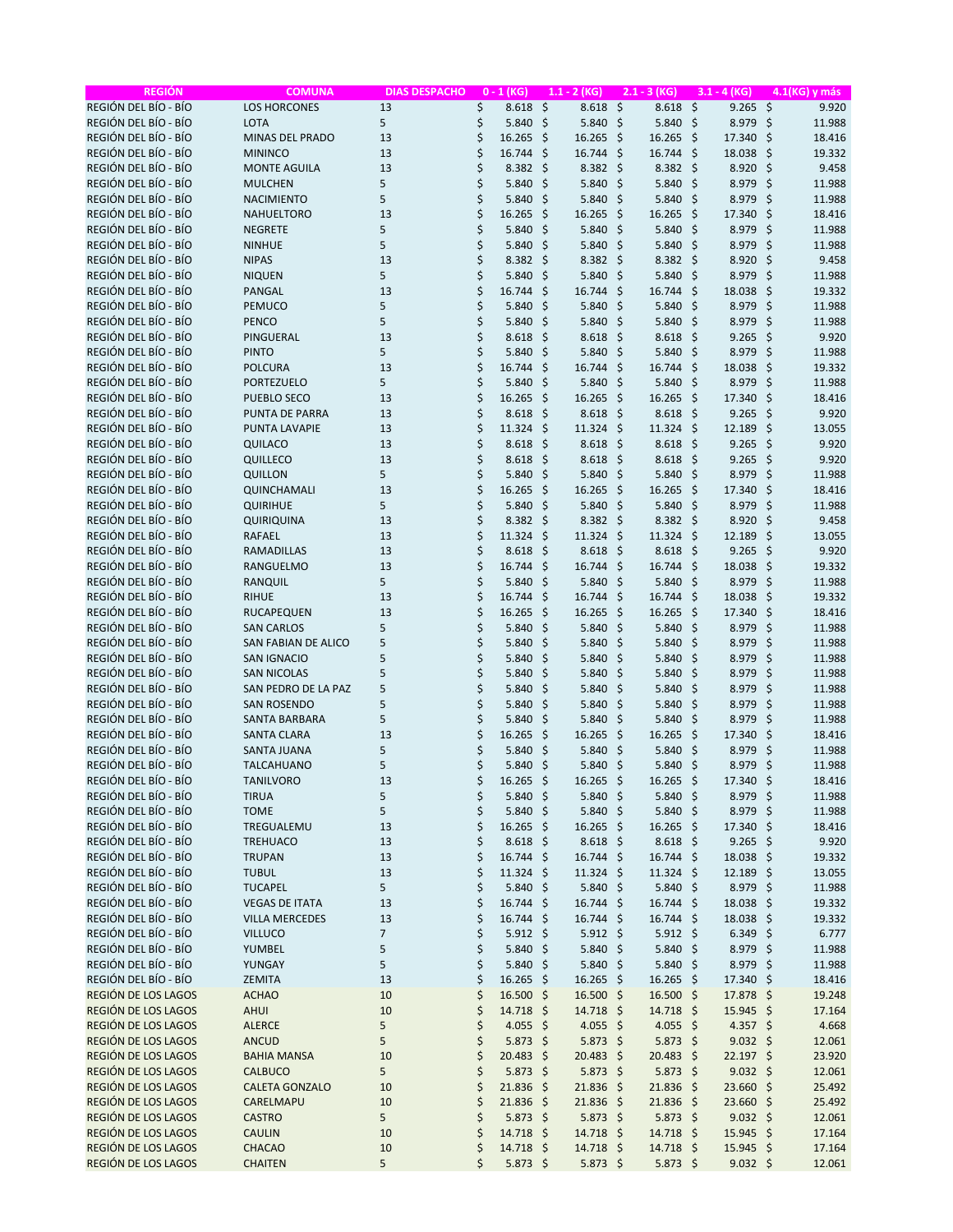| REGIÓN DEL BÍO - BÍO<br><b>LOS HORCONES</b><br>\$<br>$\zeta$<br>$\zeta$<br>$8.618$ \$<br>$9.265$ \$<br>9.920<br>13<br>8.618<br>8.618<br>REGIÓN DEL BÍO - BÍO<br>\$<br>$5.840$ \$<br><b>LOTA</b><br>5<br>5.840<br>\$<br>5.840<br>8.979<br>\$<br>11.988<br>-\$<br>REGIÓN DEL BÍO - BÍO<br>\$<br><b>MINAS DEL PRADO</b><br>13<br>16.265<br>-\$<br>16.265<br>-\$<br>16.265<br>- \$<br>17.340<br>\$<br>18.416<br>REGIÓN DEL BÍO - BÍO<br>\$<br>16.744 \$<br><b>MININCO</b><br>13<br>16.744<br>-\$<br>$16.744$ \$<br>18.038<br>-\$<br>19.332<br>REGIÓN DEL BÍO - BÍO<br>\$<br><b>MONTE AGUILA</b><br>13<br>8.382<br>Ŝ.<br>$8.382 \div$<br>$8.382 \div$<br>8.920<br>-\$<br>9.458<br>REGIÓN DEL BÍO - BÍO<br>\$<br>$\zeta$<br>5.840 \$<br>\$<br><b>MULCHEN</b><br>5<br>5.840<br>5.840<br>-\$<br>8.979<br>11.988<br>REGIÓN DEL BÍO - BÍO<br>5<br>\$<br>\$<br><b>NACIMIENTO</b><br>5.840<br>\$<br>5.840<br>-\$<br>5.840<br>-\$<br>8.979<br>11.988<br>REGIÓN DEL BÍO - BÍO<br>\$<br>NAHUELTORO<br>13<br>16.265<br>\$<br>16.265<br>16.265<br>- \$<br>17.340<br>\$<br>18.416<br>-\$<br>REGIÓN DEL BÍO - BÍO<br>\$<br>5<br>\$<br>$\zeta$<br>-\$<br>\$<br><b>NEGRETE</b><br>5.840<br>5.840<br>5.840<br>8.979<br>11.988<br>REGIÓN DEL BÍO - BÍO<br>5<br>\$<br><b>NINHUE</b><br>5.840<br>\$<br>5.840<br>-\$<br>5.840%<br>8.979<br>\$<br>11.988<br>REGIÓN DEL BÍO - BÍO<br>\$<br><b>NIPAS</b><br>13<br>8.382<br>-\$<br>$8.382 \div$<br>$8.382 \div$<br>8.920<br>-\$<br>9.458<br>REGIÓN DEL BÍO - BÍO<br><b>NIQUEN</b><br>5<br>\$<br>$\zeta$<br>-\$<br>\$<br>11.988<br>5.840<br>5.840<br>-\$<br>5.840<br>8.979<br>REGIÓN DEL BÍO - BÍO<br>\$<br>- \$<br><b>PANGAL</b><br>13<br>16.744<br>\$<br>$16.744$ \$<br>16.744<br>18.038<br>\$<br>19.332<br>REGIÓN DEL BÍO - BÍO<br>5<br>\$<br>-\$<br>$\ddot{\varsigma}$<br>PEMUCO<br>5.840<br>\$<br>5.840<br>-\$<br>5.840<br>8.979<br>11.988<br>REGIÓN DEL BÍO - BÍO<br>\$<br>5.840<br><b>PENCO</b><br>5<br>5.840<br>\$<br>5.840<br>-\$<br>- \$<br>8.979<br>-\$<br>11.988<br>REGIÓN DEL BÍO - BÍO<br>\$<br>PINGUERAL<br>13<br>\$<br>8.618<br>$8.618$ \$<br>9.265<br>-\$<br>9.920<br>8.618<br>-\$<br>REGIÓN DEL BÍO - BÍO<br>\$<br><b>PINTO</b><br>5<br>$\zeta$<br>-\$<br>\$<br>11.988<br>5.840<br>5.840<br>-\$<br>5.840<br>8.979<br>REGIÓN DEL BÍO - BÍO<br>\$<br><b>POLCURA</b><br>13<br>16.744<br>\$<br>$16.744$ \$<br>16.744<br>- \$<br>18.038<br>\$<br>19.332<br>REGIÓN DEL BÍO - BÍO<br>\$<br><b>PORTEZUELO</b><br>5<br>5.840<br>\$<br>5.840<br>-\$<br>$5.840 \; \simeq$<br>8.979<br>\$<br>11.988<br>\$<br>REGIÓN DEL BÍO - BÍO<br>$\zeta$<br>-\$<br>\$<br>13<br>16.265<br>-\$<br>16.265<br>17.340<br>18.416<br><b>PUEBLO SECO</b><br>16.265<br>REGIÓN DEL BÍO - BÍO<br>\$<br>-\$<br>-\$<br>9.920<br><b>PUNTA DE PARRA</b><br>13<br>8.618<br>-\$<br>8.618<br>-\$<br>8.618<br>9.265<br>REGIÓN DEL BÍO - BÍO<br>\$<br>PUNTA LAVAPIE<br>13<br>11.324<br>-\$<br>$11.324 \; \text{S}$<br>$11.324$ \$<br>12.189<br>\$<br>13.055<br>REGIÓN DEL BÍO - BÍO<br>13<br>\$<br>S.<br>8.618<br>8.618<br>-\$<br>9.265<br>\$<br>QUILACO<br>8.618<br>-\$<br>9.920<br>REGIÓN DEL BÍO - BÍO<br>\$<br>QUILLECO<br>13<br>Ŝ.<br>$8.618$ \$<br>8.618<br>- \$<br>9.265<br>\$<br>9.920<br>8.618<br>REGIÓN DEL BÍO - BÍO<br>5<br>\$<br>\$<br>QUILLON<br>5.840<br>-\$<br>5.840<br>-\$<br>5.840<br>- \$<br>8.979<br>11.988<br>REGIÓN DEL BÍO - BÍO<br>\$<br>$\zeta$<br>16.265 \$<br>\$<br>QUINCHAMALI<br>13<br>16.265<br>16.265<br>-\$<br>17.340<br>18.416<br>REGIÓN DEL BÍO - BÍO<br>\$<br>5.840 \$<br><b>QUIRIHUE</b><br>5<br>5.840<br>\$<br>5.840<br>8.979<br>\$<br>11.988<br>-\$<br>REGIÓN DEL BÍO - BÍO<br>\$<br>QUIRIQUINA<br>13<br>8.382<br>-\$<br>$8.382 \div$<br>$8.382 \div$<br>8.920<br>\$<br>9.458<br>REGIÓN DEL BÍO - BÍO<br>\$<br>RAFAEL<br>13<br>11.324<br>-\$<br>$11.324 \; \text{S}$<br>$11.324$ \$<br>12.189<br>\$<br>13.055<br>REGIÓN DEL BÍO - BÍO<br>\$<br>$8.618$ \$<br><b>RAMADILLAS</b><br>13<br>8.618<br>-\$<br>8.618<br>9.265<br>-\$<br>9.920<br>- \$<br>REGIÓN DEL BÍO - BÍO<br>\$<br>-\$<br><b>RANGUELMO</b><br>13<br>Ŝ.<br>$16.744$ \$<br>16.744<br>18.038<br>\$<br>19.332<br>16.744<br>REGIÓN DEL BÍO - BÍO<br>5<br>\$<br>-\$<br>RANQUIL<br>5.840<br>Ŝ.<br>5.840<br>-\$<br>$5.840 \;$ \$<br>8.979<br>11.988<br>REGIÓN DEL BÍO - BÍO<br>\$<br><b>RIHUE</b><br>13<br>16.744<br>Ŝ.<br>16.744<br>16.744<br>- \$<br>18.038<br>\$<br>19.332<br>- \$<br>REGIÓN DEL BÍO - BÍO<br>\$<br><b>RUCAPEQUEN</b><br>$\zeta$<br>$\mathsf{S}$<br>16.265<br>-\$<br>\$<br>13<br>16.265<br>16.265<br>17.340<br>18.416<br>REGIÓN DEL BÍO - BÍO<br>\$<br>5.840 \$<br><b>SAN CARLOS</b><br>5<br>5.840<br>\$<br>5.840<br>-\$<br>8.979<br>\$<br>11.988<br>\$<br>REGIÓN DEL BÍO - BÍO<br>5<br><b>SAN FABIAN DE ALICO</b><br>\$<br>5.840<br>5.840%<br>\$<br>11.988<br>5.840<br>- \$<br>8.979<br>REGIÓN DEL BÍO - BÍO<br>\$<br>\$<br><b>SAN IGNACIO</b><br>5<br>5.840<br>\$<br>5.840<br>\$<br>5.840<br>- \$<br>8.979<br>11.988<br>REGIÓN DEL BÍO - BÍO<br>5<br>\$<br>5.840 \$<br><b>SAN NICOLAS</b><br>5.840<br>\$<br>5.840<br>-\$<br>8.979<br>\$<br>11.988<br>\$<br>REGIÓN DEL BÍO - BÍO<br>5<br>$\ddot{\varsigma}$<br>SAN PEDRO DE LA PAZ<br>5.840<br>\$<br>5.840<br>-\$<br>5.840%<br>8.979<br>11.988<br>REGIÓN DEL BÍO - BÍO<br>\$<br>5.840<br><b>SAN ROSENDO</b><br>5<br>5.840<br>\$<br>5.840<br>-\$<br>-\$<br>8.979<br>\$<br>11.988<br>REGIÓN DEL BÍO - BÍO<br>\$<br>5<br>\$<br>5.840<br>\$<br>$5.840 \; \simeq$<br>8.979<br>\$<br>11.988<br>SANTA BARBARA<br>5.840<br>REGIÓN DEL BÍO - BÍO<br>\$<br>-\$<br><b>SANTA CLARA</b><br>13<br>16.265<br>\$<br>-\$<br>16.265<br>17.340<br>\$<br>18.416<br>16.265<br>REGIÓN DEL BÍO - BÍO<br>5<br>\$<br>SANTA JUANA<br>5.840<br>-\$<br>$5.840$ \$<br>$5.840$ \$<br>8.979<br>\$<br>11.988<br>REGIÓN DEL BÍO - BÍO<br>\$<br>\$<br>5<br>5.840<br>-\$<br>$5.840 \;$ \$<br>5.840%<br>8.979<br>11.988<br><b>TALCAHUANO</b><br>REGIÓN DEL BÍO - BÍO<br>16.265 \$<br>16.265 \$<br>17.340 \$<br><b>TANILVORO</b><br>13<br>\$<br>$16.265$ \$<br>18.416<br>REGIÓN DEL BÍO - BÍO<br>\$<br>5<br>5.840 \$<br>$5.840 \; \simeq$<br>5.840%<br>8.979 \$<br>11.988<br><b>TIRUA</b><br>REGIÓN DEL BÍO - BÍO<br><b>TOME</b><br>5<br>\$<br>5.840 \$<br>$5.840 \; \simeq$<br>$5.840 \; \simeq$<br>8.979 \$<br>11.988<br>REGIÓN DEL BÍO - BÍO<br>\$<br>16.265 \$<br>17.340 \$<br>TREGUALEMU<br>13<br>$16.265$ \$<br>$16.265$ \$<br>18.416<br>REGIÓN DEL BÍO - BÍO<br>\$<br><b>TREHUACO</b><br>$8.618$ \$<br>$8.618$ \$<br>$8.618$ \$<br>$9.265$ \$<br>9.920<br>13<br>REGIÓN DEL BÍO - BÍO<br>\$<br><b>TRUPAN</b><br>13<br>$16.744$ \$<br>16.744 \$<br>16.744 \$<br>18.038 \$<br>19.332<br>REGIÓN DEL BÍO - BÍO<br>\$<br><b>TUBUL</b><br>13<br>11.324<br>-\$<br>11.324 \$<br>$11.324$ \$<br>12.189 \$<br>13.055<br>\$<br>REGIÓN DEL BÍO - BÍO<br>5.840 \$<br><b>TUCAPEL</b><br>5<br>5.840<br>5.840 \$<br>8.979 \$<br>-\$<br>11.988<br>REGIÓN DEL BÍO - BÍO<br>\$<br><b>VEGAS DE ITATA</b><br>13<br>$16.744 \text{ }$<br>16.744 \$<br>$16.744$ \$<br>$18.038 \; \simeq$<br>19.332<br>\$<br>REGIÓN DEL BÍO - BÍO<br><b>VILLA MERCEDES</b><br>13<br>$16.744 \text{ }$<br>$16.744$ \$<br>16.744 \$<br>18.038 \$<br>19.332<br>\$<br>REGIÓN DEL BÍO - BÍO<br><b>VILLUCO</b><br>$\overline{7}$<br>$5.912 \div$<br>$5.912$ \$<br>$5.912 \; \text{S}$<br>$6.349$ \$<br>6.777<br>\$<br>REGIÓN DEL BÍO - BÍO<br>5<br><b>YUMBEL</b><br>5.840<br>-\$<br>5.840 \$<br>5.840 \$<br>8.979 \$<br>11.988<br>\$<br>REGIÓN DEL BÍO - BÍO<br>5<br>5.840<br>5.840 \$<br>5.840 \$<br>8.979 \$<br>11.988<br>YUNGAY<br>-\$<br>\$<br>REGIÓN DEL BÍO - BÍO<br>ZEMITA<br>$16.265$ \$<br>$16.265$ \$<br>16.265 \$<br>17.340 \$<br>13<br>18.416<br>\$<br>REGIÓN DE LOS LAGOS<br>16.500 \$<br>17.878 \$<br><b>ACHAO</b><br>16.500<br>-\$<br>16.500 \$<br>19.248<br>10<br>\$<br>REGIÓN DE LOS LAGOS<br><b>AHUI</b><br>10<br>14.718 \$<br>14.718 \$<br>14.718 \$<br>15.945 \$<br>17.164<br>\$<br>5<br>REGIÓN DE LOS LAGOS<br><b>ALERCE</b><br>4.055 \$<br>4.055 \$<br>4.055 \$<br>4.357 \$<br>4.668<br>5<br>\$<br>REGIÓN DE LOS LAGOS<br><b>ANCUD</b><br>$5.873$ \$<br>$5.873$ \$<br>$5.873$ \$<br>$9.032 \div$<br>12.061<br>\$<br>REGIÓN DE LOS LAGOS<br><b>BAHIA MANSA</b><br>10<br>20.483 \$<br>20.483 \$<br>20.483 \$<br>22.197 \$<br>23.920<br>\$<br>$5.873$ \$<br>$5.873$ \$<br>$9.032 \div$<br>REGIÓN DE LOS LAGOS<br><b>CALBUCO</b><br>5<br>$5.873$ \$<br>12.061<br>\$<br>21.836 \$<br>REGIÓN DE LOS LAGOS<br><b>CALETA GONZALO</b><br>10<br>$21.836$ \$<br>21.836 \$<br>23.660 \$<br>25.492<br>\$<br>REGIÓN DE LOS LAGOS<br>21.836 \$<br>21.836 \$<br>21.836 \$<br>23.660 \$<br>CARELMAPU<br>10<br>25.492<br>REGIÓN DE LOS LAGOS<br>\$<br><b>CASTRO</b><br>5<br>$5.873$ \$<br>$5.873$ \$<br>$5.873$ \$<br>$9.032 \div$<br>12.061<br>\$<br>REGIÓN DE LOS LAGOS<br><b>CAULIN</b><br>$14.718 \text{ }$<br>14.718 \$<br>14.718 \$<br>15.945 \$<br>17.164<br>10<br>\$<br>REGIÓN DE LOS LAGOS<br>CHACAO<br>14.718 \$<br>14.718 \$<br>14.718 \$<br>15.945 \$<br>17.164<br>10<br>REGIÓN DE LOS LAGOS<br>5<br>\$<br>$5.873$ \$<br>$5.873$ \$<br>$5.873$ \$<br>$9.032 \div$<br><b>CHAITEN</b><br>12.061 | <b>REGIÓN</b> | <b>COMUNA</b> | <b>DIAS DESPACHO</b> | $0 - 1$ (KG) | $1.1 - 2$ (KG) | $2.1 - 3 (KG)$ | $3.1 - 4$ (KG) | 4.1(KG) y más |
|----------------------------------------------------------------------------------------------------------------------------------------------------------------------------------------------------------------------------------------------------------------------------------------------------------------------------------------------------------------------------------------------------------------------------------------------------------------------------------------------------------------------------------------------------------------------------------------------------------------------------------------------------------------------------------------------------------------------------------------------------------------------------------------------------------------------------------------------------------------------------------------------------------------------------------------------------------------------------------------------------------------------------------------------------------------------------------------------------------------------------------------------------------------------------------------------------------------------------------------------------------------------------------------------------------------------------------------------------------------------------------------------------------------------------------------------------------------------------------------------------------------------------------------------------------------------------------------------------------------------------------------------------------------------------------------------------------------------------------------------------------------------------------------------------------------------------------------------------------------------------------------------------------------------------------------------------------------------------------------------------------------------------------------------------------------------------------------------------------------------------------------------------------------------------------------------------------------------------------------------------------------------------------------------------------------------------------------------------------------------------------------------------------------------------------------------------------------------------------------------------------------------------------------------------------------------------------------------------------------------------------------------------------------------------------------------------------------------------------------------------------------------------------------------------------------------------------------------------------------------------------------------------------------------------------------------------------------------------------------------------------------------------------------------------------------------------------------------------------------------------------------------------------------------------------------------------------------------------------------------------------------------------------------------------------------------------------------------------------------------------------------------------------------------------------------------------------------------------------------------------------------------------------------------------------------------------------------------------------------------------------------------------------------------------------------------------------------------------------------------------------------------------------------------------------------------------------------------------------------------------------------------------------------------------------------------------------------------------------------------------------------------------------------------------------------------------------------------------------------------------------------------------------------------------------------------------------------------------------------------------------------------------------------------------------------------------------------------------------------------------------------------------------------------------------------------------------------------------------------------------------------------------------------------------------------------------------------------------------------------------------------------------------------------------------------------------------------------------------------------------------------------------------------------------------------------------------------------------------------------------------------------------------------------------------------------------------------------------------------------------------------------------------------------------------------------------------------------------------------------------------------------------------------------------------------------------------------------------------------------------------------------------------------------------------------------------------------------------------------------------------------------------------------------------------------------------------------------------------------------------------------------------------------------------------------------------------------------------------------------------------------------------------------------------------------------------------------------------------------------------------------------------------------------------------------------------------------------------------------------------------------------------------------------------------------------------------------------------------------------------------------------------------------------------------------------------------------------------------------------------------------------------------------------------------------------------------------------------------------------------------------------------------------------------------------------------------------------------------------------------------------------------------------------------------------------------------------------------------------------------------------------------------------------------------------------------------------------------------------------------------------------------------------------------------------------------------------------------------------------------------------------------------------------------------------------------------------------------------------------------------------------------------------------------------------------------------------------------------------------------------------------------------------------------------------------------------------------------------------------------------------------------------------------------------------------------------------------------------------------------------------------------------------------------------------------------------------------------------------------------------------------------------------------------------------------------------------------------------------------------------------------------------------------------------------------------------------------------------------------------------------------------------------------------------------------------------------------------------------------------------------------------------------------------------------------------------------------------------------------------------------------------------------------------------------------------------------------------------------------------------------------------------------------------------------------------------------------------------------------------------------------------------------------------------------------------------------------------------------------------------------------------------------------------------------------------------------------------------------------------------------------------------------------------------------------------------------------------------------------------------------------------------------------------------------------------------------------------------------------------------------------------------------------------------------------------------------------------------------------------------------------------------------------------------------------------------------------------------------------------------------------------------------------------------------------------------------------------------------------------------------------------------------------------------------------------------------|---------------|---------------|----------------------|--------------|----------------|----------------|----------------|---------------|
|                                                                                                                                                                                                                                                                                                                                                                                                                                                                                                                                                                                                                                                                                                                                                                                                                                                                                                                                                                                                                                                                                                                                                                                                                                                                                                                                                                                                                                                                                                                                                                                                                                                                                                                                                                                                                                                                                                                                                                                                                                                                                                                                                                                                                                                                                                                                                                                                                                                                                                                                                                                                                                                                                                                                                                                                                                                                                                                                                                                                                                                                                                                                                                                                                                                                                                                                                                                                                                                                                                                                                                                                                                                                                                                                                                                                                                                                                                                                                                                                                                                                                                                                                                                                                                                                                                                                                                                                                                                                                                                                                                                                                                                                                                                                                                                                                                                                                                                                                                                                                                                                                                                                                                                                                                                                                                                                                                                                                                                                                                                                                                                                                                                                                                                                                                                                                                                                                                                                                                                                                                                                                                                                                                                                                                                                                                                                                                                                                                                                                                                                                                                                                                                                                                                                                                                                                                                                                                                                                                                                                                                                                                                                                                                                                                                                                                                                                                                                                                                                                                                                                                                                                                                                                                                                                                                                                                                                                                                                                                                                                                                                                                                                                                                                                                                                                                                                                                                                                                                                                                                                                                                                                                                                                                                                                                                                                                                                                                                                                                                                                                                                                        |               |               |                      |              |                |                |                |               |
|                                                                                                                                                                                                                                                                                                                                                                                                                                                                                                                                                                                                                                                                                                                                                                                                                                                                                                                                                                                                                                                                                                                                                                                                                                                                                                                                                                                                                                                                                                                                                                                                                                                                                                                                                                                                                                                                                                                                                                                                                                                                                                                                                                                                                                                                                                                                                                                                                                                                                                                                                                                                                                                                                                                                                                                                                                                                                                                                                                                                                                                                                                                                                                                                                                                                                                                                                                                                                                                                                                                                                                                                                                                                                                                                                                                                                                                                                                                                                                                                                                                                                                                                                                                                                                                                                                                                                                                                                                                                                                                                                                                                                                                                                                                                                                                                                                                                                                                                                                                                                                                                                                                                                                                                                                                                                                                                                                                                                                                                                                                                                                                                                                                                                                                                                                                                                                                                                                                                                                                                                                                                                                                                                                                                                                                                                                                                                                                                                                                                                                                                                                                                                                                                                                                                                                                                                                                                                                                                                                                                                                                                                                                                                                                                                                                                                                                                                                                                                                                                                                                                                                                                                                                                                                                                                                                                                                                                                                                                                                                                                                                                                                                                                                                                                                                                                                                                                                                                                                                                                                                                                                                                                                                                                                                                                                                                                                                                                                                                                                                                                                                                                        |               |               |                      |              |                |                |                |               |
|                                                                                                                                                                                                                                                                                                                                                                                                                                                                                                                                                                                                                                                                                                                                                                                                                                                                                                                                                                                                                                                                                                                                                                                                                                                                                                                                                                                                                                                                                                                                                                                                                                                                                                                                                                                                                                                                                                                                                                                                                                                                                                                                                                                                                                                                                                                                                                                                                                                                                                                                                                                                                                                                                                                                                                                                                                                                                                                                                                                                                                                                                                                                                                                                                                                                                                                                                                                                                                                                                                                                                                                                                                                                                                                                                                                                                                                                                                                                                                                                                                                                                                                                                                                                                                                                                                                                                                                                                                                                                                                                                                                                                                                                                                                                                                                                                                                                                                                                                                                                                                                                                                                                                                                                                                                                                                                                                                                                                                                                                                                                                                                                                                                                                                                                                                                                                                                                                                                                                                                                                                                                                                                                                                                                                                                                                                                                                                                                                                                                                                                                                                                                                                                                                                                                                                                                                                                                                                                                                                                                                                                                                                                                                                                                                                                                                                                                                                                                                                                                                                                                                                                                                                                                                                                                                                                                                                                                                                                                                                                                                                                                                                                                                                                                                                                                                                                                                                                                                                                                                                                                                                                                                                                                                                                                                                                                                                                                                                                                                                                                                                                                                        |               |               |                      |              |                |                |                |               |
|                                                                                                                                                                                                                                                                                                                                                                                                                                                                                                                                                                                                                                                                                                                                                                                                                                                                                                                                                                                                                                                                                                                                                                                                                                                                                                                                                                                                                                                                                                                                                                                                                                                                                                                                                                                                                                                                                                                                                                                                                                                                                                                                                                                                                                                                                                                                                                                                                                                                                                                                                                                                                                                                                                                                                                                                                                                                                                                                                                                                                                                                                                                                                                                                                                                                                                                                                                                                                                                                                                                                                                                                                                                                                                                                                                                                                                                                                                                                                                                                                                                                                                                                                                                                                                                                                                                                                                                                                                                                                                                                                                                                                                                                                                                                                                                                                                                                                                                                                                                                                                                                                                                                                                                                                                                                                                                                                                                                                                                                                                                                                                                                                                                                                                                                                                                                                                                                                                                                                                                                                                                                                                                                                                                                                                                                                                                                                                                                                                                                                                                                                                                                                                                                                                                                                                                                                                                                                                                                                                                                                                                                                                                                                                                                                                                                                                                                                                                                                                                                                                                                                                                                                                                                                                                                                                                                                                                                                                                                                                                                                                                                                                                                                                                                                                                                                                                                                                                                                                                                                                                                                                                                                                                                                                                                                                                                                                                                                                                                                                                                                                                                                        |               |               |                      |              |                |                |                |               |
|                                                                                                                                                                                                                                                                                                                                                                                                                                                                                                                                                                                                                                                                                                                                                                                                                                                                                                                                                                                                                                                                                                                                                                                                                                                                                                                                                                                                                                                                                                                                                                                                                                                                                                                                                                                                                                                                                                                                                                                                                                                                                                                                                                                                                                                                                                                                                                                                                                                                                                                                                                                                                                                                                                                                                                                                                                                                                                                                                                                                                                                                                                                                                                                                                                                                                                                                                                                                                                                                                                                                                                                                                                                                                                                                                                                                                                                                                                                                                                                                                                                                                                                                                                                                                                                                                                                                                                                                                                                                                                                                                                                                                                                                                                                                                                                                                                                                                                                                                                                                                                                                                                                                                                                                                                                                                                                                                                                                                                                                                                                                                                                                                                                                                                                                                                                                                                                                                                                                                                                                                                                                                                                                                                                                                                                                                                                                                                                                                                                                                                                                                                                                                                                                                                                                                                                                                                                                                                                                                                                                                                                                                                                                                                                                                                                                                                                                                                                                                                                                                                                                                                                                                                                                                                                                                                                                                                                                                                                                                                                                                                                                                                                                                                                                                                                                                                                                                                                                                                                                                                                                                                                                                                                                                                                                                                                                                                                                                                                                                                                                                                                                                        |               |               |                      |              |                |                |                |               |
|                                                                                                                                                                                                                                                                                                                                                                                                                                                                                                                                                                                                                                                                                                                                                                                                                                                                                                                                                                                                                                                                                                                                                                                                                                                                                                                                                                                                                                                                                                                                                                                                                                                                                                                                                                                                                                                                                                                                                                                                                                                                                                                                                                                                                                                                                                                                                                                                                                                                                                                                                                                                                                                                                                                                                                                                                                                                                                                                                                                                                                                                                                                                                                                                                                                                                                                                                                                                                                                                                                                                                                                                                                                                                                                                                                                                                                                                                                                                                                                                                                                                                                                                                                                                                                                                                                                                                                                                                                                                                                                                                                                                                                                                                                                                                                                                                                                                                                                                                                                                                                                                                                                                                                                                                                                                                                                                                                                                                                                                                                                                                                                                                                                                                                                                                                                                                                                                                                                                                                                                                                                                                                                                                                                                                                                                                                                                                                                                                                                                                                                                                                                                                                                                                                                                                                                                                                                                                                                                                                                                                                                                                                                                                                                                                                                                                                                                                                                                                                                                                                                                                                                                                                                                                                                                                                                                                                                                                                                                                                                                                                                                                                                                                                                                                                                                                                                                                                                                                                                                                                                                                                                                                                                                                                                                                                                                                                                                                                                                                                                                                                                                                        |               |               |                      |              |                |                |                |               |
|                                                                                                                                                                                                                                                                                                                                                                                                                                                                                                                                                                                                                                                                                                                                                                                                                                                                                                                                                                                                                                                                                                                                                                                                                                                                                                                                                                                                                                                                                                                                                                                                                                                                                                                                                                                                                                                                                                                                                                                                                                                                                                                                                                                                                                                                                                                                                                                                                                                                                                                                                                                                                                                                                                                                                                                                                                                                                                                                                                                                                                                                                                                                                                                                                                                                                                                                                                                                                                                                                                                                                                                                                                                                                                                                                                                                                                                                                                                                                                                                                                                                                                                                                                                                                                                                                                                                                                                                                                                                                                                                                                                                                                                                                                                                                                                                                                                                                                                                                                                                                                                                                                                                                                                                                                                                                                                                                                                                                                                                                                                                                                                                                                                                                                                                                                                                                                                                                                                                                                                                                                                                                                                                                                                                                                                                                                                                                                                                                                                                                                                                                                                                                                                                                                                                                                                                                                                                                                                                                                                                                                                                                                                                                                                                                                                                                                                                                                                                                                                                                                                                                                                                                                                                                                                                                                                                                                                                                                                                                                                                                                                                                                                                                                                                                                                                                                                                                                                                                                                                                                                                                                                                                                                                                                                                                                                                                                                                                                                                                                                                                                                                                        |               |               |                      |              |                |                |                |               |
|                                                                                                                                                                                                                                                                                                                                                                                                                                                                                                                                                                                                                                                                                                                                                                                                                                                                                                                                                                                                                                                                                                                                                                                                                                                                                                                                                                                                                                                                                                                                                                                                                                                                                                                                                                                                                                                                                                                                                                                                                                                                                                                                                                                                                                                                                                                                                                                                                                                                                                                                                                                                                                                                                                                                                                                                                                                                                                                                                                                                                                                                                                                                                                                                                                                                                                                                                                                                                                                                                                                                                                                                                                                                                                                                                                                                                                                                                                                                                                                                                                                                                                                                                                                                                                                                                                                                                                                                                                                                                                                                                                                                                                                                                                                                                                                                                                                                                                                                                                                                                                                                                                                                                                                                                                                                                                                                                                                                                                                                                                                                                                                                                                                                                                                                                                                                                                                                                                                                                                                                                                                                                                                                                                                                                                                                                                                                                                                                                                                                                                                                                                                                                                                                                                                                                                                                                                                                                                                                                                                                                                                                                                                                                                                                                                                                                                                                                                                                                                                                                                                                                                                                                                                                                                                                                                                                                                                                                                                                                                                                                                                                                                                                                                                                                                                                                                                                                                                                                                                                                                                                                                                                                                                                                                                                                                                                                                                                                                                                                                                                                                                                                        |               |               |                      |              |                |                |                |               |
|                                                                                                                                                                                                                                                                                                                                                                                                                                                                                                                                                                                                                                                                                                                                                                                                                                                                                                                                                                                                                                                                                                                                                                                                                                                                                                                                                                                                                                                                                                                                                                                                                                                                                                                                                                                                                                                                                                                                                                                                                                                                                                                                                                                                                                                                                                                                                                                                                                                                                                                                                                                                                                                                                                                                                                                                                                                                                                                                                                                                                                                                                                                                                                                                                                                                                                                                                                                                                                                                                                                                                                                                                                                                                                                                                                                                                                                                                                                                                                                                                                                                                                                                                                                                                                                                                                                                                                                                                                                                                                                                                                                                                                                                                                                                                                                                                                                                                                                                                                                                                                                                                                                                                                                                                                                                                                                                                                                                                                                                                                                                                                                                                                                                                                                                                                                                                                                                                                                                                                                                                                                                                                                                                                                                                                                                                                                                                                                                                                                                                                                                                                                                                                                                                                                                                                                                                                                                                                                                                                                                                                                                                                                                                                                                                                                                                                                                                                                                                                                                                                                                                                                                                                                                                                                                                                                                                                                                                                                                                                                                                                                                                                                                                                                                                                                                                                                                                                                                                                                                                                                                                                                                                                                                                                                                                                                                                                                                                                                                                                                                                                                                                        |               |               |                      |              |                |                |                |               |
|                                                                                                                                                                                                                                                                                                                                                                                                                                                                                                                                                                                                                                                                                                                                                                                                                                                                                                                                                                                                                                                                                                                                                                                                                                                                                                                                                                                                                                                                                                                                                                                                                                                                                                                                                                                                                                                                                                                                                                                                                                                                                                                                                                                                                                                                                                                                                                                                                                                                                                                                                                                                                                                                                                                                                                                                                                                                                                                                                                                                                                                                                                                                                                                                                                                                                                                                                                                                                                                                                                                                                                                                                                                                                                                                                                                                                                                                                                                                                                                                                                                                                                                                                                                                                                                                                                                                                                                                                                                                                                                                                                                                                                                                                                                                                                                                                                                                                                                                                                                                                                                                                                                                                                                                                                                                                                                                                                                                                                                                                                                                                                                                                                                                                                                                                                                                                                                                                                                                                                                                                                                                                                                                                                                                                                                                                                                                                                                                                                                                                                                                                                                                                                                                                                                                                                                                                                                                                                                                                                                                                                                                                                                                                                                                                                                                                                                                                                                                                                                                                                                                                                                                                                                                                                                                                                                                                                                                                                                                                                                                                                                                                                                                                                                                                                                                                                                                                                                                                                                                                                                                                                                                                                                                                                                                                                                                                                                                                                                                                                                                                                                                                        |               |               |                      |              |                |                |                |               |
|                                                                                                                                                                                                                                                                                                                                                                                                                                                                                                                                                                                                                                                                                                                                                                                                                                                                                                                                                                                                                                                                                                                                                                                                                                                                                                                                                                                                                                                                                                                                                                                                                                                                                                                                                                                                                                                                                                                                                                                                                                                                                                                                                                                                                                                                                                                                                                                                                                                                                                                                                                                                                                                                                                                                                                                                                                                                                                                                                                                                                                                                                                                                                                                                                                                                                                                                                                                                                                                                                                                                                                                                                                                                                                                                                                                                                                                                                                                                                                                                                                                                                                                                                                                                                                                                                                                                                                                                                                                                                                                                                                                                                                                                                                                                                                                                                                                                                                                                                                                                                                                                                                                                                                                                                                                                                                                                                                                                                                                                                                                                                                                                                                                                                                                                                                                                                                                                                                                                                                                                                                                                                                                                                                                                                                                                                                                                                                                                                                                                                                                                                                                                                                                                                                                                                                                                                                                                                                                                                                                                                                                                                                                                                                                                                                                                                                                                                                                                                                                                                                                                                                                                                                                                                                                                                                                                                                                                                                                                                                                                                                                                                                                                                                                                                                                                                                                                                                                                                                                                                                                                                                                                                                                                                                                                                                                                                                                                                                                                                                                                                                                                                        |               |               |                      |              |                |                |                |               |
|                                                                                                                                                                                                                                                                                                                                                                                                                                                                                                                                                                                                                                                                                                                                                                                                                                                                                                                                                                                                                                                                                                                                                                                                                                                                                                                                                                                                                                                                                                                                                                                                                                                                                                                                                                                                                                                                                                                                                                                                                                                                                                                                                                                                                                                                                                                                                                                                                                                                                                                                                                                                                                                                                                                                                                                                                                                                                                                                                                                                                                                                                                                                                                                                                                                                                                                                                                                                                                                                                                                                                                                                                                                                                                                                                                                                                                                                                                                                                                                                                                                                                                                                                                                                                                                                                                                                                                                                                                                                                                                                                                                                                                                                                                                                                                                                                                                                                                                                                                                                                                                                                                                                                                                                                                                                                                                                                                                                                                                                                                                                                                                                                                                                                                                                                                                                                                                                                                                                                                                                                                                                                                                                                                                                                                                                                                                                                                                                                                                                                                                                                                                                                                                                                                                                                                                                                                                                                                                                                                                                                                                                                                                                                                                                                                                                                                                                                                                                                                                                                                                                                                                                                                                                                                                                                                                                                                                                                                                                                                                                                                                                                                                                                                                                                                                                                                                                                                                                                                                                                                                                                                                                                                                                                                                                                                                                                                                                                                                                                                                                                                                                                        |               |               |                      |              |                |                |                |               |
|                                                                                                                                                                                                                                                                                                                                                                                                                                                                                                                                                                                                                                                                                                                                                                                                                                                                                                                                                                                                                                                                                                                                                                                                                                                                                                                                                                                                                                                                                                                                                                                                                                                                                                                                                                                                                                                                                                                                                                                                                                                                                                                                                                                                                                                                                                                                                                                                                                                                                                                                                                                                                                                                                                                                                                                                                                                                                                                                                                                                                                                                                                                                                                                                                                                                                                                                                                                                                                                                                                                                                                                                                                                                                                                                                                                                                                                                                                                                                                                                                                                                                                                                                                                                                                                                                                                                                                                                                                                                                                                                                                                                                                                                                                                                                                                                                                                                                                                                                                                                                                                                                                                                                                                                                                                                                                                                                                                                                                                                                                                                                                                                                                                                                                                                                                                                                                                                                                                                                                                                                                                                                                                                                                                                                                                                                                                                                                                                                                                                                                                                                                                                                                                                                                                                                                                                                                                                                                                                                                                                                                                                                                                                                                                                                                                                                                                                                                                                                                                                                                                                                                                                                                                                                                                                                                                                                                                                                                                                                                                                                                                                                                                                                                                                                                                                                                                                                                                                                                                                                                                                                                                                                                                                                                                                                                                                                                                                                                                                                                                                                                                                                        |               |               |                      |              |                |                |                |               |
|                                                                                                                                                                                                                                                                                                                                                                                                                                                                                                                                                                                                                                                                                                                                                                                                                                                                                                                                                                                                                                                                                                                                                                                                                                                                                                                                                                                                                                                                                                                                                                                                                                                                                                                                                                                                                                                                                                                                                                                                                                                                                                                                                                                                                                                                                                                                                                                                                                                                                                                                                                                                                                                                                                                                                                                                                                                                                                                                                                                                                                                                                                                                                                                                                                                                                                                                                                                                                                                                                                                                                                                                                                                                                                                                                                                                                                                                                                                                                                                                                                                                                                                                                                                                                                                                                                                                                                                                                                                                                                                                                                                                                                                                                                                                                                                                                                                                                                                                                                                                                                                                                                                                                                                                                                                                                                                                                                                                                                                                                                                                                                                                                                                                                                                                                                                                                                                                                                                                                                                                                                                                                                                                                                                                                                                                                                                                                                                                                                                                                                                                                                                                                                                                                                                                                                                                                                                                                                                                                                                                                                                                                                                                                                                                                                                                                                                                                                                                                                                                                                                                                                                                                                                                                                                                                                                                                                                                                                                                                                                                                                                                                                                                                                                                                                                                                                                                                                                                                                                                                                                                                                                                                                                                                                                                                                                                                                                                                                                                                                                                                                                                                        |               |               |                      |              |                |                |                |               |
|                                                                                                                                                                                                                                                                                                                                                                                                                                                                                                                                                                                                                                                                                                                                                                                                                                                                                                                                                                                                                                                                                                                                                                                                                                                                                                                                                                                                                                                                                                                                                                                                                                                                                                                                                                                                                                                                                                                                                                                                                                                                                                                                                                                                                                                                                                                                                                                                                                                                                                                                                                                                                                                                                                                                                                                                                                                                                                                                                                                                                                                                                                                                                                                                                                                                                                                                                                                                                                                                                                                                                                                                                                                                                                                                                                                                                                                                                                                                                                                                                                                                                                                                                                                                                                                                                                                                                                                                                                                                                                                                                                                                                                                                                                                                                                                                                                                                                                                                                                                                                                                                                                                                                                                                                                                                                                                                                                                                                                                                                                                                                                                                                                                                                                                                                                                                                                                                                                                                                                                                                                                                                                                                                                                                                                                                                                                                                                                                                                                                                                                                                                                                                                                                                                                                                                                                                                                                                                                                                                                                                                                                                                                                                                                                                                                                                                                                                                                                                                                                                                                                                                                                                                                                                                                                                                                                                                                                                                                                                                                                                                                                                                                                                                                                                                                                                                                                                                                                                                                                                                                                                                                                                                                                                                                                                                                                                                                                                                                                                                                                                                                                                        |               |               |                      |              |                |                |                |               |
|                                                                                                                                                                                                                                                                                                                                                                                                                                                                                                                                                                                                                                                                                                                                                                                                                                                                                                                                                                                                                                                                                                                                                                                                                                                                                                                                                                                                                                                                                                                                                                                                                                                                                                                                                                                                                                                                                                                                                                                                                                                                                                                                                                                                                                                                                                                                                                                                                                                                                                                                                                                                                                                                                                                                                                                                                                                                                                                                                                                                                                                                                                                                                                                                                                                                                                                                                                                                                                                                                                                                                                                                                                                                                                                                                                                                                                                                                                                                                                                                                                                                                                                                                                                                                                                                                                                                                                                                                                                                                                                                                                                                                                                                                                                                                                                                                                                                                                                                                                                                                                                                                                                                                                                                                                                                                                                                                                                                                                                                                                                                                                                                                                                                                                                                                                                                                                                                                                                                                                                                                                                                                                                                                                                                                                                                                                                                                                                                                                                                                                                                                                                                                                                                                                                                                                                                                                                                                                                                                                                                                                                                                                                                                                                                                                                                                                                                                                                                                                                                                                                                                                                                                                                                                                                                                                                                                                                                                                                                                                                                                                                                                                                                                                                                                                                                                                                                                                                                                                                                                                                                                                                                                                                                                                                                                                                                                                                                                                                                                                                                                                                                                        |               |               |                      |              |                |                |                |               |
|                                                                                                                                                                                                                                                                                                                                                                                                                                                                                                                                                                                                                                                                                                                                                                                                                                                                                                                                                                                                                                                                                                                                                                                                                                                                                                                                                                                                                                                                                                                                                                                                                                                                                                                                                                                                                                                                                                                                                                                                                                                                                                                                                                                                                                                                                                                                                                                                                                                                                                                                                                                                                                                                                                                                                                                                                                                                                                                                                                                                                                                                                                                                                                                                                                                                                                                                                                                                                                                                                                                                                                                                                                                                                                                                                                                                                                                                                                                                                                                                                                                                                                                                                                                                                                                                                                                                                                                                                                                                                                                                                                                                                                                                                                                                                                                                                                                                                                                                                                                                                                                                                                                                                                                                                                                                                                                                                                                                                                                                                                                                                                                                                                                                                                                                                                                                                                                                                                                                                                                                                                                                                                                                                                                                                                                                                                                                                                                                                                                                                                                                                                                                                                                                                                                                                                                                                                                                                                                                                                                                                                                                                                                                                                                                                                                                                                                                                                                                                                                                                                                                                                                                                                                                                                                                                                                                                                                                                                                                                                                                                                                                                                                                                                                                                                                                                                                                                                                                                                                                                                                                                                                                                                                                                                                                                                                                                                                                                                                                                                                                                                                                                        |               |               |                      |              |                |                |                |               |
|                                                                                                                                                                                                                                                                                                                                                                                                                                                                                                                                                                                                                                                                                                                                                                                                                                                                                                                                                                                                                                                                                                                                                                                                                                                                                                                                                                                                                                                                                                                                                                                                                                                                                                                                                                                                                                                                                                                                                                                                                                                                                                                                                                                                                                                                                                                                                                                                                                                                                                                                                                                                                                                                                                                                                                                                                                                                                                                                                                                                                                                                                                                                                                                                                                                                                                                                                                                                                                                                                                                                                                                                                                                                                                                                                                                                                                                                                                                                                                                                                                                                                                                                                                                                                                                                                                                                                                                                                                                                                                                                                                                                                                                                                                                                                                                                                                                                                                                                                                                                                                                                                                                                                                                                                                                                                                                                                                                                                                                                                                                                                                                                                                                                                                                                                                                                                                                                                                                                                                                                                                                                                                                                                                                                                                                                                                                                                                                                                                                                                                                                                                                                                                                                                                                                                                                                                                                                                                                                                                                                                                                                                                                                                                                                                                                                                                                                                                                                                                                                                                                                                                                                                                                                                                                                                                                                                                                                                                                                                                                                                                                                                                                                                                                                                                                                                                                                                                                                                                                                                                                                                                                                                                                                                                                                                                                                                                                                                                                                                                                                                                                                                        |               |               |                      |              |                |                |                |               |
|                                                                                                                                                                                                                                                                                                                                                                                                                                                                                                                                                                                                                                                                                                                                                                                                                                                                                                                                                                                                                                                                                                                                                                                                                                                                                                                                                                                                                                                                                                                                                                                                                                                                                                                                                                                                                                                                                                                                                                                                                                                                                                                                                                                                                                                                                                                                                                                                                                                                                                                                                                                                                                                                                                                                                                                                                                                                                                                                                                                                                                                                                                                                                                                                                                                                                                                                                                                                                                                                                                                                                                                                                                                                                                                                                                                                                                                                                                                                                                                                                                                                                                                                                                                                                                                                                                                                                                                                                                                                                                                                                                                                                                                                                                                                                                                                                                                                                                                                                                                                                                                                                                                                                                                                                                                                                                                                                                                                                                                                                                                                                                                                                                                                                                                                                                                                                                                                                                                                                                                                                                                                                                                                                                                                                                                                                                                                                                                                                                                                                                                                                                                                                                                                                                                                                                                                                                                                                                                                                                                                                                                                                                                                                                                                                                                                                                                                                                                                                                                                                                                                                                                                                                                                                                                                                                                                                                                                                                                                                                                                                                                                                                                                                                                                                                                                                                                                                                                                                                                                                                                                                                                                                                                                                                                                                                                                                                                                                                                                                                                                                                                                                        |               |               |                      |              |                |                |                |               |
|                                                                                                                                                                                                                                                                                                                                                                                                                                                                                                                                                                                                                                                                                                                                                                                                                                                                                                                                                                                                                                                                                                                                                                                                                                                                                                                                                                                                                                                                                                                                                                                                                                                                                                                                                                                                                                                                                                                                                                                                                                                                                                                                                                                                                                                                                                                                                                                                                                                                                                                                                                                                                                                                                                                                                                                                                                                                                                                                                                                                                                                                                                                                                                                                                                                                                                                                                                                                                                                                                                                                                                                                                                                                                                                                                                                                                                                                                                                                                                                                                                                                                                                                                                                                                                                                                                                                                                                                                                                                                                                                                                                                                                                                                                                                                                                                                                                                                                                                                                                                                                                                                                                                                                                                                                                                                                                                                                                                                                                                                                                                                                                                                                                                                                                                                                                                                                                                                                                                                                                                                                                                                                                                                                                                                                                                                                                                                                                                                                                                                                                                                                                                                                                                                                                                                                                                                                                                                                                                                                                                                                                                                                                                                                                                                                                                                                                                                                                                                                                                                                                                                                                                                                                                                                                                                                                                                                                                                                                                                                                                                                                                                                                                                                                                                                                                                                                                                                                                                                                                                                                                                                                                                                                                                                                                                                                                                                                                                                                                                                                                                                                                                        |               |               |                      |              |                |                |                |               |
|                                                                                                                                                                                                                                                                                                                                                                                                                                                                                                                                                                                                                                                                                                                                                                                                                                                                                                                                                                                                                                                                                                                                                                                                                                                                                                                                                                                                                                                                                                                                                                                                                                                                                                                                                                                                                                                                                                                                                                                                                                                                                                                                                                                                                                                                                                                                                                                                                                                                                                                                                                                                                                                                                                                                                                                                                                                                                                                                                                                                                                                                                                                                                                                                                                                                                                                                                                                                                                                                                                                                                                                                                                                                                                                                                                                                                                                                                                                                                                                                                                                                                                                                                                                                                                                                                                                                                                                                                                                                                                                                                                                                                                                                                                                                                                                                                                                                                                                                                                                                                                                                                                                                                                                                                                                                                                                                                                                                                                                                                                                                                                                                                                                                                                                                                                                                                                                                                                                                                                                                                                                                                                                                                                                                                                                                                                                                                                                                                                                                                                                                                                                                                                                                                                                                                                                                                                                                                                                                                                                                                                                                                                                                                                                                                                                                                                                                                                                                                                                                                                                                                                                                                                                                                                                                                                                                                                                                                                                                                                                                                                                                                                                                                                                                                                                                                                                                                                                                                                                                                                                                                                                                                                                                                                                                                                                                                                                                                                                                                                                                                                                                                        |               |               |                      |              |                |                |                |               |
|                                                                                                                                                                                                                                                                                                                                                                                                                                                                                                                                                                                                                                                                                                                                                                                                                                                                                                                                                                                                                                                                                                                                                                                                                                                                                                                                                                                                                                                                                                                                                                                                                                                                                                                                                                                                                                                                                                                                                                                                                                                                                                                                                                                                                                                                                                                                                                                                                                                                                                                                                                                                                                                                                                                                                                                                                                                                                                                                                                                                                                                                                                                                                                                                                                                                                                                                                                                                                                                                                                                                                                                                                                                                                                                                                                                                                                                                                                                                                                                                                                                                                                                                                                                                                                                                                                                                                                                                                                                                                                                                                                                                                                                                                                                                                                                                                                                                                                                                                                                                                                                                                                                                                                                                                                                                                                                                                                                                                                                                                                                                                                                                                                                                                                                                                                                                                                                                                                                                                                                                                                                                                                                                                                                                                                                                                                                                                                                                                                                                                                                                                                                                                                                                                                                                                                                                                                                                                                                                                                                                                                                                                                                                                                                                                                                                                                                                                                                                                                                                                                                                                                                                                                                                                                                                                                                                                                                                                                                                                                                                                                                                                                                                                                                                                                                                                                                                                                                                                                                                                                                                                                                                                                                                                                                                                                                                                                                                                                                                                                                                                                                                                        |               |               |                      |              |                |                |                |               |
|                                                                                                                                                                                                                                                                                                                                                                                                                                                                                                                                                                                                                                                                                                                                                                                                                                                                                                                                                                                                                                                                                                                                                                                                                                                                                                                                                                                                                                                                                                                                                                                                                                                                                                                                                                                                                                                                                                                                                                                                                                                                                                                                                                                                                                                                                                                                                                                                                                                                                                                                                                                                                                                                                                                                                                                                                                                                                                                                                                                                                                                                                                                                                                                                                                                                                                                                                                                                                                                                                                                                                                                                                                                                                                                                                                                                                                                                                                                                                                                                                                                                                                                                                                                                                                                                                                                                                                                                                                                                                                                                                                                                                                                                                                                                                                                                                                                                                                                                                                                                                                                                                                                                                                                                                                                                                                                                                                                                                                                                                                                                                                                                                                                                                                                                                                                                                                                                                                                                                                                                                                                                                                                                                                                                                                                                                                                                                                                                                                                                                                                                                                                                                                                                                                                                                                                                                                                                                                                                                                                                                                                                                                                                                                                                                                                                                                                                                                                                                                                                                                                                                                                                                                                                                                                                                                                                                                                                                                                                                                                                                                                                                                                                                                                                                                                                                                                                                                                                                                                                                                                                                                                                                                                                                                                                                                                                                                                                                                                                                                                                                                                                                        |               |               |                      |              |                |                |                |               |
|                                                                                                                                                                                                                                                                                                                                                                                                                                                                                                                                                                                                                                                                                                                                                                                                                                                                                                                                                                                                                                                                                                                                                                                                                                                                                                                                                                                                                                                                                                                                                                                                                                                                                                                                                                                                                                                                                                                                                                                                                                                                                                                                                                                                                                                                                                                                                                                                                                                                                                                                                                                                                                                                                                                                                                                                                                                                                                                                                                                                                                                                                                                                                                                                                                                                                                                                                                                                                                                                                                                                                                                                                                                                                                                                                                                                                                                                                                                                                                                                                                                                                                                                                                                                                                                                                                                                                                                                                                                                                                                                                                                                                                                                                                                                                                                                                                                                                                                                                                                                                                                                                                                                                                                                                                                                                                                                                                                                                                                                                                                                                                                                                                                                                                                                                                                                                                                                                                                                                                                                                                                                                                                                                                                                                                                                                                                                                                                                                                                                                                                                                                                                                                                                                                                                                                                                                                                                                                                                                                                                                                                                                                                                                                                                                                                                                                                                                                                                                                                                                                                                                                                                                                                                                                                                                                                                                                                                                                                                                                                                                                                                                                                                                                                                                                                                                                                                                                                                                                                                                                                                                                                                                                                                                                                                                                                                                                                                                                                                                                                                                                                                                        |               |               |                      |              |                |                |                |               |
|                                                                                                                                                                                                                                                                                                                                                                                                                                                                                                                                                                                                                                                                                                                                                                                                                                                                                                                                                                                                                                                                                                                                                                                                                                                                                                                                                                                                                                                                                                                                                                                                                                                                                                                                                                                                                                                                                                                                                                                                                                                                                                                                                                                                                                                                                                                                                                                                                                                                                                                                                                                                                                                                                                                                                                                                                                                                                                                                                                                                                                                                                                                                                                                                                                                                                                                                                                                                                                                                                                                                                                                                                                                                                                                                                                                                                                                                                                                                                                                                                                                                                                                                                                                                                                                                                                                                                                                                                                                                                                                                                                                                                                                                                                                                                                                                                                                                                                                                                                                                                                                                                                                                                                                                                                                                                                                                                                                                                                                                                                                                                                                                                                                                                                                                                                                                                                                                                                                                                                                                                                                                                                                                                                                                                                                                                                                                                                                                                                                                                                                                                                                                                                                                                                                                                                                                                                                                                                                                                                                                                                                                                                                                                                                                                                                                                                                                                                                                                                                                                                                                                                                                                                                                                                                                                                                                                                                                                                                                                                                                                                                                                                                                                                                                                                                                                                                                                                                                                                                                                                                                                                                                                                                                                                                                                                                                                                                                                                                                                                                                                                                                                        |               |               |                      |              |                |                |                |               |
|                                                                                                                                                                                                                                                                                                                                                                                                                                                                                                                                                                                                                                                                                                                                                                                                                                                                                                                                                                                                                                                                                                                                                                                                                                                                                                                                                                                                                                                                                                                                                                                                                                                                                                                                                                                                                                                                                                                                                                                                                                                                                                                                                                                                                                                                                                                                                                                                                                                                                                                                                                                                                                                                                                                                                                                                                                                                                                                                                                                                                                                                                                                                                                                                                                                                                                                                                                                                                                                                                                                                                                                                                                                                                                                                                                                                                                                                                                                                                                                                                                                                                                                                                                                                                                                                                                                                                                                                                                                                                                                                                                                                                                                                                                                                                                                                                                                                                                                                                                                                                                                                                                                                                                                                                                                                                                                                                                                                                                                                                                                                                                                                                                                                                                                                                                                                                                                                                                                                                                                                                                                                                                                                                                                                                                                                                                                                                                                                                                                                                                                                                                                                                                                                                                                                                                                                                                                                                                                                                                                                                                                                                                                                                                                                                                                                                                                                                                                                                                                                                                                                                                                                                                                                                                                                                                                                                                                                                                                                                                                                                                                                                                                                                                                                                                                                                                                                                                                                                                                                                                                                                                                                                                                                                                                                                                                                                                                                                                                                                                                                                                                                                        |               |               |                      |              |                |                |                |               |
|                                                                                                                                                                                                                                                                                                                                                                                                                                                                                                                                                                                                                                                                                                                                                                                                                                                                                                                                                                                                                                                                                                                                                                                                                                                                                                                                                                                                                                                                                                                                                                                                                                                                                                                                                                                                                                                                                                                                                                                                                                                                                                                                                                                                                                                                                                                                                                                                                                                                                                                                                                                                                                                                                                                                                                                                                                                                                                                                                                                                                                                                                                                                                                                                                                                                                                                                                                                                                                                                                                                                                                                                                                                                                                                                                                                                                                                                                                                                                                                                                                                                                                                                                                                                                                                                                                                                                                                                                                                                                                                                                                                                                                                                                                                                                                                                                                                                                                                                                                                                                                                                                                                                                                                                                                                                                                                                                                                                                                                                                                                                                                                                                                                                                                                                                                                                                                                                                                                                                                                                                                                                                                                                                                                                                                                                                                                                                                                                                                                                                                                                                                                                                                                                                                                                                                                                                                                                                                                                                                                                                                                                                                                                                                                                                                                                                                                                                                                                                                                                                                                                                                                                                                                                                                                                                                                                                                                                                                                                                                                                                                                                                                                                                                                                                                                                                                                                                                                                                                                                                                                                                                                                                                                                                                                                                                                                                                                                                                                                                                                                                                                                                        |               |               |                      |              |                |                |                |               |
|                                                                                                                                                                                                                                                                                                                                                                                                                                                                                                                                                                                                                                                                                                                                                                                                                                                                                                                                                                                                                                                                                                                                                                                                                                                                                                                                                                                                                                                                                                                                                                                                                                                                                                                                                                                                                                                                                                                                                                                                                                                                                                                                                                                                                                                                                                                                                                                                                                                                                                                                                                                                                                                                                                                                                                                                                                                                                                                                                                                                                                                                                                                                                                                                                                                                                                                                                                                                                                                                                                                                                                                                                                                                                                                                                                                                                                                                                                                                                                                                                                                                                                                                                                                                                                                                                                                                                                                                                                                                                                                                                                                                                                                                                                                                                                                                                                                                                                                                                                                                                                                                                                                                                                                                                                                                                                                                                                                                                                                                                                                                                                                                                                                                                                                                                                                                                                                                                                                                                                                                                                                                                                                                                                                                                                                                                                                                                                                                                                                                                                                                                                                                                                                                                                                                                                                                                                                                                                                                                                                                                                                                                                                                                                                                                                                                                                                                                                                                                                                                                                                                                                                                                                                                                                                                                                                                                                                                                                                                                                                                                                                                                                                                                                                                                                                                                                                                                                                                                                                                                                                                                                                                                                                                                                                                                                                                                                                                                                                                                                                                                                                                                        |               |               |                      |              |                |                |                |               |
|                                                                                                                                                                                                                                                                                                                                                                                                                                                                                                                                                                                                                                                                                                                                                                                                                                                                                                                                                                                                                                                                                                                                                                                                                                                                                                                                                                                                                                                                                                                                                                                                                                                                                                                                                                                                                                                                                                                                                                                                                                                                                                                                                                                                                                                                                                                                                                                                                                                                                                                                                                                                                                                                                                                                                                                                                                                                                                                                                                                                                                                                                                                                                                                                                                                                                                                                                                                                                                                                                                                                                                                                                                                                                                                                                                                                                                                                                                                                                                                                                                                                                                                                                                                                                                                                                                                                                                                                                                                                                                                                                                                                                                                                                                                                                                                                                                                                                                                                                                                                                                                                                                                                                                                                                                                                                                                                                                                                                                                                                                                                                                                                                                                                                                                                                                                                                                                                                                                                                                                                                                                                                                                                                                                                                                                                                                                                                                                                                                                                                                                                                                                                                                                                                                                                                                                                                                                                                                                                                                                                                                                                                                                                                                                                                                                                                                                                                                                                                                                                                                                                                                                                                                                                                                                                                                                                                                                                                                                                                                                                                                                                                                                                                                                                                                                                                                                                                                                                                                                                                                                                                                                                                                                                                                                                                                                                                                                                                                                                                                                                                                                                                        |               |               |                      |              |                |                |                |               |
|                                                                                                                                                                                                                                                                                                                                                                                                                                                                                                                                                                                                                                                                                                                                                                                                                                                                                                                                                                                                                                                                                                                                                                                                                                                                                                                                                                                                                                                                                                                                                                                                                                                                                                                                                                                                                                                                                                                                                                                                                                                                                                                                                                                                                                                                                                                                                                                                                                                                                                                                                                                                                                                                                                                                                                                                                                                                                                                                                                                                                                                                                                                                                                                                                                                                                                                                                                                                                                                                                                                                                                                                                                                                                                                                                                                                                                                                                                                                                                                                                                                                                                                                                                                                                                                                                                                                                                                                                                                                                                                                                                                                                                                                                                                                                                                                                                                                                                                                                                                                                                                                                                                                                                                                                                                                                                                                                                                                                                                                                                                                                                                                                                                                                                                                                                                                                                                                                                                                                                                                                                                                                                                                                                                                                                                                                                                                                                                                                                                                                                                                                                                                                                                                                                                                                                                                                                                                                                                                                                                                                                                                                                                                                                                                                                                                                                                                                                                                                                                                                                                                                                                                                                                                                                                                                                                                                                                                                                                                                                                                                                                                                                                                                                                                                                                                                                                                                                                                                                                                                                                                                                                                                                                                                                                                                                                                                                                                                                                                                                                                                                                                                        |               |               |                      |              |                |                |                |               |
|                                                                                                                                                                                                                                                                                                                                                                                                                                                                                                                                                                                                                                                                                                                                                                                                                                                                                                                                                                                                                                                                                                                                                                                                                                                                                                                                                                                                                                                                                                                                                                                                                                                                                                                                                                                                                                                                                                                                                                                                                                                                                                                                                                                                                                                                                                                                                                                                                                                                                                                                                                                                                                                                                                                                                                                                                                                                                                                                                                                                                                                                                                                                                                                                                                                                                                                                                                                                                                                                                                                                                                                                                                                                                                                                                                                                                                                                                                                                                                                                                                                                                                                                                                                                                                                                                                                                                                                                                                                                                                                                                                                                                                                                                                                                                                                                                                                                                                                                                                                                                                                                                                                                                                                                                                                                                                                                                                                                                                                                                                                                                                                                                                                                                                                                                                                                                                                                                                                                                                                                                                                                                                                                                                                                                                                                                                                                                                                                                                                                                                                                                                                                                                                                                                                                                                                                                                                                                                                                                                                                                                                                                                                                                                                                                                                                                                                                                                                                                                                                                                                                                                                                                                                                                                                                                                                                                                                                                                                                                                                                                                                                                                                                                                                                                                                                                                                                                                                                                                                                                                                                                                                                                                                                                                                                                                                                                                                                                                                                                                                                                                                                                        |               |               |                      |              |                |                |                |               |
|                                                                                                                                                                                                                                                                                                                                                                                                                                                                                                                                                                                                                                                                                                                                                                                                                                                                                                                                                                                                                                                                                                                                                                                                                                                                                                                                                                                                                                                                                                                                                                                                                                                                                                                                                                                                                                                                                                                                                                                                                                                                                                                                                                                                                                                                                                                                                                                                                                                                                                                                                                                                                                                                                                                                                                                                                                                                                                                                                                                                                                                                                                                                                                                                                                                                                                                                                                                                                                                                                                                                                                                                                                                                                                                                                                                                                                                                                                                                                                                                                                                                                                                                                                                                                                                                                                                                                                                                                                                                                                                                                                                                                                                                                                                                                                                                                                                                                                                                                                                                                                                                                                                                                                                                                                                                                                                                                                                                                                                                                                                                                                                                                                                                                                                                                                                                                                                                                                                                                                                                                                                                                                                                                                                                                                                                                                                                                                                                                                                                                                                                                                                                                                                                                                                                                                                                                                                                                                                                                                                                                                                                                                                                                                                                                                                                                                                                                                                                                                                                                                                                                                                                                                                                                                                                                                                                                                                                                                                                                                                                                                                                                                                                                                                                                                                                                                                                                                                                                                                                                                                                                                                                                                                                                                                                                                                                                                                                                                                                                                                                                                                                                        |               |               |                      |              |                |                |                |               |
|                                                                                                                                                                                                                                                                                                                                                                                                                                                                                                                                                                                                                                                                                                                                                                                                                                                                                                                                                                                                                                                                                                                                                                                                                                                                                                                                                                                                                                                                                                                                                                                                                                                                                                                                                                                                                                                                                                                                                                                                                                                                                                                                                                                                                                                                                                                                                                                                                                                                                                                                                                                                                                                                                                                                                                                                                                                                                                                                                                                                                                                                                                                                                                                                                                                                                                                                                                                                                                                                                                                                                                                                                                                                                                                                                                                                                                                                                                                                                                                                                                                                                                                                                                                                                                                                                                                                                                                                                                                                                                                                                                                                                                                                                                                                                                                                                                                                                                                                                                                                                                                                                                                                                                                                                                                                                                                                                                                                                                                                                                                                                                                                                                                                                                                                                                                                                                                                                                                                                                                                                                                                                                                                                                                                                                                                                                                                                                                                                                                                                                                                                                                                                                                                                                                                                                                                                                                                                                                                                                                                                                                                                                                                                                                                                                                                                                                                                                                                                                                                                                                                                                                                                                                                                                                                                                                                                                                                                                                                                                                                                                                                                                                                                                                                                                                                                                                                                                                                                                                                                                                                                                                                                                                                                                                                                                                                                                                                                                                                                                                                                                                                                        |               |               |                      |              |                |                |                |               |
|                                                                                                                                                                                                                                                                                                                                                                                                                                                                                                                                                                                                                                                                                                                                                                                                                                                                                                                                                                                                                                                                                                                                                                                                                                                                                                                                                                                                                                                                                                                                                                                                                                                                                                                                                                                                                                                                                                                                                                                                                                                                                                                                                                                                                                                                                                                                                                                                                                                                                                                                                                                                                                                                                                                                                                                                                                                                                                                                                                                                                                                                                                                                                                                                                                                                                                                                                                                                                                                                                                                                                                                                                                                                                                                                                                                                                                                                                                                                                                                                                                                                                                                                                                                                                                                                                                                                                                                                                                                                                                                                                                                                                                                                                                                                                                                                                                                                                                                                                                                                                                                                                                                                                                                                                                                                                                                                                                                                                                                                                                                                                                                                                                                                                                                                                                                                                                                                                                                                                                                                                                                                                                                                                                                                                                                                                                                                                                                                                                                                                                                                                                                                                                                                                                                                                                                                                                                                                                                                                                                                                                                                                                                                                                                                                                                                                                                                                                                                                                                                                                                                                                                                                                                                                                                                                                                                                                                                                                                                                                                                                                                                                                                                                                                                                                                                                                                                                                                                                                                                                                                                                                                                                                                                                                                                                                                                                                                                                                                                                                                                                                                                                        |               |               |                      |              |                |                |                |               |
|                                                                                                                                                                                                                                                                                                                                                                                                                                                                                                                                                                                                                                                                                                                                                                                                                                                                                                                                                                                                                                                                                                                                                                                                                                                                                                                                                                                                                                                                                                                                                                                                                                                                                                                                                                                                                                                                                                                                                                                                                                                                                                                                                                                                                                                                                                                                                                                                                                                                                                                                                                                                                                                                                                                                                                                                                                                                                                                                                                                                                                                                                                                                                                                                                                                                                                                                                                                                                                                                                                                                                                                                                                                                                                                                                                                                                                                                                                                                                                                                                                                                                                                                                                                                                                                                                                                                                                                                                                                                                                                                                                                                                                                                                                                                                                                                                                                                                                                                                                                                                                                                                                                                                                                                                                                                                                                                                                                                                                                                                                                                                                                                                                                                                                                                                                                                                                                                                                                                                                                                                                                                                                                                                                                                                                                                                                                                                                                                                                                                                                                                                                                                                                                                                                                                                                                                                                                                                                                                                                                                                                                                                                                                                                                                                                                                                                                                                                                                                                                                                                                                                                                                                                                                                                                                                                                                                                                                                                                                                                                                                                                                                                                                                                                                                                                                                                                                                                                                                                                                                                                                                                                                                                                                                                                                                                                                                                                                                                                                                                                                                                                                                        |               |               |                      |              |                |                |                |               |
|                                                                                                                                                                                                                                                                                                                                                                                                                                                                                                                                                                                                                                                                                                                                                                                                                                                                                                                                                                                                                                                                                                                                                                                                                                                                                                                                                                                                                                                                                                                                                                                                                                                                                                                                                                                                                                                                                                                                                                                                                                                                                                                                                                                                                                                                                                                                                                                                                                                                                                                                                                                                                                                                                                                                                                                                                                                                                                                                                                                                                                                                                                                                                                                                                                                                                                                                                                                                                                                                                                                                                                                                                                                                                                                                                                                                                                                                                                                                                                                                                                                                                                                                                                                                                                                                                                                                                                                                                                                                                                                                                                                                                                                                                                                                                                                                                                                                                                                                                                                                                                                                                                                                                                                                                                                                                                                                                                                                                                                                                                                                                                                                                                                                                                                                                                                                                                                                                                                                                                                                                                                                                                                                                                                                                                                                                                                                                                                                                                                                                                                                                                                                                                                                                                                                                                                                                                                                                                                                                                                                                                                                                                                                                                                                                                                                                                                                                                                                                                                                                                                                                                                                                                                                                                                                                                                                                                                                                                                                                                                                                                                                                                                                                                                                                                                                                                                                                                                                                                                                                                                                                                                                                                                                                                                                                                                                                                                                                                                                                                                                                                                                                        |               |               |                      |              |                |                |                |               |
|                                                                                                                                                                                                                                                                                                                                                                                                                                                                                                                                                                                                                                                                                                                                                                                                                                                                                                                                                                                                                                                                                                                                                                                                                                                                                                                                                                                                                                                                                                                                                                                                                                                                                                                                                                                                                                                                                                                                                                                                                                                                                                                                                                                                                                                                                                                                                                                                                                                                                                                                                                                                                                                                                                                                                                                                                                                                                                                                                                                                                                                                                                                                                                                                                                                                                                                                                                                                                                                                                                                                                                                                                                                                                                                                                                                                                                                                                                                                                                                                                                                                                                                                                                                                                                                                                                                                                                                                                                                                                                                                                                                                                                                                                                                                                                                                                                                                                                                                                                                                                                                                                                                                                                                                                                                                                                                                                                                                                                                                                                                                                                                                                                                                                                                                                                                                                                                                                                                                                                                                                                                                                                                                                                                                                                                                                                                                                                                                                                                                                                                                                                                                                                                                                                                                                                                                                                                                                                                                                                                                                                                                                                                                                                                                                                                                                                                                                                                                                                                                                                                                                                                                                                                                                                                                                                                                                                                                                                                                                                                                                                                                                                                                                                                                                                                                                                                                                                                                                                                                                                                                                                                                                                                                                                                                                                                                                                                                                                                                                                                                                                                                                        |               |               |                      |              |                |                |                |               |
|                                                                                                                                                                                                                                                                                                                                                                                                                                                                                                                                                                                                                                                                                                                                                                                                                                                                                                                                                                                                                                                                                                                                                                                                                                                                                                                                                                                                                                                                                                                                                                                                                                                                                                                                                                                                                                                                                                                                                                                                                                                                                                                                                                                                                                                                                                                                                                                                                                                                                                                                                                                                                                                                                                                                                                                                                                                                                                                                                                                                                                                                                                                                                                                                                                                                                                                                                                                                                                                                                                                                                                                                                                                                                                                                                                                                                                                                                                                                                                                                                                                                                                                                                                                                                                                                                                                                                                                                                                                                                                                                                                                                                                                                                                                                                                                                                                                                                                                                                                                                                                                                                                                                                                                                                                                                                                                                                                                                                                                                                                                                                                                                                                                                                                                                                                                                                                                                                                                                                                                                                                                                                                                                                                                                                                                                                                                                                                                                                                                                                                                                                                                                                                                                                                                                                                                                                                                                                                                                                                                                                                                                                                                                                                                                                                                                                                                                                                                                                                                                                                                                                                                                                                                                                                                                                                                                                                                                                                                                                                                                                                                                                                                                                                                                                                                                                                                                                                                                                                                                                                                                                                                                                                                                                                                                                                                                                                                                                                                                                                                                                                                                                        |               |               |                      |              |                |                |                |               |
|                                                                                                                                                                                                                                                                                                                                                                                                                                                                                                                                                                                                                                                                                                                                                                                                                                                                                                                                                                                                                                                                                                                                                                                                                                                                                                                                                                                                                                                                                                                                                                                                                                                                                                                                                                                                                                                                                                                                                                                                                                                                                                                                                                                                                                                                                                                                                                                                                                                                                                                                                                                                                                                                                                                                                                                                                                                                                                                                                                                                                                                                                                                                                                                                                                                                                                                                                                                                                                                                                                                                                                                                                                                                                                                                                                                                                                                                                                                                                                                                                                                                                                                                                                                                                                                                                                                                                                                                                                                                                                                                                                                                                                                                                                                                                                                                                                                                                                                                                                                                                                                                                                                                                                                                                                                                                                                                                                                                                                                                                                                                                                                                                                                                                                                                                                                                                                                                                                                                                                                                                                                                                                                                                                                                                                                                                                                                                                                                                                                                                                                                                                                                                                                                                                                                                                                                                                                                                                                                                                                                                                                                                                                                                                                                                                                                                                                                                                                                                                                                                                                                                                                                                                                                                                                                                                                                                                                                                                                                                                                                                                                                                                                                                                                                                                                                                                                                                                                                                                                                                                                                                                                                                                                                                                                                                                                                                                                                                                                                                                                                                                                                                        |               |               |                      |              |                |                |                |               |
|                                                                                                                                                                                                                                                                                                                                                                                                                                                                                                                                                                                                                                                                                                                                                                                                                                                                                                                                                                                                                                                                                                                                                                                                                                                                                                                                                                                                                                                                                                                                                                                                                                                                                                                                                                                                                                                                                                                                                                                                                                                                                                                                                                                                                                                                                                                                                                                                                                                                                                                                                                                                                                                                                                                                                                                                                                                                                                                                                                                                                                                                                                                                                                                                                                                                                                                                                                                                                                                                                                                                                                                                                                                                                                                                                                                                                                                                                                                                                                                                                                                                                                                                                                                                                                                                                                                                                                                                                                                                                                                                                                                                                                                                                                                                                                                                                                                                                                                                                                                                                                                                                                                                                                                                                                                                                                                                                                                                                                                                                                                                                                                                                                                                                                                                                                                                                                                                                                                                                                                                                                                                                                                                                                                                                                                                                                                                                                                                                                                                                                                                                                                                                                                                                                                                                                                                                                                                                                                                                                                                                                                                                                                                                                                                                                                                                                                                                                                                                                                                                                                                                                                                                                                                                                                                                                                                                                                                                                                                                                                                                                                                                                                                                                                                                                                                                                                                                                                                                                                                                                                                                                                                                                                                                                                                                                                                                                                                                                                                                                                                                                                                                        |               |               |                      |              |                |                |                |               |
|                                                                                                                                                                                                                                                                                                                                                                                                                                                                                                                                                                                                                                                                                                                                                                                                                                                                                                                                                                                                                                                                                                                                                                                                                                                                                                                                                                                                                                                                                                                                                                                                                                                                                                                                                                                                                                                                                                                                                                                                                                                                                                                                                                                                                                                                                                                                                                                                                                                                                                                                                                                                                                                                                                                                                                                                                                                                                                                                                                                                                                                                                                                                                                                                                                                                                                                                                                                                                                                                                                                                                                                                                                                                                                                                                                                                                                                                                                                                                                                                                                                                                                                                                                                                                                                                                                                                                                                                                                                                                                                                                                                                                                                                                                                                                                                                                                                                                                                                                                                                                                                                                                                                                                                                                                                                                                                                                                                                                                                                                                                                                                                                                                                                                                                                                                                                                                                                                                                                                                                                                                                                                                                                                                                                                                                                                                                                                                                                                                                                                                                                                                                                                                                                                                                                                                                                                                                                                                                                                                                                                                                                                                                                                                                                                                                                                                                                                                                                                                                                                                                                                                                                                                                                                                                                                                                                                                                                                                                                                                                                                                                                                                                                                                                                                                                                                                                                                                                                                                                                                                                                                                                                                                                                                                                                                                                                                                                                                                                                                                                                                                                                                        |               |               |                      |              |                |                |                |               |
|                                                                                                                                                                                                                                                                                                                                                                                                                                                                                                                                                                                                                                                                                                                                                                                                                                                                                                                                                                                                                                                                                                                                                                                                                                                                                                                                                                                                                                                                                                                                                                                                                                                                                                                                                                                                                                                                                                                                                                                                                                                                                                                                                                                                                                                                                                                                                                                                                                                                                                                                                                                                                                                                                                                                                                                                                                                                                                                                                                                                                                                                                                                                                                                                                                                                                                                                                                                                                                                                                                                                                                                                                                                                                                                                                                                                                                                                                                                                                                                                                                                                                                                                                                                                                                                                                                                                                                                                                                                                                                                                                                                                                                                                                                                                                                                                                                                                                                                                                                                                                                                                                                                                                                                                                                                                                                                                                                                                                                                                                                                                                                                                                                                                                                                                                                                                                                                                                                                                                                                                                                                                                                                                                                                                                                                                                                                                                                                                                                                                                                                                                                                                                                                                                                                                                                                                                                                                                                                                                                                                                                                                                                                                                                                                                                                                                                                                                                                                                                                                                                                                                                                                                                                                                                                                                                                                                                                                                                                                                                                                                                                                                                                                                                                                                                                                                                                                                                                                                                                                                                                                                                                                                                                                                                                                                                                                                                                                                                                                                                                                                                                                                        |               |               |                      |              |                |                |                |               |
|                                                                                                                                                                                                                                                                                                                                                                                                                                                                                                                                                                                                                                                                                                                                                                                                                                                                                                                                                                                                                                                                                                                                                                                                                                                                                                                                                                                                                                                                                                                                                                                                                                                                                                                                                                                                                                                                                                                                                                                                                                                                                                                                                                                                                                                                                                                                                                                                                                                                                                                                                                                                                                                                                                                                                                                                                                                                                                                                                                                                                                                                                                                                                                                                                                                                                                                                                                                                                                                                                                                                                                                                                                                                                                                                                                                                                                                                                                                                                                                                                                                                                                                                                                                                                                                                                                                                                                                                                                                                                                                                                                                                                                                                                                                                                                                                                                                                                                                                                                                                                                                                                                                                                                                                                                                                                                                                                                                                                                                                                                                                                                                                                                                                                                                                                                                                                                                                                                                                                                                                                                                                                                                                                                                                                                                                                                                                                                                                                                                                                                                                                                                                                                                                                                                                                                                                                                                                                                                                                                                                                                                                                                                                                                                                                                                                                                                                                                                                                                                                                                                                                                                                                                                                                                                                                                                                                                                                                                                                                                                                                                                                                                                                                                                                                                                                                                                                                                                                                                                                                                                                                                                                                                                                                                                                                                                                                                                                                                                                                                                                                                                                                        |               |               |                      |              |                |                |                |               |
|                                                                                                                                                                                                                                                                                                                                                                                                                                                                                                                                                                                                                                                                                                                                                                                                                                                                                                                                                                                                                                                                                                                                                                                                                                                                                                                                                                                                                                                                                                                                                                                                                                                                                                                                                                                                                                                                                                                                                                                                                                                                                                                                                                                                                                                                                                                                                                                                                                                                                                                                                                                                                                                                                                                                                                                                                                                                                                                                                                                                                                                                                                                                                                                                                                                                                                                                                                                                                                                                                                                                                                                                                                                                                                                                                                                                                                                                                                                                                                                                                                                                                                                                                                                                                                                                                                                                                                                                                                                                                                                                                                                                                                                                                                                                                                                                                                                                                                                                                                                                                                                                                                                                                                                                                                                                                                                                                                                                                                                                                                                                                                                                                                                                                                                                                                                                                                                                                                                                                                                                                                                                                                                                                                                                                                                                                                                                                                                                                                                                                                                                                                                                                                                                                                                                                                                                                                                                                                                                                                                                                                                                                                                                                                                                                                                                                                                                                                                                                                                                                                                                                                                                                                                                                                                                                                                                                                                                                                                                                                                                                                                                                                                                                                                                                                                                                                                                                                                                                                                                                                                                                                                                                                                                                                                                                                                                                                                                                                                                                                                                                                                                                        |               |               |                      |              |                |                |                |               |
|                                                                                                                                                                                                                                                                                                                                                                                                                                                                                                                                                                                                                                                                                                                                                                                                                                                                                                                                                                                                                                                                                                                                                                                                                                                                                                                                                                                                                                                                                                                                                                                                                                                                                                                                                                                                                                                                                                                                                                                                                                                                                                                                                                                                                                                                                                                                                                                                                                                                                                                                                                                                                                                                                                                                                                                                                                                                                                                                                                                                                                                                                                                                                                                                                                                                                                                                                                                                                                                                                                                                                                                                                                                                                                                                                                                                                                                                                                                                                                                                                                                                                                                                                                                                                                                                                                                                                                                                                                                                                                                                                                                                                                                                                                                                                                                                                                                                                                                                                                                                                                                                                                                                                                                                                                                                                                                                                                                                                                                                                                                                                                                                                                                                                                                                                                                                                                                                                                                                                                                                                                                                                                                                                                                                                                                                                                                                                                                                                                                                                                                                                                                                                                                                                                                                                                                                                                                                                                                                                                                                                                                                                                                                                                                                                                                                                                                                                                                                                                                                                                                                                                                                                                                                                                                                                                                                                                                                                                                                                                                                                                                                                                                                                                                                                                                                                                                                                                                                                                                                                                                                                                                                                                                                                                                                                                                                                                                                                                                                                                                                                                                                                        |               |               |                      |              |                |                |                |               |
|                                                                                                                                                                                                                                                                                                                                                                                                                                                                                                                                                                                                                                                                                                                                                                                                                                                                                                                                                                                                                                                                                                                                                                                                                                                                                                                                                                                                                                                                                                                                                                                                                                                                                                                                                                                                                                                                                                                                                                                                                                                                                                                                                                                                                                                                                                                                                                                                                                                                                                                                                                                                                                                                                                                                                                                                                                                                                                                                                                                                                                                                                                                                                                                                                                                                                                                                                                                                                                                                                                                                                                                                                                                                                                                                                                                                                                                                                                                                                                                                                                                                                                                                                                                                                                                                                                                                                                                                                                                                                                                                                                                                                                                                                                                                                                                                                                                                                                                                                                                                                                                                                                                                                                                                                                                                                                                                                                                                                                                                                                                                                                                                                                                                                                                                                                                                                                                                                                                                                                                                                                                                                                                                                                                                                                                                                                                                                                                                                                                                                                                                                                                                                                                                                                                                                                                                                                                                                                                                                                                                                                                                                                                                                                                                                                                                                                                                                                                                                                                                                                                                                                                                                                                                                                                                                                                                                                                                                                                                                                                                                                                                                                                                                                                                                                                                                                                                                                                                                                                                                                                                                                                                                                                                                                                                                                                                                                                                                                                                                                                                                                                                                        |               |               |                      |              |                |                |                |               |
|                                                                                                                                                                                                                                                                                                                                                                                                                                                                                                                                                                                                                                                                                                                                                                                                                                                                                                                                                                                                                                                                                                                                                                                                                                                                                                                                                                                                                                                                                                                                                                                                                                                                                                                                                                                                                                                                                                                                                                                                                                                                                                                                                                                                                                                                                                                                                                                                                                                                                                                                                                                                                                                                                                                                                                                                                                                                                                                                                                                                                                                                                                                                                                                                                                                                                                                                                                                                                                                                                                                                                                                                                                                                                                                                                                                                                                                                                                                                                                                                                                                                                                                                                                                                                                                                                                                                                                                                                                                                                                                                                                                                                                                                                                                                                                                                                                                                                                                                                                                                                                                                                                                                                                                                                                                                                                                                                                                                                                                                                                                                                                                                                                                                                                                                                                                                                                                                                                                                                                                                                                                                                                                                                                                                                                                                                                                                                                                                                                                                                                                                                                                                                                                                                                                                                                                                                                                                                                                                                                                                                                                                                                                                                                                                                                                                                                                                                                                                                                                                                                                                                                                                                                                                                                                                                                                                                                                                                                                                                                                                                                                                                                                                                                                                                                                                                                                                                                                                                                                                                                                                                                                                                                                                                                                                                                                                                                                                                                                                                                                                                                                                                        |               |               |                      |              |                |                |                |               |
|                                                                                                                                                                                                                                                                                                                                                                                                                                                                                                                                                                                                                                                                                                                                                                                                                                                                                                                                                                                                                                                                                                                                                                                                                                                                                                                                                                                                                                                                                                                                                                                                                                                                                                                                                                                                                                                                                                                                                                                                                                                                                                                                                                                                                                                                                                                                                                                                                                                                                                                                                                                                                                                                                                                                                                                                                                                                                                                                                                                                                                                                                                                                                                                                                                                                                                                                                                                                                                                                                                                                                                                                                                                                                                                                                                                                                                                                                                                                                                                                                                                                                                                                                                                                                                                                                                                                                                                                                                                                                                                                                                                                                                                                                                                                                                                                                                                                                                                                                                                                                                                                                                                                                                                                                                                                                                                                                                                                                                                                                                                                                                                                                                                                                                                                                                                                                                                                                                                                                                                                                                                                                                                                                                                                                                                                                                                                                                                                                                                                                                                                                                                                                                                                                                                                                                                                                                                                                                                                                                                                                                                                                                                                                                                                                                                                                                                                                                                                                                                                                                                                                                                                                                                                                                                                                                                                                                                                                                                                                                                                                                                                                                                                                                                                                                                                                                                                                                                                                                                                                                                                                                                                                                                                                                                                                                                                                                                                                                                                                                                                                                                                                        |               |               |                      |              |                |                |                |               |
|                                                                                                                                                                                                                                                                                                                                                                                                                                                                                                                                                                                                                                                                                                                                                                                                                                                                                                                                                                                                                                                                                                                                                                                                                                                                                                                                                                                                                                                                                                                                                                                                                                                                                                                                                                                                                                                                                                                                                                                                                                                                                                                                                                                                                                                                                                                                                                                                                                                                                                                                                                                                                                                                                                                                                                                                                                                                                                                                                                                                                                                                                                                                                                                                                                                                                                                                                                                                                                                                                                                                                                                                                                                                                                                                                                                                                                                                                                                                                                                                                                                                                                                                                                                                                                                                                                                                                                                                                                                                                                                                                                                                                                                                                                                                                                                                                                                                                                                                                                                                                                                                                                                                                                                                                                                                                                                                                                                                                                                                                                                                                                                                                                                                                                                                                                                                                                                                                                                                                                                                                                                                                                                                                                                                                                                                                                                                                                                                                                                                                                                                                                                                                                                                                                                                                                                                                                                                                                                                                                                                                                                                                                                                                                                                                                                                                                                                                                                                                                                                                                                                                                                                                                                                                                                                                                                                                                                                                                                                                                                                                                                                                                                                                                                                                                                                                                                                                                                                                                                                                                                                                                                                                                                                                                                                                                                                                                                                                                                                                                                                                                                                                        |               |               |                      |              |                |                |                |               |
|                                                                                                                                                                                                                                                                                                                                                                                                                                                                                                                                                                                                                                                                                                                                                                                                                                                                                                                                                                                                                                                                                                                                                                                                                                                                                                                                                                                                                                                                                                                                                                                                                                                                                                                                                                                                                                                                                                                                                                                                                                                                                                                                                                                                                                                                                                                                                                                                                                                                                                                                                                                                                                                                                                                                                                                                                                                                                                                                                                                                                                                                                                                                                                                                                                                                                                                                                                                                                                                                                                                                                                                                                                                                                                                                                                                                                                                                                                                                                                                                                                                                                                                                                                                                                                                                                                                                                                                                                                                                                                                                                                                                                                                                                                                                                                                                                                                                                                                                                                                                                                                                                                                                                                                                                                                                                                                                                                                                                                                                                                                                                                                                                                                                                                                                                                                                                                                                                                                                                                                                                                                                                                                                                                                                                                                                                                                                                                                                                                                                                                                                                                                                                                                                                                                                                                                                                                                                                                                                                                                                                                                                                                                                                                                                                                                                                                                                                                                                                                                                                                                                                                                                                                                                                                                                                                                                                                                                                                                                                                                                                                                                                                                                                                                                                                                                                                                                                                                                                                                                                                                                                                                                                                                                                                                                                                                                                                                                                                                                                                                                                                                                                        |               |               |                      |              |                |                |                |               |
|                                                                                                                                                                                                                                                                                                                                                                                                                                                                                                                                                                                                                                                                                                                                                                                                                                                                                                                                                                                                                                                                                                                                                                                                                                                                                                                                                                                                                                                                                                                                                                                                                                                                                                                                                                                                                                                                                                                                                                                                                                                                                                                                                                                                                                                                                                                                                                                                                                                                                                                                                                                                                                                                                                                                                                                                                                                                                                                                                                                                                                                                                                                                                                                                                                                                                                                                                                                                                                                                                                                                                                                                                                                                                                                                                                                                                                                                                                                                                                                                                                                                                                                                                                                                                                                                                                                                                                                                                                                                                                                                                                                                                                                                                                                                                                                                                                                                                                                                                                                                                                                                                                                                                                                                                                                                                                                                                                                                                                                                                                                                                                                                                                                                                                                                                                                                                                                                                                                                                                                                                                                                                                                                                                                                                                                                                                                                                                                                                                                                                                                                                                                                                                                                                                                                                                                                                                                                                                                                                                                                                                                                                                                                                                                                                                                                                                                                                                                                                                                                                                                                                                                                                                                                                                                                                                                                                                                                                                                                                                                                                                                                                                                                                                                                                                                                                                                                                                                                                                                                                                                                                                                                                                                                                                                                                                                                                                                                                                                                                                                                                                                                                        |               |               |                      |              |                |                |                |               |
|                                                                                                                                                                                                                                                                                                                                                                                                                                                                                                                                                                                                                                                                                                                                                                                                                                                                                                                                                                                                                                                                                                                                                                                                                                                                                                                                                                                                                                                                                                                                                                                                                                                                                                                                                                                                                                                                                                                                                                                                                                                                                                                                                                                                                                                                                                                                                                                                                                                                                                                                                                                                                                                                                                                                                                                                                                                                                                                                                                                                                                                                                                                                                                                                                                                                                                                                                                                                                                                                                                                                                                                                                                                                                                                                                                                                                                                                                                                                                                                                                                                                                                                                                                                                                                                                                                                                                                                                                                                                                                                                                                                                                                                                                                                                                                                                                                                                                                                                                                                                                                                                                                                                                                                                                                                                                                                                                                                                                                                                                                                                                                                                                                                                                                                                                                                                                                                                                                                                                                                                                                                                                                                                                                                                                                                                                                                                                                                                                                                                                                                                                                                                                                                                                                                                                                                                                                                                                                                                                                                                                                                                                                                                                                                                                                                                                                                                                                                                                                                                                                                                                                                                                                                                                                                                                                                                                                                                                                                                                                                                                                                                                                                                                                                                                                                                                                                                                                                                                                                                                                                                                                                                                                                                                                                                                                                                                                                                                                                                                                                                                                                                                        |               |               |                      |              |                |                |                |               |
|                                                                                                                                                                                                                                                                                                                                                                                                                                                                                                                                                                                                                                                                                                                                                                                                                                                                                                                                                                                                                                                                                                                                                                                                                                                                                                                                                                                                                                                                                                                                                                                                                                                                                                                                                                                                                                                                                                                                                                                                                                                                                                                                                                                                                                                                                                                                                                                                                                                                                                                                                                                                                                                                                                                                                                                                                                                                                                                                                                                                                                                                                                                                                                                                                                                                                                                                                                                                                                                                                                                                                                                                                                                                                                                                                                                                                                                                                                                                                                                                                                                                                                                                                                                                                                                                                                                                                                                                                                                                                                                                                                                                                                                                                                                                                                                                                                                                                                                                                                                                                                                                                                                                                                                                                                                                                                                                                                                                                                                                                                                                                                                                                                                                                                                                                                                                                                                                                                                                                                                                                                                                                                                                                                                                                                                                                                                                                                                                                                                                                                                                                                                                                                                                                                                                                                                                                                                                                                                                                                                                                                                                                                                                                                                                                                                                                                                                                                                                                                                                                                                                                                                                                                                                                                                                                                                                                                                                                                                                                                                                                                                                                                                                                                                                                                                                                                                                                                                                                                                                                                                                                                                                                                                                                                                                                                                                                                                                                                                                                                                                                                                                                        |               |               |                      |              |                |                |                |               |
|                                                                                                                                                                                                                                                                                                                                                                                                                                                                                                                                                                                                                                                                                                                                                                                                                                                                                                                                                                                                                                                                                                                                                                                                                                                                                                                                                                                                                                                                                                                                                                                                                                                                                                                                                                                                                                                                                                                                                                                                                                                                                                                                                                                                                                                                                                                                                                                                                                                                                                                                                                                                                                                                                                                                                                                                                                                                                                                                                                                                                                                                                                                                                                                                                                                                                                                                                                                                                                                                                                                                                                                                                                                                                                                                                                                                                                                                                                                                                                                                                                                                                                                                                                                                                                                                                                                                                                                                                                                                                                                                                                                                                                                                                                                                                                                                                                                                                                                                                                                                                                                                                                                                                                                                                                                                                                                                                                                                                                                                                                                                                                                                                                                                                                                                                                                                                                                                                                                                                                                                                                                                                                                                                                                                                                                                                                                                                                                                                                                                                                                                                                                                                                                                                                                                                                                                                                                                                                                                                                                                                                                                                                                                                                                                                                                                                                                                                                                                                                                                                                                                                                                                                                                                                                                                                                                                                                                                                                                                                                                                                                                                                                                                                                                                                                                                                                                                                                                                                                                                                                                                                                                                                                                                                                                                                                                                                                                                                                                                                                                                                                                                                        |               |               |                      |              |                |                |                |               |
|                                                                                                                                                                                                                                                                                                                                                                                                                                                                                                                                                                                                                                                                                                                                                                                                                                                                                                                                                                                                                                                                                                                                                                                                                                                                                                                                                                                                                                                                                                                                                                                                                                                                                                                                                                                                                                                                                                                                                                                                                                                                                                                                                                                                                                                                                                                                                                                                                                                                                                                                                                                                                                                                                                                                                                                                                                                                                                                                                                                                                                                                                                                                                                                                                                                                                                                                                                                                                                                                                                                                                                                                                                                                                                                                                                                                                                                                                                                                                                                                                                                                                                                                                                                                                                                                                                                                                                                                                                                                                                                                                                                                                                                                                                                                                                                                                                                                                                                                                                                                                                                                                                                                                                                                                                                                                                                                                                                                                                                                                                                                                                                                                                                                                                                                                                                                                                                                                                                                                                                                                                                                                                                                                                                                                                                                                                                                                                                                                                                                                                                                                                                                                                                                                                                                                                                                                                                                                                                                                                                                                                                                                                                                                                                                                                                                                                                                                                                                                                                                                                                                                                                                                                                                                                                                                                                                                                                                                                                                                                                                                                                                                                                                                                                                                                                                                                                                                                                                                                                                                                                                                                                                                                                                                                                                                                                                                                                                                                                                                                                                                                                                                        |               |               |                      |              |                |                |                |               |
|                                                                                                                                                                                                                                                                                                                                                                                                                                                                                                                                                                                                                                                                                                                                                                                                                                                                                                                                                                                                                                                                                                                                                                                                                                                                                                                                                                                                                                                                                                                                                                                                                                                                                                                                                                                                                                                                                                                                                                                                                                                                                                                                                                                                                                                                                                                                                                                                                                                                                                                                                                                                                                                                                                                                                                                                                                                                                                                                                                                                                                                                                                                                                                                                                                                                                                                                                                                                                                                                                                                                                                                                                                                                                                                                                                                                                                                                                                                                                                                                                                                                                                                                                                                                                                                                                                                                                                                                                                                                                                                                                                                                                                                                                                                                                                                                                                                                                                                                                                                                                                                                                                                                                                                                                                                                                                                                                                                                                                                                                                                                                                                                                                                                                                                                                                                                                                                                                                                                                                                                                                                                                                                                                                                                                                                                                                                                                                                                                                                                                                                                                                                                                                                                                                                                                                                                                                                                                                                                                                                                                                                                                                                                                                                                                                                                                                                                                                                                                                                                                                                                                                                                                                                                                                                                                                                                                                                                                                                                                                                                                                                                                                                                                                                                                                                                                                                                                                                                                                                                                                                                                                                                                                                                                                                                                                                                                                                                                                                                                                                                                                                                                        |               |               |                      |              |                |                |                |               |
|                                                                                                                                                                                                                                                                                                                                                                                                                                                                                                                                                                                                                                                                                                                                                                                                                                                                                                                                                                                                                                                                                                                                                                                                                                                                                                                                                                                                                                                                                                                                                                                                                                                                                                                                                                                                                                                                                                                                                                                                                                                                                                                                                                                                                                                                                                                                                                                                                                                                                                                                                                                                                                                                                                                                                                                                                                                                                                                                                                                                                                                                                                                                                                                                                                                                                                                                                                                                                                                                                                                                                                                                                                                                                                                                                                                                                                                                                                                                                                                                                                                                                                                                                                                                                                                                                                                                                                                                                                                                                                                                                                                                                                                                                                                                                                                                                                                                                                                                                                                                                                                                                                                                                                                                                                                                                                                                                                                                                                                                                                                                                                                                                                                                                                                                                                                                                                                                                                                                                                                                                                                                                                                                                                                                                                                                                                                                                                                                                                                                                                                                                                                                                                                                                                                                                                                                                                                                                                                                                                                                                                                                                                                                                                                                                                                                                                                                                                                                                                                                                                                                                                                                                                                                                                                                                                                                                                                                                                                                                                                                                                                                                                                                                                                                                                                                                                                                                                                                                                                                                                                                                                                                                                                                                                                                                                                                                                                                                                                                                                                                                                                                                        |               |               |                      |              |                |                |                |               |
|                                                                                                                                                                                                                                                                                                                                                                                                                                                                                                                                                                                                                                                                                                                                                                                                                                                                                                                                                                                                                                                                                                                                                                                                                                                                                                                                                                                                                                                                                                                                                                                                                                                                                                                                                                                                                                                                                                                                                                                                                                                                                                                                                                                                                                                                                                                                                                                                                                                                                                                                                                                                                                                                                                                                                                                                                                                                                                                                                                                                                                                                                                                                                                                                                                                                                                                                                                                                                                                                                                                                                                                                                                                                                                                                                                                                                                                                                                                                                                                                                                                                                                                                                                                                                                                                                                                                                                                                                                                                                                                                                                                                                                                                                                                                                                                                                                                                                                                                                                                                                                                                                                                                                                                                                                                                                                                                                                                                                                                                                                                                                                                                                                                                                                                                                                                                                                                                                                                                                                                                                                                                                                                                                                                                                                                                                                                                                                                                                                                                                                                                                                                                                                                                                                                                                                                                                                                                                                                                                                                                                                                                                                                                                                                                                                                                                                                                                                                                                                                                                                                                                                                                                                                                                                                                                                                                                                                                                                                                                                                                                                                                                                                                                                                                                                                                                                                                                                                                                                                                                                                                                                                                                                                                                                                                                                                                                                                                                                                                                                                                                                                                                        |               |               |                      |              |                |                |                |               |
|                                                                                                                                                                                                                                                                                                                                                                                                                                                                                                                                                                                                                                                                                                                                                                                                                                                                                                                                                                                                                                                                                                                                                                                                                                                                                                                                                                                                                                                                                                                                                                                                                                                                                                                                                                                                                                                                                                                                                                                                                                                                                                                                                                                                                                                                                                                                                                                                                                                                                                                                                                                                                                                                                                                                                                                                                                                                                                                                                                                                                                                                                                                                                                                                                                                                                                                                                                                                                                                                                                                                                                                                                                                                                                                                                                                                                                                                                                                                                                                                                                                                                                                                                                                                                                                                                                                                                                                                                                                                                                                                                                                                                                                                                                                                                                                                                                                                                                                                                                                                                                                                                                                                                                                                                                                                                                                                                                                                                                                                                                                                                                                                                                                                                                                                                                                                                                                                                                                                                                                                                                                                                                                                                                                                                                                                                                                                                                                                                                                                                                                                                                                                                                                                                                                                                                                                                                                                                                                                                                                                                                                                                                                                                                                                                                                                                                                                                                                                                                                                                                                                                                                                                                                                                                                                                                                                                                                                                                                                                                                                                                                                                                                                                                                                                                                                                                                                                                                                                                                                                                                                                                                                                                                                                                                                                                                                                                                                                                                                                                                                                                                                                        |               |               |                      |              |                |                |                |               |
|                                                                                                                                                                                                                                                                                                                                                                                                                                                                                                                                                                                                                                                                                                                                                                                                                                                                                                                                                                                                                                                                                                                                                                                                                                                                                                                                                                                                                                                                                                                                                                                                                                                                                                                                                                                                                                                                                                                                                                                                                                                                                                                                                                                                                                                                                                                                                                                                                                                                                                                                                                                                                                                                                                                                                                                                                                                                                                                                                                                                                                                                                                                                                                                                                                                                                                                                                                                                                                                                                                                                                                                                                                                                                                                                                                                                                                                                                                                                                                                                                                                                                                                                                                                                                                                                                                                                                                                                                                                                                                                                                                                                                                                                                                                                                                                                                                                                                                                                                                                                                                                                                                                                                                                                                                                                                                                                                                                                                                                                                                                                                                                                                                                                                                                                                                                                                                                                                                                                                                                                                                                                                                                                                                                                                                                                                                                                                                                                                                                                                                                                                                                                                                                                                                                                                                                                                                                                                                                                                                                                                                                                                                                                                                                                                                                                                                                                                                                                                                                                                                                                                                                                                                                                                                                                                                                                                                                                                                                                                                                                                                                                                                                                                                                                                                                                                                                                                                                                                                                                                                                                                                                                                                                                                                                                                                                                                                                                                                                                                                                                                                                                                        |               |               |                      |              |                |                |                |               |
|                                                                                                                                                                                                                                                                                                                                                                                                                                                                                                                                                                                                                                                                                                                                                                                                                                                                                                                                                                                                                                                                                                                                                                                                                                                                                                                                                                                                                                                                                                                                                                                                                                                                                                                                                                                                                                                                                                                                                                                                                                                                                                                                                                                                                                                                                                                                                                                                                                                                                                                                                                                                                                                                                                                                                                                                                                                                                                                                                                                                                                                                                                                                                                                                                                                                                                                                                                                                                                                                                                                                                                                                                                                                                                                                                                                                                                                                                                                                                                                                                                                                                                                                                                                                                                                                                                                                                                                                                                                                                                                                                                                                                                                                                                                                                                                                                                                                                                                                                                                                                                                                                                                                                                                                                                                                                                                                                                                                                                                                                                                                                                                                                                                                                                                                                                                                                                                                                                                                                                                                                                                                                                                                                                                                                                                                                                                                                                                                                                                                                                                                                                                                                                                                                                                                                                                                                                                                                                                                                                                                                                                                                                                                                                                                                                                                                                                                                                                                                                                                                                                                                                                                                                                                                                                                                                                                                                                                                                                                                                                                                                                                                                                                                                                                                                                                                                                                                                                                                                                                                                                                                                                                                                                                                                                                                                                                                                                                                                                                                                                                                                                                                        |               |               |                      |              |                |                |                |               |
|                                                                                                                                                                                                                                                                                                                                                                                                                                                                                                                                                                                                                                                                                                                                                                                                                                                                                                                                                                                                                                                                                                                                                                                                                                                                                                                                                                                                                                                                                                                                                                                                                                                                                                                                                                                                                                                                                                                                                                                                                                                                                                                                                                                                                                                                                                                                                                                                                                                                                                                                                                                                                                                                                                                                                                                                                                                                                                                                                                                                                                                                                                                                                                                                                                                                                                                                                                                                                                                                                                                                                                                                                                                                                                                                                                                                                                                                                                                                                                                                                                                                                                                                                                                                                                                                                                                                                                                                                                                                                                                                                                                                                                                                                                                                                                                                                                                                                                                                                                                                                                                                                                                                                                                                                                                                                                                                                                                                                                                                                                                                                                                                                                                                                                                                                                                                                                                                                                                                                                                                                                                                                                                                                                                                                                                                                                                                                                                                                                                                                                                                                                                                                                                                                                                                                                                                                                                                                                                                                                                                                                                                                                                                                                                                                                                                                                                                                                                                                                                                                                                                                                                                                                                                                                                                                                                                                                                                                                                                                                                                                                                                                                                                                                                                                                                                                                                                                                                                                                                                                                                                                                                                                                                                                                                                                                                                                                                                                                                                                                                                                                                                                        |               |               |                      |              |                |                |                |               |
|                                                                                                                                                                                                                                                                                                                                                                                                                                                                                                                                                                                                                                                                                                                                                                                                                                                                                                                                                                                                                                                                                                                                                                                                                                                                                                                                                                                                                                                                                                                                                                                                                                                                                                                                                                                                                                                                                                                                                                                                                                                                                                                                                                                                                                                                                                                                                                                                                                                                                                                                                                                                                                                                                                                                                                                                                                                                                                                                                                                                                                                                                                                                                                                                                                                                                                                                                                                                                                                                                                                                                                                                                                                                                                                                                                                                                                                                                                                                                                                                                                                                                                                                                                                                                                                                                                                                                                                                                                                                                                                                                                                                                                                                                                                                                                                                                                                                                                                                                                                                                                                                                                                                                                                                                                                                                                                                                                                                                                                                                                                                                                                                                                                                                                                                                                                                                                                                                                                                                                                                                                                                                                                                                                                                                                                                                                                                                                                                                                                                                                                                                                                                                                                                                                                                                                                                                                                                                                                                                                                                                                                                                                                                                                                                                                                                                                                                                                                                                                                                                                                                                                                                                                                                                                                                                                                                                                                                                                                                                                                                                                                                                                                                                                                                                                                                                                                                                                                                                                                                                                                                                                                                                                                                                                                                                                                                                                                                                                                                                                                                                                                                                        |               |               |                      |              |                |                |                |               |
|                                                                                                                                                                                                                                                                                                                                                                                                                                                                                                                                                                                                                                                                                                                                                                                                                                                                                                                                                                                                                                                                                                                                                                                                                                                                                                                                                                                                                                                                                                                                                                                                                                                                                                                                                                                                                                                                                                                                                                                                                                                                                                                                                                                                                                                                                                                                                                                                                                                                                                                                                                                                                                                                                                                                                                                                                                                                                                                                                                                                                                                                                                                                                                                                                                                                                                                                                                                                                                                                                                                                                                                                                                                                                                                                                                                                                                                                                                                                                                                                                                                                                                                                                                                                                                                                                                                                                                                                                                                                                                                                                                                                                                                                                                                                                                                                                                                                                                                                                                                                                                                                                                                                                                                                                                                                                                                                                                                                                                                                                                                                                                                                                                                                                                                                                                                                                                                                                                                                                                                                                                                                                                                                                                                                                                                                                                                                                                                                                                                                                                                                                                                                                                                                                                                                                                                                                                                                                                                                                                                                                                                                                                                                                                                                                                                                                                                                                                                                                                                                                                                                                                                                                                                                                                                                                                                                                                                                                                                                                                                                                                                                                                                                                                                                                                                                                                                                                                                                                                                                                                                                                                                                                                                                                                                                                                                                                                                                                                                                                                                                                                                                                        |               |               |                      |              |                |                |                |               |
|                                                                                                                                                                                                                                                                                                                                                                                                                                                                                                                                                                                                                                                                                                                                                                                                                                                                                                                                                                                                                                                                                                                                                                                                                                                                                                                                                                                                                                                                                                                                                                                                                                                                                                                                                                                                                                                                                                                                                                                                                                                                                                                                                                                                                                                                                                                                                                                                                                                                                                                                                                                                                                                                                                                                                                                                                                                                                                                                                                                                                                                                                                                                                                                                                                                                                                                                                                                                                                                                                                                                                                                                                                                                                                                                                                                                                                                                                                                                                                                                                                                                                                                                                                                                                                                                                                                                                                                                                                                                                                                                                                                                                                                                                                                                                                                                                                                                                                                                                                                                                                                                                                                                                                                                                                                                                                                                                                                                                                                                                                                                                                                                                                                                                                                                                                                                                                                                                                                                                                                                                                                                                                                                                                                                                                                                                                                                                                                                                                                                                                                                                                                                                                                                                                                                                                                                                                                                                                                                                                                                                                                                                                                                                                                                                                                                                                                                                                                                                                                                                                                                                                                                                                                                                                                                                                                                                                                                                                                                                                                                                                                                                                                                                                                                                                                                                                                                                                                                                                                                                                                                                                                                                                                                                                                                                                                                                                                                                                                                                                                                                                                                                        |               |               |                      |              |                |                |                |               |
|                                                                                                                                                                                                                                                                                                                                                                                                                                                                                                                                                                                                                                                                                                                                                                                                                                                                                                                                                                                                                                                                                                                                                                                                                                                                                                                                                                                                                                                                                                                                                                                                                                                                                                                                                                                                                                                                                                                                                                                                                                                                                                                                                                                                                                                                                                                                                                                                                                                                                                                                                                                                                                                                                                                                                                                                                                                                                                                                                                                                                                                                                                                                                                                                                                                                                                                                                                                                                                                                                                                                                                                                                                                                                                                                                                                                                                                                                                                                                                                                                                                                                                                                                                                                                                                                                                                                                                                                                                                                                                                                                                                                                                                                                                                                                                                                                                                                                                                                                                                                                                                                                                                                                                                                                                                                                                                                                                                                                                                                                                                                                                                                                                                                                                                                                                                                                                                                                                                                                                                                                                                                                                                                                                                                                                                                                                                                                                                                                                                                                                                                                                                                                                                                                                                                                                                                                                                                                                                                                                                                                                                                                                                                                                                                                                                                                                                                                                                                                                                                                                                                                                                                                                                                                                                                                                                                                                                                                                                                                                                                                                                                                                                                                                                                                                                                                                                                                                                                                                                                                                                                                                                                                                                                                                                                                                                                                                                                                                                                                                                                                                                                                        |               |               |                      |              |                |                |                |               |
|                                                                                                                                                                                                                                                                                                                                                                                                                                                                                                                                                                                                                                                                                                                                                                                                                                                                                                                                                                                                                                                                                                                                                                                                                                                                                                                                                                                                                                                                                                                                                                                                                                                                                                                                                                                                                                                                                                                                                                                                                                                                                                                                                                                                                                                                                                                                                                                                                                                                                                                                                                                                                                                                                                                                                                                                                                                                                                                                                                                                                                                                                                                                                                                                                                                                                                                                                                                                                                                                                                                                                                                                                                                                                                                                                                                                                                                                                                                                                                                                                                                                                                                                                                                                                                                                                                                                                                                                                                                                                                                                                                                                                                                                                                                                                                                                                                                                                                                                                                                                                                                                                                                                                                                                                                                                                                                                                                                                                                                                                                                                                                                                                                                                                                                                                                                                                                                                                                                                                                                                                                                                                                                                                                                                                                                                                                                                                                                                                                                                                                                                                                                                                                                                                                                                                                                                                                                                                                                                                                                                                                                                                                                                                                                                                                                                                                                                                                                                                                                                                                                                                                                                                                                                                                                                                                                                                                                                                                                                                                                                                                                                                                                                                                                                                                                                                                                                                                                                                                                                                                                                                                                                                                                                                                                                                                                                                                                                                                                                                                                                                                                                                        |               |               |                      |              |                |                |                |               |
|                                                                                                                                                                                                                                                                                                                                                                                                                                                                                                                                                                                                                                                                                                                                                                                                                                                                                                                                                                                                                                                                                                                                                                                                                                                                                                                                                                                                                                                                                                                                                                                                                                                                                                                                                                                                                                                                                                                                                                                                                                                                                                                                                                                                                                                                                                                                                                                                                                                                                                                                                                                                                                                                                                                                                                                                                                                                                                                                                                                                                                                                                                                                                                                                                                                                                                                                                                                                                                                                                                                                                                                                                                                                                                                                                                                                                                                                                                                                                                                                                                                                                                                                                                                                                                                                                                                                                                                                                                                                                                                                                                                                                                                                                                                                                                                                                                                                                                                                                                                                                                                                                                                                                                                                                                                                                                                                                                                                                                                                                                                                                                                                                                                                                                                                                                                                                                                                                                                                                                                                                                                                                                                                                                                                                                                                                                                                                                                                                                                                                                                                                                                                                                                                                                                                                                                                                                                                                                                                                                                                                                                                                                                                                                                                                                                                                                                                                                                                                                                                                                                                                                                                                                                                                                                                                                                                                                                                                                                                                                                                                                                                                                                                                                                                                                                                                                                                                                                                                                                                                                                                                                                                                                                                                                                                                                                                                                                                                                                                                                                                                                                                                        |               |               |                      |              |                |                |                |               |
|                                                                                                                                                                                                                                                                                                                                                                                                                                                                                                                                                                                                                                                                                                                                                                                                                                                                                                                                                                                                                                                                                                                                                                                                                                                                                                                                                                                                                                                                                                                                                                                                                                                                                                                                                                                                                                                                                                                                                                                                                                                                                                                                                                                                                                                                                                                                                                                                                                                                                                                                                                                                                                                                                                                                                                                                                                                                                                                                                                                                                                                                                                                                                                                                                                                                                                                                                                                                                                                                                                                                                                                                                                                                                                                                                                                                                                                                                                                                                                                                                                                                                                                                                                                                                                                                                                                                                                                                                                                                                                                                                                                                                                                                                                                                                                                                                                                                                                                                                                                                                                                                                                                                                                                                                                                                                                                                                                                                                                                                                                                                                                                                                                                                                                                                                                                                                                                                                                                                                                                                                                                                                                                                                                                                                                                                                                                                                                                                                                                                                                                                                                                                                                                                                                                                                                                                                                                                                                                                                                                                                                                                                                                                                                                                                                                                                                                                                                                                                                                                                                                                                                                                                                                                                                                                                                                                                                                                                                                                                                                                                                                                                                                                                                                                                                                                                                                                                                                                                                                                                                                                                                                                                                                                                                                                                                                                                                                                                                                                                                                                                                                                                        |               |               |                      |              |                |                |                |               |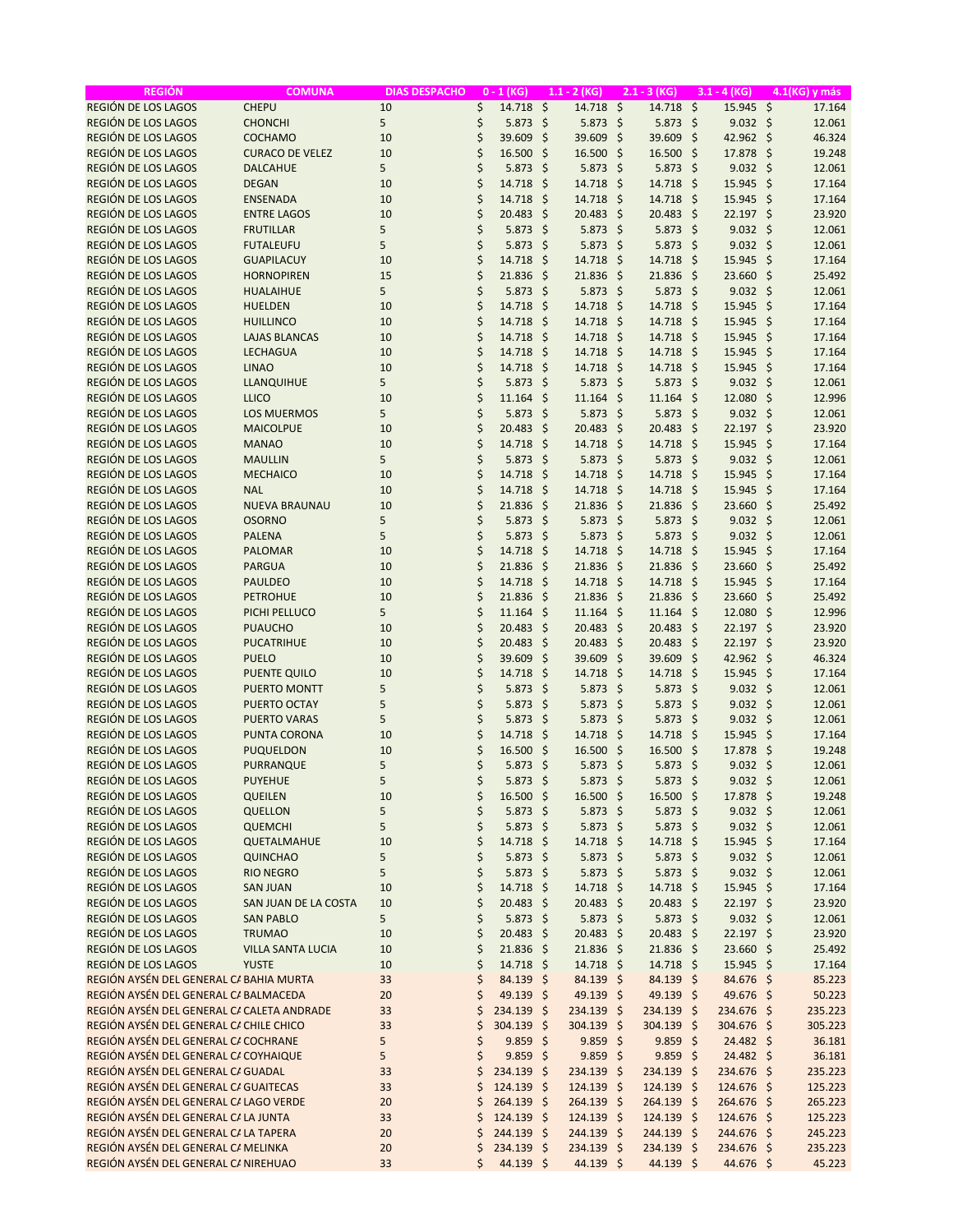| <b>REGIÓN</b>                              | <b>COMUNA</b>            | <b>DIAS DESPACHO</b> |    | $0 - 1$ (KG)      |                     | $1.1 - 2$ (KG) |      | $2.1 - 3 (KG)$ |         | $3.1 - 4 (KG)$  |         | 4.1(KG) y más |
|--------------------------------------------|--------------------------|----------------------|----|-------------------|---------------------|----------------|------|----------------|---------|-----------------|---------|---------------|
| REGIÓN DE LOS LAGOS                        | <b>CHEPU</b>             | 10                   | \$ | 14.718            | $\ddot{\mathsf{S}}$ | 14.718 \$      |      | 14.718 \$      |         | 15.945 \$       |         | 17.164        |
| REGIÓN DE LOS LAGOS                        | <b>CHONCHI</b>           | 5                    | \$ | 5.873             | \$                  | $5.873$ \$     |      | $5.873$ \$     |         | $9.032 \div$    |         | 12.061        |
| REGIÓN DE LOS LAGOS                        | <b>COCHAMO</b>           | 10                   | \$ | 39.609            | \$                  | 39.609         | -\$  | 39.609         | - \$    | 42.962 \$       |         | 46.324        |
| REGIÓN DE LOS LAGOS                        | <b>CURACO DE VELEZ</b>   | 10                   | \$ | 16.500            | \$                  | 16.500 \$      |      | $16.500$ \$    |         | 17.878 \$       |         | 19.248        |
| REGIÓN DE LOS LAGOS                        | <b>DALCAHUE</b>          | 5                    | \$ | 5.873             | $\zeta$             | 5.873          | \$   | $5.873$ \$     |         | $9.032 \div$    |         | 12.061        |
| REGIÓN DE LOS LAGOS                        | <b>DEGAN</b>             | 10                   | \$ | 14.718            | $\zeta$             | 14.718         | -\$  | 14.718         | - \$    | 15.945          | -\$     | 17.164        |
| REGIÓN DE LOS LAGOS                        | <b>ENSENADA</b>          | 10                   | \$ | 14.718            | $\mathsf{\hat{S}}$  | 14.718         | - \$ | 14.718 \$      |         | 15.945 \$       |         | 17.164        |
| REGIÓN DE LOS LAGOS                        | <b>ENTRE LAGOS</b>       | 10                   | \$ | 20.483            | \$                  | $20.483$ \$    |      | 20.483 \$      |         | 22.197 \$       |         | 23.920        |
| REGIÓN DE LOS LAGOS                        | <b>FRUTILLAR</b>         | 5                    | \$ | 5.873             | $\mathsf{\hat{S}}$  | $5.873$ \$     |      | 5.873          | - \$    | $9.032 \div$    |         | 12.061        |
| REGIÓN DE LOS LAGOS                        | <b>FUTALEUFU</b>         | 5                    | \$ | 5.873             | -\$                 | $5.873$ \$     |      | $5.873$ \$     |         | $9.032 \div$    |         | 12.061        |
| REGIÓN DE LOS LAGOS                        | <b>GUAPILACUY</b>        | 10                   | \$ | 14.718            | \$.                 | 14.718 \$      |      | 14.718 \$      |         | 15.945          | - \$    | 17.164        |
| REGIÓN DE LOS LAGOS                        | <b>HORNOPIREN</b>        | 15                   | \$ | 21.836            | $\frac{1}{2}$       | 21.836 \$      |      | 21.836 \$      |         | 23.660          | -\$     | 25.492        |
| REGIÓN DE LOS LAGOS                        | <b>HUALAIHUE</b>         | 5                    | \$ | 5.873             | $\mathsf{\hat{S}}$  | $5.873$ \$     |      | $5.873$ \$     |         | $9.032 \div$    |         | 12.061        |
| REGIÓN DE LOS LAGOS                        | <b>HUELDEN</b>           | 10                   | \$ | 14.718            | $\mathsf{\hat{S}}$  | 14.718         | - \$ | 14.718 \$      |         | 15.945          | -\$     | 17.164        |
| REGIÓN DE LOS LAGOS                        | <b>HUILLINCO</b>         | 10                   | \$ | 14.718            | \$                  | 14.718 \$      |      | 14.718         | - \$    | 15.945          | -\$     | 17.164        |
| REGIÓN DE LOS LAGOS                        | <b>LAJAS BLANCAS</b>     | 10                   | \$ | 14.718            | \$                  | 14.718         | - \$ | 14.718 \$      |         | 15.945          | \$      | 17.164        |
| REGIÓN DE LOS LAGOS                        | <b>LECHAGUA</b>          | 10                   | \$ | 14.718            | \$                  | 14.718 \$      |      | 14.718 \$      |         | 15.945          | -\$     | 17.164        |
| REGIÓN DE LOS LAGOS                        | <b>LINAO</b>             | 10                   | \$ | 14.718            | $\mathsf{S}$        | 14.718 \$      |      | 14.718 \$      |         | 15.945          | - \$    | 17.164        |
| REGIÓN DE LOS LAGOS                        | <b>LLANQUIHUE</b>        | 5                    | \$ | 5.873             | $\zeta$             | $5.873$ \$     |      | $5.873$ \$     |         | $9.032 \div$    |         | 12.061        |
| REGIÓN DE LOS LAGOS                        | <b>LLICO</b>             | 10                   | \$ | 11.164            | \$                  | 11.164         | \$   | $11.164$ \$    |         | 12.080          | $\zeta$ | 12.996        |
| REGIÓN DE LOS LAGOS                        | <b>LOS MUERMOS</b>       | 5                    | \$ | 5.873             | \$                  | $5.873$ \$     |      | $5.873$ \$     |         | $9.032 \div$    |         | 12.061        |
| REGIÓN DE LOS LAGOS                        | <b>MAICOLPUE</b>         | 10                   | \$ | 20.483            | \$                  | $20.483$ \$    |      | 20.483 \$      |         | 22.197 \$       |         | 23.920        |
| REGIÓN DE LOS LAGOS                        | <b>MANAO</b>             | 10                   | \$ | 14.718            | $\zeta$             | 14.718         | - \$ | 14.718         | - \$    | 15.945          | $\zeta$ | 17.164        |
| <b>REGIÓN DE LOS LAGOS</b>                 | <b>MAULLIN</b>           | 5                    | \$ | 5.873             | $\mathsf{\hat{S}}$  | $5.873$ \$     |      | $5.873$ \$     |         | 9.032           | \$      | 12.061        |
| REGIÓN DE LOS LAGOS                        | <b>MECHAICO</b>          | 10                   | \$ | 14.718            | $\zeta$             | 14.718         | \$.  | 14.718         | - \$    | 15.945          | -\$     | 17.164        |
| REGIÓN DE LOS LAGOS                        | <b>NAL</b>               | 10                   | \$ | 14.718            | $\zeta$             | 14.718 \$      |      | 14.718         | - \$    | 15.945          | $\zeta$ | 17.164        |
| REGIÓN DE LOS LAGOS                        | <b>NUEVA BRAUNAU</b>     | 10                   | \$ | 21.836            | \$                  | $21.836$ \$    |      | $21.836$ \$    |         | 23.660          | \$      | 25.492        |
| REGIÓN DE LOS LAGOS                        | <b>OSORNO</b>            | 5                    | \$ | 5.873             | \$                  | $5.873$ \$     |      | $5.873$ \$     |         | $9.032 \div$    |         | 12.061        |
| REGIÓN DE LOS LAGOS                        | <b>PALENA</b>            | 5                    | \$ | 5.873             | $\zeta$             | $5.873$ \$     |      | $5.873$ \$     |         | $9.032 \div$    |         | 12.061        |
| REGIÓN DE LOS LAGOS                        | <b>PALOMAR</b>           | 10                   | \$ | 14.718            | \$                  | 14.718         | -\$  | 14.718 \$      |         | 15.945          | \$      | 17.164        |
| REGIÓN DE LOS LAGOS                        | <b>PARGUA</b>            | 10                   | \$ | 21.836            | $\frac{1}{2}$       | 21.836         | -\$  | 21.836         | - \$    | 23.660          | $\zeta$ | 25.492        |
| REGIÓN DE LOS LAGOS                        | <b>PAULDEO</b>           | 10                   | \$ | 14.718            | $\zeta$             | 14.718 \$      |      | 14.718 \$      |         | 15.945          | -\$     | 17.164        |
| REGIÓN DE LOS LAGOS                        | <b>PETROHUE</b>          | 10                   | \$ | 21.836            | \$                  | 21.836         | - \$ | $21.836$ \$    |         | 23.660          | $\zeta$ | 25.492        |
| REGIÓN DE LOS LAGOS                        | PICHI PELLUCO            | 5                    | \$ | 11.164            | \$                  | $11.164$ \$    |      | $11.164$ \$    |         | 12.080          | \$      | 12.996        |
| REGIÓN DE LOS LAGOS                        | <b>PUAUCHO</b>           | 10                   | \$ | 20.483            | \$                  | 20.483 \$      |      | 20.483 \$      |         | 22.197 \$       |         | 23.920        |
| REGIÓN DE LOS LAGOS                        | <b>PUCATRIHUE</b>        | 10                   | \$ | 20.483            | \$                  | $20.483$ \$    |      | $20.483$ \$    |         | 22.197          | -\$     | 23.920        |
| REGIÓN DE LOS LAGOS                        | <b>PUELO</b>             | 10                   | \$ | 39.609            | \$                  | 39.609         | -\$  | 39.609         | $\zeta$ | 42.962 \$       |         | 46.324        |
| REGIÓN DE LOS LAGOS                        | <b>PUENTE QUILO</b>      | 10                   | \$ | 14.718            | \$                  | 14.718 \$      |      | 14.718 \$      |         | 15.945 \$       |         | 17.164        |
| REGIÓN DE LOS LAGOS                        | <b>PUERTO MONTT</b>      | 5                    | \$ | 5.873             | \$                  | $5.873$ \$     |      | $5.873$ \$     |         | $9.032 \div$    |         | 12.061        |
| REGIÓN DE LOS LAGOS                        | <b>PUERTO OCTAY</b>      | 5                    | \$ | 5.873             | \$                  | $5.873$ \$     |      | $5.873$ \$     |         | $9.032 \quad $$ |         | 12.061        |
| REGIÓN DE LOS LAGOS                        | <b>PUERTO VARAS</b>      | 5                    | \$ | 5.873             | \$                  | 5.873          | \$.  | 5.873          | - \$    | 9.032           | -\$     | 12.061        |
| REGIÓN DE LOS LAGOS                        | <b>PUNTA CORONA</b>      | 10                   | \$ | 14.718            | \$                  | 14.718         | -\$  | 14.718         | - \$    | 15.945          | -\$     | 17.164        |
| REGIÓN DE LOS LAGOS                        | <b>PUQUELDON</b>         | 10                   | \$ | 16.500            | -\$                 | 16.500 \$      |      | 16.500 \$      |         | 17.878 \$       |         | 19.248        |
| REGIÓN DE LOS LAGOS                        | <b>PURRANQUE</b>         | 5                    | \$ | 5.873             | -\$                 | $5.873$ \$     |      | $5.873$ \$     |         | $9.032 \div$    |         | 12.061        |
| REGIÓN DE LOS LAGOS                        | <b>PUYEHUE</b>           | 5                    | \$ | $5.873$ \$        |                     | $5.873$ \$     |      | $5.873$ \$     |         | $9.032 \div$    |         | 12.061        |
| REGIÓN DE LOS LAGOS                        | <b>QUEILEN</b>           | 10                   | \$ | $16.500$ \$       |                     | 16.500 \$      |      | 16.500 \$      |         | 17.878 \$       |         | 19.248        |
| REGIÓN DE LOS LAGOS                        | <b>QUELLON</b>           | 5                    | \$ | $5.873$ \$        |                     | $5.873$ \$     |      | $5.873$ \$     |         | $9.032 \div$    |         | 12.061        |
| REGIÓN DE LOS LAGOS                        | <b>QUEMCHI</b>           | 5                    | \$ | 5.873             | -\$                 | $5.873$ \$     |      | $5.873$ \$     |         | $9.032 \div$    |         | 12.061        |
| REGIÓN DE LOS LAGOS                        | QUETALMAHUE              | 10                   | \$ | 14.718            | -\$                 | 14.718 \$      |      | 14.718 \$      |         | 15.945 \$       |         | 17.164        |
| REGIÓN DE LOS LAGOS                        | <b>QUINCHAO</b>          | 5                    | \$ | $5.873$ \$        |                     | $5.873$ \$     |      | $5.873$ \$     |         | $9.032 \div$    |         | 12.061        |
| REGIÓN DE LOS LAGOS                        | <b>RIO NEGRO</b>         | 5                    | \$ | 5.873             | -\$                 | $5.873$ \$     |      | $5.873$ \$     |         | $9.032 \div$    |         | 12.061        |
| REGIÓN DE LOS LAGOS                        | <b>SAN JUAN</b>          | 10                   | \$ | $14.718 \text{ }$ |                     | 14.718 \$      |      | 14.718 \$      |         | 15.945 \$       |         | 17.164        |
| REGIÓN DE LOS LAGOS                        | SAN JUAN DE LA COSTA     | 10                   | \$ | $20.483$ \$       |                     | 20.483 \$      |      | 20.483 \$      |         | 22.197 \$       |         | 23.920        |
| REGIÓN DE LOS LAGOS                        | <b>SAN PABLO</b>         | 5                    | \$ | $5.873$ \$        |                     | $5.873$ \$     |      | $5.873$ \$     |         | $9.032 \div$    |         | 12.061        |
| REGIÓN DE LOS LAGOS                        | <b>TRUMAO</b>            | 10                   | \$ | 20.483 \$         |                     | 20.483 \$      |      | 20.483 \$      |         | 22.197 \$       |         | 23.920        |
| REGIÓN DE LOS LAGOS                        | <b>VILLA SANTA LUCIA</b> | 10                   | \$ | 21.836            | -\$                 | 21.836 \$      |      | 21.836 \$      |         | 23.660 \$       |         | 25.492        |
| REGIÓN DE LOS LAGOS                        | <b>YUSTE</b>             | 10                   | \$ | $14.718 \text{ }$ |                     | 14.718 \$      |      | 14.718 \$      |         | 15.945 \$       |         | 17.164        |
| REGIÓN AYSÉN DEL GENERAL CA BAHIA MURTA    |                          | 33                   | \$ | 84.139 \$         |                     | 84.139 \$      |      | 84.139 \$      |         | 84.676 \$       |         | 85.223        |
| REGIÓN AYSÉN DEL GENERAL CA BALMACEDA      |                          | 20                   | \$ | 49.139 \$         |                     | 49.139 \$      |      | 49.139 \$      |         | 49.676 \$       |         | 50.223        |
| REGIÓN AYSÉN DEL GENERAL CA CALETA ANDRADE |                          | 33                   | \$ | 234.139 \$        |                     | 234.139 \$     |      | 234.139 \$     |         | 234.676 \$      |         | 235.223       |
| REGIÓN AYSÉN DEL GENERAL CA CHILE CHICO    |                          | 33                   | \$ | 304.139 \$        |                     | 304.139 \$     |      | 304.139 \$     |         | 304.676 \$      |         | 305.223       |
| REGIÓN AYSÉN DEL GENERAL CA COCHRANE       |                          | 5                    | \$ | $9.859$ \$        |                     | $9.859$ \$     |      | $9.859$ \$     |         | 24.482 \$       |         | 36.181        |
| REGIÓN AYSÉN DEL GENERAL CA COYHAIQUE      |                          | 5                    | \$ | $9.859$ \$        |                     | $9.859$ \$     |      | $9.859$ \$     |         | 24.482 \$       |         | 36.181        |
| REGIÓN AYSÉN DEL GENERAL CA GUADAL         |                          | 33                   | \$ | 234.139 \$        |                     | 234.139 \$     |      | 234.139 \$     |         | 234.676 \$      |         | 235.223       |
| REGIÓN AYSÉN DEL GENERAL CA GUAITECAS      |                          | 33                   | \$ | 124.139 \$        |                     | 124.139 \$     |      | 124.139 \$     |         | 124.676 \$      |         | 125.223       |
| REGIÓN AYSÉN DEL GENERAL CA LAGO VERDE     |                          | 20                   | Ś  | 264.139 \$        |                     | 264.139 \$     |      | 264.139 \$     |         | 264.676 \$      |         | 265.223       |
| REGIÓN AYSÉN DEL GENERAL CA LA JUNTA       |                          | 33                   | \$ | 124.139 \$        |                     | 124.139 \$     |      | 124.139 \$     |         | 124.676 \$      |         | 125.223       |
| REGIÓN AYSÉN DEL GENERAL CA LA TAPERA      |                          | 20                   | \$ | 244.139 \$        |                     | 244.139 \$     |      | 244.139 \$     |         | 244.676 \$      |         | 245.223       |
| REGIÓN AYSÉN DEL GENERAL CA MELINKA        |                          | 20                   | \$ | 234.139 \$        |                     | 234.139 \$     |      | 234.139 \$     |         | 234.676 \$      |         | 235.223       |
| REGIÓN AYSÉN DEL GENERAL CA NIREHUAO       |                          | 33                   | \$ | 44.139 \$         |                     | 44.139 \$      |      | 44.139 \$      |         | 44.676 \$       |         | 45.223        |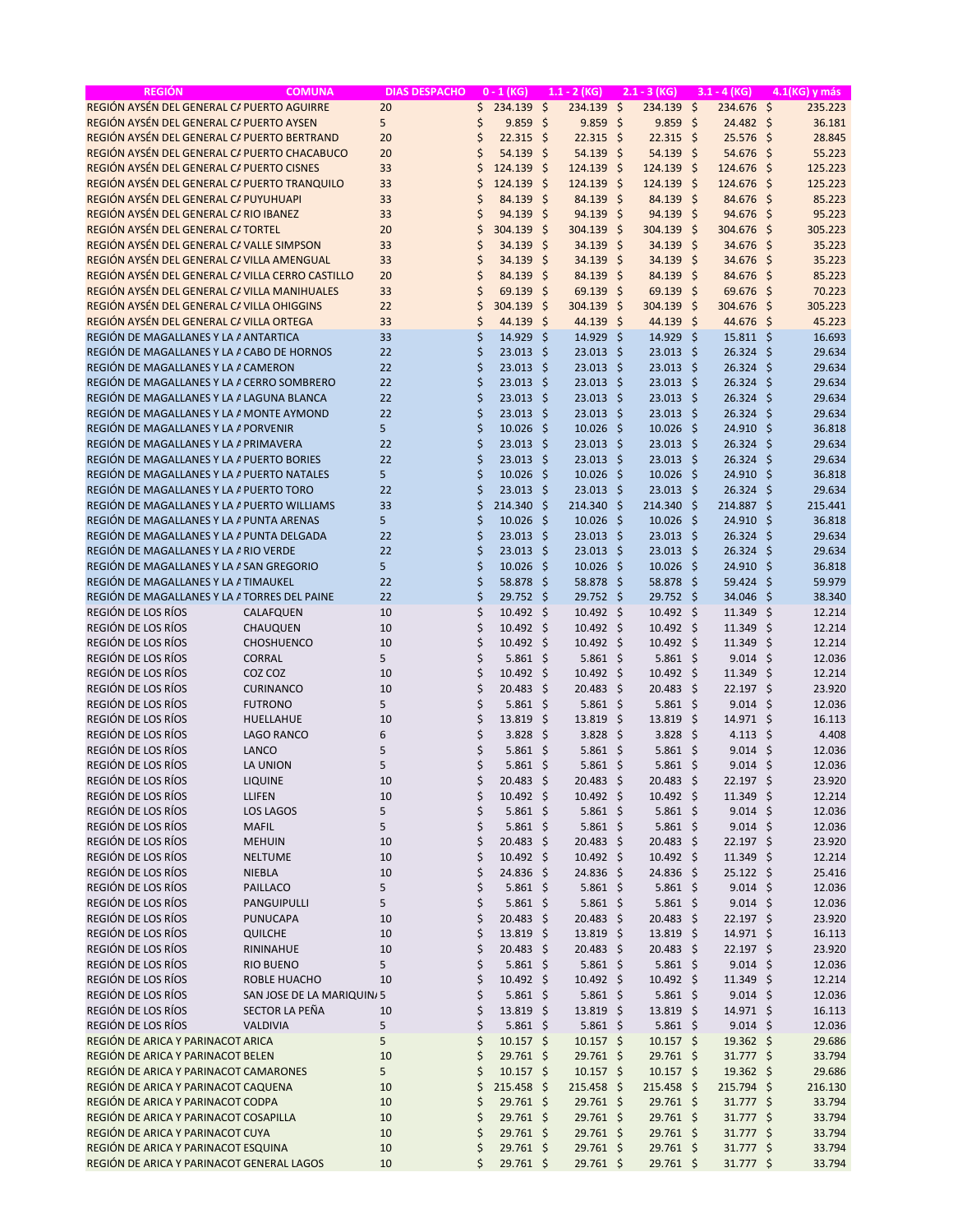| REGIÓN AYSÉN DEL GENERAL CA PUERTO AGUIRRE<br>\$<br>234.139<br>$\ddot{\mathsf{S}}$<br>234.139<br>$\ddot{\varsigma}$<br>234.139 \$<br>234.676 \$<br>235.223<br>20<br>REGIÓN AYSÉN DEL GENERAL CA PUERTO AYSEN<br>\$<br>-\$<br>9.859<br>$9.859$ \$<br>24.482 \$<br>5<br>9.859<br>- \$<br>36.181<br>REGIÓN AYSÉN DEL GENERAL CA PUERTO BERTRAND<br>\$<br>22.315<br>-\$<br>$22.315$ \$<br>$22.315$ \$<br>25.576 \$<br>28.845<br>20<br>REGIÓN AYSÉN DEL GENERAL CA PUERTO CHACABUCO<br>\$<br>54.139<br>-\$<br>54.139 \$<br>54.139 \$<br>20<br>$54.676$ \$<br>55.223<br>REGIÓN AYSÉN DEL GENERAL CA PUERTO CISNES<br>33<br>\$<br>124.139<br>124.139 \$<br>124.139 \$<br>125.223<br>\$<br>$124.676$ \$<br>$\zeta$<br>REGIÓN AYSÉN DEL GENERAL CA PUERTO TRANQUILO<br>33<br>\$<br>124.139<br>124.139<br>124.139<br>- \$<br>$\mathsf{\hat{S}}$<br>-\$<br>124.676<br>125.223<br>REGIÓN AYSÉN DEL GENERAL CA PUYUHUAPI<br>33<br>\$<br>84.139<br>\$<br>84.139 \$<br>84.139<br>- \$<br>85.223<br>84.676<br>-\$<br>REGIÓN AYSÉN DEL GENERAL CARIO IBANEZ<br>33<br>\$<br>94.139<br>$\zeta$<br>94.139<br>94.139<br>95.223<br>- \$<br>- \$<br>94.676<br>-\$<br>$\zeta$<br>REGIÓN AYSÉN DEL GENERAL CATORTEL<br>20<br>304.139<br>\$<br>304.139<br>-\$<br>304.139<br>- \$<br>304.676<br>-\$<br>305.223<br>REGIÓN AYSÉN DEL GENERAL CA VALLE SIMPSON<br>33<br>34.139<br>34.139 \$<br>35.223<br>\$<br>34.139<br>-\$<br>- \$<br>34.676<br>-\$<br>\$<br>REGIÓN AYSÉN DEL GENERAL CA VILLA AMENGUAL<br>33<br>34.139 \$<br>34.139 \$<br>34.139<br>-\$<br>34.676<br>-\$<br>35.223<br>REGIÓN AYSÉN DEL GENERAL CA VILLA CERRO CASTILLO<br>20<br>\$<br>84.139<br>\$<br>84.139<br>84.139 \$<br>85.223<br>- \$<br>84.676 \$<br>REGIÓN AYSÉN DEL GENERAL CA VILLA MANIHUALES<br>33<br>\$<br>$\zeta$<br>69.139<br>70.223<br>69.139<br>- \$<br>$69.139$ \$<br>69.676<br>-\$<br>REGIÓN AYSÉN DEL GENERAL CA VILLA OHIGGINS<br>22<br>\$<br>304.139<br>$\zeta$<br>304.139<br>304.139<br>- \$<br>305.223<br>- \$<br>304.676<br>-\$<br>REGIÓN AYSÉN DEL GENERAL CA VILLA ORTEGA<br>33<br>\$<br>44.139<br>$\zeta$<br>44.139<br>44.139 \$<br>44.676 \$<br>45.223<br>-\$<br>\$<br>REGIÓN DE MAGALLANES Y LA A ANTARTICA<br>33<br>14.929<br>14.929<br>14.929 \$<br>16.693<br>\$<br>\$<br>$15.811 \; \text{S}$<br>\$<br>REGIÓN DE MAGALLANES Y LA A CABO DE HORNOS<br>22<br>23.013<br>\$<br>$23.013$ \$<br>$23.013$ \$<br>26.324<br>-\$<br>29.634<br>\$<br>REGIÓN DE MAGALLANES Y LA A CAMERON<br>22<br>23.013<br>-\$<br>$23.013$ \$<br>23.013 \$<br>26.324<br>29.634<br>-\$<br>\$<br>REGIÓN DE MAGALLANES Y LA A CERRO SOMBRERO<br>22<br>23.013<br>$23.013 \quad $$<br>$23.013$ \$<br>26.324<br>29.634<br>-\$<br>-\$<br>\$<br>22<br>23.013<br>-\$<br>$23.013$ \$<br>$23.013$ \$<br>26.324<br>-\$<br>29.634<br>REGIÓN DE MAGALLANES Y LA A LAGUNA BLANCA<br>$\zeta$<br>REGIÓN DE MAGALLANES Y LA A MONTE AYMOND<br>22<br>23.013<br>$23.013$ \$<br>$23.013$ \$<br>26.324<br>29.634<br>-\$<br>-\$<br>5<br>\$<br>REGIÓN DE MAGALLANES Y LA APORVENIR<br>10.026<br>$10.026$ \$<br>$10.026$ \$<br>24.910<br>36.818<br>-\$<br>-\$<br>\$<br>REGIÓN DE MAGALLANES Y LA A PRIMAVERA<br>22<br>23.013<br>-\$<br>23.013 \$<br>$23.013$ \$<br>26.324<br>-\$<br>29.634<br>\$<br>22<br>$23.013$ \$<br>$23.013$ \$<br>REGIÓN DE MAGALLANES Y LA A PUERTO BORIES<br>23.013<br>-\$<br>26.324<br>-\$<br>29.634<br>\$<br>REGIÓN DE MAGALLANES Y LA A PUERTO NATALES<br>5<br>10.026<br>-\$<br>$10.026$ \$<br>10.026<br>36.818<br>- \$<br>24.910<br>-\$<br>REGIÓN DE MAGALLANES Y LA A PUERTO TORO<br>\$<br>23.013<br>-\$<br>$23.013$ \$<br>$23.013$ \$<br>26.324<br>29.634<br>22<br>-\$<br>$\zeta$<br>214.340<br>214.340<br>214.340 \$<br>214.887<br>REGIÓN DE MAGALLANES Y LA A PUERTO WILLIAMS<br>33<br>\$<br>- \$<br>-\$<br>215.441<br>5<br>\$<br>10.026<br>\$<br>$10.026$ \$<br>$10.026$ \$<br>24.910<br>$\zeta$<br>36.818<br>REGIÓN DE MAGALLANES Y LA A PUNTA ARENAS<br>\$<br>REGIÓN DE MAGALLANES Y LA A PUNTA DELGADA<br>22<br>23.013<br>-\$<br>23.013 \$<br>23.013 \$<br>26.324<br>29.634<br>-\$<br>\$<br>REGIÓN DE MAGALLANES Y LA ARIO VERDE<br>22<br>23.013<br>$23.013$ \$<br>$23.013$ \$<br>26.324<br>29.634<br>-\$<br>-\$<br>5<br>\$<br>REGIÓN DE MAGALLANES Y LA A SAN GREGORIO<br>10.026<br>\$<br>$10.026$ \$<br>$10.026$ \$<br>24.910<br>-\$<br>36.818<br>REGIÓN DE MAGALLANES Y LA ATIMAUKEL<br>22<br>\$<br>58.878<br>58.878 \$<br>58.878 \$<br>59.979<br>-\$<br>59.424<br>-\$<br>\$<br>REGIÓN DE MAGALLANES Y LA ATORRES DEL PAINE<br>22<br>29.752 \$<br>29.752 \$<br>29.752<br>-\$<br>34.046<br>-\$<br>38.340<br>REGIÓN DE LOS RÍOS<br>\$<br>10<br>10.492<br>-\$<br>10.492 \$<br>10.492 \$<br>11.349<br>S.<br>12.214<br>CALAFQUEN<br>REGIÓN DE LOS RÍOS<br>\$<br>10.492<br>$10.492 \div$<br>$10.492 \div$<br>11.349<br>12.214<br>CHAUQUEN<br>10<br>-\$<br>-\$<br>REGIÓN DE LOS RÍOS<br>\$<br><b>CHOSHUENCO</b><br>$10.492 \div$<br>10.492 \$<br>12.214<br>10<br>10.492<br>-\$<br>11.349<br>-\$<br>REGIÓN DE LOS RÍOS<br><b>CORRAL</b><br>5<br>\$<br>5.861<br>$5.861$ \$<br>$5.861$ \$<br>$9.014$ \$<br>12.036<br>-\$<br>REGIÓN DE LOS RÍOS<br>\$<br>$10.492 \div$<br>COZ COZ<br>10<br>10.492<br>-\$<br>$10.492 \div$<br>11.349<br>-\$<br>12.214<br>REGIÓN DE LOS RÍOS<br>\$<br><b>CURINANCO</b><br>20.483<br>-\$<br>20.483 \$<br>20.483 \$<br>22.197 \$<br>23.920<br>10<br>REGIÓN DE LOS RÍOS<br>\$<br><b>FUTRONO</b><br>5<br>5.861<br>-\$<br>$5.861$ \$<br>$5.861$ \$<br>$9.014$ \$<br>12.036<br>REGIÓN DE LOS RÍOS<br>\$<br>13.819<br>13.819<br>13.819<br>HUELLAHUE<br>10<br>\$<br>- \$<br>- \$<br>$14.971 \;$ \$<br>16.113<br>REGIÓN DE LOS RÍOS<br><b>LAGO RANCO</b><br>\$<br>-\$<br>$3.828$ \$<br>3.828<br>- \$<br>6<br>3.828<br>4.113 \$<br>4.408<br>REGIÓN DE LOS RÍOS<br>LANCO<br>5<br>\$<br>$5.861$ \$<br>$5.861$ \$<br>$5.861$ \$<br>12.036<br>$9.014 \text{ }$<br>REGIÓN DE LOS RÍOS<br>5<br>\$<br>$5.861$ \$<br>12.036<br>LA UNION<br>$5.861$ \$<br>$5.861$ \$<br>$9.014 \; \text{S}$<br>REGIÓN DE LOS RÍOS<br>\$<br>20.483 \$<br>20.483 \$<br>20.483 \$<br>$22.197$ \$<br>23.920<br>LIQUINE<br>10<br>REGIÓN DE LOS RÍOS<br>\$<br>10.492 \$<br>10.492 \$<br>11.349 \$<br>12.214<br>LLIFEN<br>10<br>$10.492 \div$<br>REGIÓN DE LOS RÍOS<br>5<br>\$<br>$5.861$ \$<br>LOS LAGOS<br>$5.861$ \$<br>$5.861$ \$<br>$9.014$ \$<br>12.036<br>REGIÓN DE LOS RÍOS<br>\$<br><b>MAFIL</b><br>5<br>$5.861$ \$<br>$5.861$ \$<br>$5.861$ \$<br>$9.014$ \$<br>12.036<br>REGIÓN DE LOS RÍOS<br>\$<br><b>MEHUIN</b><br>10<br>$20.483$ \$<br>$20.483$ \$<br>20.483 \$<br>$22.197$ \$<br>23.920<br>REGIÓN DE LOS RÍOS<br>\$<br>$10.492 \div$<br>$10.492 \div$<br>10.492 \$<br><b>NELTUME</b><br>10<br>$11.349$ \$<br>12.214<br>REGIÓN DE LOS RÍOS<br>\$<br>10<br>24.836 \$<br>24.836 \$<br>24.836 \$<br>25.416<br><b>NIEBLA</b><br>$25.122$ \$<br>REGIÓN DE LOS RÍOS<br>\$<br>5<br>$5.861$ \$<br>$5.861$ \$<br>$5.861$ \$<br>$9.014$ \$<br>PAILLACO<br>12.036<br>REGIÓN DE LOS RÍOS<br>5<br>\$<br><b>PANGUIPULLI</b><br>$5.861$ \$<br>$5.861$ \$<br>$5.861$ \$<br>$9.014 \div$<br>12.036<br>REGIÓN DE LOS RÍOS<br>\$<br>20.483 \$<br>20.483 \$<br><b>PUNUCAPA</b><br>10<br>$20.483$ \$<br>$22.197$ \$<br>23.920<br>REGIÓN DE LOS RÍOS<br>\$<br>13.819 \$<br>13.819 \$<br>13.819 \$<br>QUILCHE<br>10<br>14.971 \$<br>16.113<br>REGIÓN DE LOS RÍOS<br>\$<br>20.483<br>-\$<br>20.483 \$<br>20.483 \$<br>22.197 \$<br>RININAHUE<br>10<br>23.920<br>REGIÓN DE LOS RÍOS<br>\$<br><b>RIO BUENO</b><br>5<br>$5.861$ \$<br>$5.861$ \$<br>$5.861$ \$<br>$9.014$ \$<br>12.036<br>REGIÓN DE LOS RÍOS<br>\$<br>10.492 \$<br>ROBLE HUACHO<br>10<br>$10.492 \div$<br>$10.492 \div$<br>$11.349 \; \text{S}$<br>12.214<br>REGIÓN DE LOS RÍOS<br>\$<br>$5.861$ \$<br>$5.861$ \$<br>$5.861$ \$<br>$9.014$ \$<br>SAN JOSE DE LA MARIQUIN, 5<br>12.036<br>REGIÓN DE LOS RÍOS<br>\$<br>SECTOR LA PEÑA<br>13.819<br>13.819 \$<br>13.819 \$<br>10<br>-\$<br>$14.971 \; \text{S}$<br>16.113<br>REGIÓN DE LOS RÍOS<br>\$<br>5<br>$5.861$ \$<br>$5.861$ \$<br>$5.861$ \$<br><b>VALDIVIA</b><br>$9.014 \; \text{S}$<br>12.036<br>REGIÓN DE ARICA Y PARINACOT ARICA<br>5<br>\$<br>$10.157$ \$<br>$10.157$ \$<br>$10.157$ \$<br>$19.362 \div$<br>29.686<br>\$<br>REGIÓN DE ARICA Y PARINACOT BELEN<br>29.761 \$<br>29.761 \$<br>29.761 \$<br>10<br>$31.777$ \$<br>33.794<br>\$<br>REGIÓN DE ARICA Y PARINACOT CAMARONES<br>5<br>$10.157$ \$<br>$10.157$ \$<br>$10.157$ \$<br>19.362 \$<br>29.686<br>REGIÓN DE ARICA Y PARINACOT CAQUENA<br>\$<br>215.458 \$<br>215.458 \$<br>215.458 \$<br>10<br>215.794 \$<br>216.130<br>\$<br>REGIÓN DE ARICA Y PARINACOT CODPA<br>10<br>29.761 \$<br>29.761 \$<br>29.761 \$<br>$31.777$ \$<br>33.794 | <b>REGIÓN</b> | <b>COMUNA</b> | <b>DIAS DESPACHO</b> | $0 - 1$ (KG) | $1.1 - 2$ (KG) | $2.1 - 3 (KG)$ | $3.1 - 4 (KG)$ | 4.1(KG) y más |
|------------------------------------------------------------------------------------------------------------------------------------------------------------------------------------------------------------------------------------------------------------------------------------------------------------------------------------------------------------------------------------------------------------------------------------------------------------------------------------------------------------------------------------------------------------------------------------------------------------------------------------------------------------------------------------------------------------------------------------------------------------------------------------------------------------------------------------------------------------------------------------------------------------------------------------------------------------------------------------------------------------------------------------------------------------------------------------------------------------------------------------------------------------------------------------------------------------------------------------------------------------------------------------------------------------------------------------------------------------------------------------------------------------------------------------------------------------------------------------------------------------------------------------------------------------------------------------------------------------------------------------------------------------------------------------------------------------------------------------------------------------------------------------------------------------------------------------------------------------------------------------------------------------------------------------------------------------------------------------------------------------------------------------------------------------------------------------------------------------------------------------------------------------------------------------------------------------------------------------------------------------------------------------------------------------------------------------------------------------------------------------------------------------------------------------------------------------------------------------------------------------------------------------------------------------------------------------------------------------------------------------------------------------------------------------------------------------------------------------------------------------------------------------------------------------------------------------------------------------------------------------------------------------------------------------------------------------------------------------------------------------------------------------------------------------------------------------------------------------------------------------------------------------------------------------------------------------------------------------------------------------------------------------------------------------------------------------------------------------------------------------------------------------------------------------------------------------------------------------------------------------------------------------------------------------------------------------------------------------------------------------------------------------------------------------------------------------------------------------------------------------------------------------------------------------------------------------------------------------------------------------------------------------------------------------------------------------------------------------------------------------------------------------------------------------------------------------------------------------------------------------------------------------------------------------------------------------------------------------------------------------------------------------------------------------------------------------------------------------------------------------------------------------------------------------------------------------------------------------------------------------------------------------------------------------------------------------------------------------------------------------------------------------------------------------------------------------------------------------------------------------------------------------------------------------------------------------------------------------------------------------------------------------------------------------------------------------------------------------------------------------------------------------------------------------------------------------------------------------------------------------------------------------------------------------------------------------------------------------------------------------------------------------------------------------------------------------------------------------------------------------------------------------------------------------------------------------------------------------------------------------------------------------------------------------------------------------------------------------------------------------------------------------------------------------------------------------------------------------------------------------------------------------------------------------------------------------------------------------------------------------------------------------------------------------------------------------------------------------------------------------------------------------------------------------------------------------------------------------------------------------------------------------------------------------------------------------------------------------------------------------------------------------------------------------------------------------------------------------------------------------------------------------------------------------------------------------------------------------------------------------------------------------------------------------------------------------------------------------------------------------------------------------------------------------------------------------------------------------------------------------------------------------------------------------------------------------------------------------------------------------------------------------------------------------------------------------------------------------------------------------------------------------------------------------------------------------------------------------------------------------------------------------------------------------------------------------------------------------------------------------------------------------------------------------------------------------------------------------------------------------------------------------------------------------------------------------------------------------------------------------------------------------------------------------------------------------------------------------------------------------------------------------------------------------------------------------------------------------------------------------------------------------------------------------------------------------------------------------------------------------------------------------------------------------------------------------------------------------------------------------------------------------------------------------------------------------------------------------------------------------------------------------------------------------------------------------------------------------------------------------------------------------------------------------------------------------------------------------------------------------------------------------------------------------------------------------------------------------------------------------------------------------------------------------------------------------------------------------------------------------------------------|---------------|---------------|----------------------|--------------|----------------|----------------|----------------|---------------|
|                                                                                                                                                                                                                                                                                                                                                                                                                                                                                                                                                                                                                                                                                                                                                                                                                                                                                                                                                                                                                                                                                                                                                                                                                                                                                                                                                                                                                                                                                                                                                                                                                                                                                                                                                                                                                                                                                                                                                                                                                                                                                                                                                                                                                                                                                                                                                                                                                                                                                                                                                                                                                                                                                                                                                                                                                                                                                                                                                                                                                                                                                                                                                                                                                                                                                                                                                                                                                                                                                                                                                                                                                                                                                                                                                                                                                                                                                                                                                                                                                                                                                                                                                                                                                                                                                                                                                                                                                                                                                                                                                                                                                                                                                                                                                                                                                                                                                                                                                                                                                                                                                                                                                                                                                                                                                                                                                                                                                                                                                                                                                                                                                                                                                                                                                                                                                                                                                                                                                                                                                                                                                                                                                                                                                                                                                                                                                                                                                                                                                                                                                                                                                                                                                                                                                                                                                                                                                                                                                                                                                                                                                                                                                                                                                                                                                                                                                                                                                                                                                                                                                                                                                                                                                                                                                                                                                                                                                                                                                                                                                                                                                                                                                                                                                                                                                                                                                                                                                                                                                                                                                                                                                                                      |               |               |                      |              |                |                |                |               |
|                                                                                                                                                                                                                                                                                                                                                                                                                                                                                                                                                                                                                                                                                                                                                                                                                                                                                                                                                                                                                                                                                                                                                                                                                                                                                                                                                                                                                                                                                                                                                                                                                                                                                                                                                                                                                                                                                                                                                                                                                                                                                                                                                                                                                                                                                                                                                                                                                                                                                                                                                                                                                                                                                                                                                                                                                                                                                                                                                                                                                                                                                                                                                                                                                                                                                                                                                                                                                                                                                                                                                                                                                                                                                                                                                                                                                                                                                                                                                                                                                                                                                                                                                                                                                                                                                                                                                                                                                                                                                                                                                                                                                                                                                                                                                                                                                                                                                                                                                                                                                                                                                                                                                                                                                                                                                                                                                                                                                                                                                                                                                                                                                                                                                                                                                                                                                                                                                                                                                                                                                                                                                                                                                                                                                                                                                                                                                                                                                                                                                                                                                                                                                                                                                                                                                                                                                                                                                                                                                                                                                                                                                                                                                                                                                                                                                                                                                                                                                                                                                                                                                                                                                                                                                                                                                                                                                                                                                                                                                                                                                                                                                                                                                                                                                                                                                                                                                                                                                                                                                                                                                                                                                                                      |               |               |                      |              |                |                |                |               |
|                                                                                                                                                                                                                                                                                                                                                                                                                                                                                                                                                                                                                                                                                                                                                                                                                                                                                                                                                                                                                                                                                                                                                                                                                                                                                                                                                                                                                                                                                                                                                                                                                                                                                                                                                                                                                                                                                                                                                                                                                                                                                                                                                                                                                                                                                                                                                                                                                                                                                                                                                                                                                                                                                                                                                                                                                                                                                                                                                                                                                                                                                                                                                                                                                                                                                                                                                                                                                                                                                                                                                                                                                                                                                                                                                                                                                                                                                                                                                                                                                                                                                                                                                                                                                                                                                                                                                                                                                                                                                                                                                                                                                                                                                                                                                                                                                                                                                                                                                                                                                                                                                                                                                                                                                                                                                                                                                                                                                                                                                                                                                                                                                                                                                                                                                                                                                                                                                                                                                                                                                                                                                                                                                                                                                                                                                                                                                                                                                                                                                                                                                                                                                                                                                                                                                                                                                                                                                                                                                                                                                                                                                                                                                                                                                                                                                                                                                                                                                                                                                                                                                                                                                                                                                                                                                                                                                                                                                                                                                                                                                                                                                                                                                                                                                                                                                                                                                                                                                                                                                                                                                                                                                                                      |               |               |                      |              |                |                |                |               |
|                                                                                                                                                                                                                                                                                                                                                                                                                                                                                                                                                                                                                                                                                                                                                                                                                                                                                                                                                                                                                                                                                                                                                                                                                                                                                                                                                                                                                                                                                                                                                                                                                                                                                                                                                                                                                                                                                                                                                                                                                                                                                                                                                                                                                                                                                                                                                                                                                                                                                                                                                                                                                                                                                                                                                                                                                                                                                                                                                                                                                                                                                                                                                                                                                                                                                                                                                                                                                                                                                                                                                                                                                                                                                                                                                                                                                                                                                                                                                                                                                                                                                                                                                                                                                                                                                                                                                                                                                                                                                                                                                                                                                                                                                                                                                                                                                                                                                                                                                                                                                                                                                                                                                                                                                                                                                                                                                                                                                                                                                                                                                                                                                                                                                                                                                                                                                                                                                                                                                                                                                                                                                                                                                                                                                                                                                                                                                                                                                                                                                                                                                                                                                                                                                                                                                                                                                                                                                                                                                                                                                                                                                                                                                                                                                                                                                                                                                                                                                                                                                                                                                                                                                                                                                                                                                                                                                                                                                                                                                                                                                                                                                                                                                                                                                                                                                                                                                                                                                                                                                                                                                                                                                                                      |               |               |                      |              |                |                |                |               |
|                                                                                                                                                                                                                                                                                                                                                                                                                                                                                                                                                                                                                                                                                                                                                                                                                                                                                                                                                                                                                                                                                                                                                                                                                                                                                                                                                                                                                                                                                                                                                                                                                                                                                                                                                                                                                                                                                                                                                                                                                                                                                                                                                                                                                                                                                                                                                                                                                                                                                                                                                                                                                                                                                                                                                                                                                                                                                                                                                                                                                                                                                                                                                                                                                                                                                                                                                                                                                                                                                                                                                                                                                                                                                                                                                                                                                                                                                                                                                                                                                                                                                                                                                                                                                                                                                                                                                                                                                                                                                                                                                                                                                                                                                                                                                                                                                                                                                                                                                                                                                                                                                                                                                                                                                                                                                                                                                                                                                                                                                                                                                                                                                                                                                                                                                                                                                                                                                                                                                                                                                                                                                                                                                                                                                                                                                                                                                                                                                                                                                                                                                                                                                                                                                                                                                                                                                                                                                                                                                                                                                                                                                                                                                                                                                                                                                                                                                                                                                                                                                                                                                                                                                                                                                                                                                                                                                                                                                                                                                                                                                                                                                                                                                                                                                                                                                                                                                                                                                                                                                                                                                                                                                                                      |               |               |                      |              |                |                |                |               |
|                                                                                                                                                                                                                                                                                                                                                                                                                                                                                                                                                                                                                                                                                                                                                                                                                                                                                                                                                                                                                                                                                                                                                                                                                                                                                                                                                                                                                                                                                                                                                                                                                                                                                                                                                                                                                                                                                                                                                                                                                                                                                                                                                                                                                                                                                                                                                                                                                                                                                                                                                                                                                                                                                                                                                                                                                                                                                                                                                                                                                                                                                                                                                                                                                                                                                                                                                                                                                                                                                                                                                                                                                                                                                                                                                                                                                                                                                                                                                                                                                                                                                                                                                                                                                                                                                                                                                                                                                                                                                                                                                                                                                                                                                                                                                                                                                                                                                                                                                                                                                                                                                                                                                                                                                                                                                                                                                                                                                                                                                                                                                                                                                                                                                                                                                                                                                                                                                                                                                                                                                                                                                                                                                                                                                                                                                                                                                                                                                                                                                                                                                                                                                                                                                                                                                                                                                                                                                                                                                                                                                                                                                                                                                                                                                                                                                                                                                                                                                                                                                                                                                                                                                                                                                                                                                                                                                                                                                                                                                                                                                                                                                                                                                                                                                                                                                                                                                                                                                                                                                                                                                                                                                                                      |               |               |                      |              |                |                |                |               |
|                                                                                                                                                                                                                                                                                                                                                                                                                                                                                                                                                                                                                                                                                                                                                                                                                                                                                                                                                                                                                                                                                                                                                                                                                                                                                                                                                                                                                                                                                                                                                                                                                                                                                                                                                                                                                                                                                                                                                                                                                                                                                                                                                                                                                                                                                                                                                                                                                                                                                                                                                                                                                                                                                                                                                                                                                                                                                                                                                                                                                                                                                                                                                                                                                                                                                                                                                                                                                                                                                                                                                                                                                                                                                                                                                                                                                                                                                                                                                                                                                                                                                                                                                                                                                                                                                                                                                                                                                                                                                                                                                                                                                                                                                                                                                                                                                                                                                                                                                                                                                                                                                                                                                                                                                                                                                                                                                                                                                                                                                                                                                                                                                                                                                                                                                                                                                                                                                                                                                                                                                                                                                                                                                                                                                                                                                                                                                                                                                                                                                                                                                                                                                                                                                                                                                                                                                                                                                                                                                                                                                                                                                                                                                                                                                                                                                                                                                                                                                                                                                                                                                                                                                                                                                                                                                                                                                                                                                                                                                                                                                                                                                                                                                                                                                                                                                                                                                                                                                                                                                                                                                                                                                                                      |               |               |                      |              |                |                |                |               |
|                                                                                                                                                                                                                                                                                                                                                                                                                                                                                                                                                                                                                                                                                                                                                                                                                                                                                                                                                                                                                                                                                                                                                                                                                                                                                                                                                                                                                                                                                                                                                                                                                                                                                                                                                                                                                                                                                                                                                                                                                                                                                                                                                                                                                                                                                                                                                                                                                                                                                                                                                                                                                                                                                                                                                                                                                                                                                                                                                                                                                                                                                                                                                                                                                                                                                                                                                                                                                                                                                                                                                                                                                                                                                                                                                                                                                                                                                                                                                                                                                                                                                                                                                                                                                                                                                                                                                                                                                                                                                                                                                                                                                                                                                                                                                                                                                                                                                                                                                                                                                                                                                                                                                                                                                                                                                                                                                                                                                                                                                                                                                                                                                                                                                                                                                                                                                                                                                                                                                                                                                                                                                                                                                                                                                                                                                                                                                                                                                                                                                                                                                                                                                                                                                                                                                                                                                                                                                                                                                                                                                                                                                                                                                                                                                                                                                                                                                                                                                                                                                                                                                                                                                                                                                                                                                                                                                                                                                                                                                                                                                                                                                                                                                                                                                                                                                                                                                                                                                                                                                                                                                                                                                                                      |               |               |                      |              |                |                |                |               |
|                                                                                                                                                                                                                                                                                                                                                                                                                                                                                                                                                                                                                                                                                                                                                                                                                                                                                                                                                                                                                                                                                                                                                                                                                                                                                                                                                                                                                                                                                                                                                                                                                                                                                                                                                                                                                                                                                                                                                                                                                                                                                                                                                                                                                                                                                                                                                                                                                                                                                                                                                                                                                                                                                                                                                                                                                                                                                                                                                                                                                                                                                                                                                                                                                                                                                                                                                                                                                                                                                                                                                                                                                                                                                                                                                                                                                                                                                                                                                                                                                                                                                                                                                                                                                                                                                                                                                                                                                                                                                                                                                                                                                                                                                                                                                                                                                                                                                                                                                                                                                                                                                                                                                                                                                                                                                                                                                                                                                                                                                                                                                                                                                                                                                                                                                                                                                                                                                                                                                                                                                                                                                                                                                                                                                                                                                                                                                                                                                                                                                                                                                                                                                                                                                                                                                                                                                                                                                                                                                                                                                                                                                                                                                                                                                                                                                                                                                                                                                                                                                                                                                                                                                                                                                                                                                                                                                                                                                                                                                                                                                                                                                                                                                                                                                                                                                                                                                                                                                                                                                                                                                                                                                                                      |               |               |                      |              |                |                |                |               |
|                                                                                                                                                                                                                                                                                                                                                                                                                                                                                                                                                                                                                                                                                                                                                                                                                                                                                                                                                                                                                                                                                                                                                                                                                                                                                                                                                                                                                                                                                                                                                                                                                                                                                                                                                                                                                                                                                                                                                                                                                                                                                                                                                                                                                                                                                                                                                                                                                                                                                                                                                                                                                                                                                                                                                                                                                                                                                                                                                                                                                                                                                                                                                                                                                                                                                                                                                                                                                                                                                                                                                                                                                                                                                                                                                                                                                                                                                                                                                                                                                                                                                                                                                                                                                                                                                                                                                                                                                                                                                                                                                                                                                                                                                                                                                                                                                                                                                                                                                                                                                                                                                                                                                                                                                                                                                                                                                                                                                                                                                                                                                                                                                                                                                                                                                                                                                                                                                                                                                                                                                                                                                                                                                                                                                                                                                                                                                                                                                                                                                                                                                                                                                                                                                                                                                                                                                                                                                                                                                                                                                                                                                                                                                                                                                                                                                                                                                                                                                                                                                                                                                                                                                                                                                                                                                                                                                                                                                                                                                                                                                                                                                                                                                                                                                                                                                                                                                                                                                                                                                                                                                                                                                                                      |               |               |                      |              |                |                |                |               |
|                                                                                                                                                                                                                                                                                                                                                                                                                                                                                                                                                                                                                                                                                                                                                                                                                                                                                                                                                                                                                                                                                                                                                                                                                                                                                                                                                                                                                                                                                                                                                                                                                                                                                                                                                                                                                                                                                                                                                                                                                                                                                                                                                                                                                                                                                                                                                                                                                                                                                                                                                                                                                                                                                                                                                                                                                                                                                                                                                                                                                                                                                                                                                                                                                                                                                                                                                                                                                                                                                                                                                                                                                                                                                                                                                                                                                                                                                                                                                                                                                                                                                                                                                                                                                                                                                                                                                                                                                                                                                                                                                                                                                                                                                                                                                                                                                                                                                                                                                                                                                                                                                                                                                                                                                                                                                                                                                                                                                                                                                                                                                                                                                                                                                                                                                                                                                                                                                                                                                                                                                                                                                                                                                                                                                                                                                                                                                                                                                                                                                                                                                                                                                                                                                                                                                                                                                                                                                                                                                                                                                                                                                                                                                                                                                                                                                                                                                                                                                                                                                                                                                                                                                                                                                                                                                                                                                                                                                                                                                                                                                                                                                                                                                                                                                                                                                                                                                                                                                                                                                                                                                                                                                                                      |               |               |                      |              |                |                |                |               |
|                                                                                                                                                                                                                                                                                                                                                                                                                                                                                                                                                                                                                                                                                                                                                                                                                                                                                                                                                                                                                                                                                                                                                                                                                                                                                                                                                                                                                                                                                                                                                                                                                                                                                                                                                                                                                                                                                                                                                                                                                                                                                                                                                                                                                                                                                                                                                                                                                                                                                                                                                                                                                                                                                                                                                                                                                                                                                                                                                                                                                                                                                                                                                                                                                                                                                                                                                                                                                                                                                                                                                                                                                                                                                                                                                                                                                                                                                                                                                                                                                                                                                                                                                                                                                                                                                                                                                                                                                                                                                                                                                                                                                                                                                                                                                                                                                                                                                                                                                                                                                                                                                                                                                                                                                                                                                                                                                                                                                                                                                                                                                                                                                                                                                                                                                                                                                                                                                                                                                                                                                                                                                                                                                                                                                                                                                                                                                                                                                                                                                                                                                                                                                                                                                                                                                                                                                                                                                                                                                                                                                                                                                                                                                                                                                                                                                                                                                                                                                                                                                                                                                                                                                                                                                                                                                                                                                                                                                                                                                                                                                                                                                                                                                                                                                                                                                                                                                                                                                                                                                                                                                                                                                                                      |               |               |                      |              |                |                |                |               |
|                                                                                                                                                                                                                                                                                                                                                                                                                                                                                                                                                                                                                                                                                                                                                                                                                                                                                                                                                                                                                                                                                                                                                                                                                                                                                                                                                                                                                                                                                                                                                                                                                                                                                                                                                                                                                                                                                                                                                                                                                                                                                                                                                                                                                                                                                                                                                                                                                                                                                                                                                                                                                                                                                                                                                                                                                                                                                                                                                                                                                                                                                                                                                                                                                                                                                                                                                                                                                                                                                                                                                                                                                                                                                                                                                                                                                                                                                                                                                                                                                                                                                                                                                                                                                                                                                                                                                                                                                                                                                                                                                                                                                                                                                                                                                                                                                                                                                                                                                                                                                                                                                                                                                                                                                                                                                                                                                                                                                                                                                                                                                                                                                                                                                                                                                                                                                                                                                                                                                                                                                                                                                                                                                                                                                                                                                                                                                                                                                                                                                                                                                                                                                                                                                                                                                                                                                                                                                                                                                                                                                                                                                                                                                                                                                                                                                                                                                                                                                                                                                                                                                                                                                                                                                                                                                                                                                                                                                                                                                                                                                                                                                                                                                                                                                                                                                                                                                                                                                                                                                                                                                                                                                                                      |               |               |                      |              |                |                |                |               |
|                                                                                                                                                                                                                                                                                                                                                                                                                                                                                                                                                                                                                                                                                                                                                                                                                                                                                                                                                                                                                                                                                                                                                                                                                                                                                                                                                                                                                                                                                                                                                                                                                                                                                                                                                                                                                                                                                                                                                                                                                                                                                                                                                                                                                                                                                                                                                                                                                                                                                                                                                                                                                                                                                                                                                                                                                                                                                                                                                                                                                                                                                                                                                                                                                                                                                                                                                                                                                                                                                                                                                                                                                                                                                                                                                                                                                                                                                                                                                                                                                                                                                                                                                                                                                                                                                                                                                                                                                                                                                                                                                                                                                                                                                                                                                                                                                                                                                                                                                                                                                                                                                                                                                                                                                                                                                                                                                                                                                                                                                                                                                                                                                                                                                                                                                                                                                                                                                                                                                                                                                                                                                                                                                                                                                                                                                                                                                                                                                                                                                                                                                                                                                                                                                                                                                                                                                                                                                                                                                                                                                                                                                                                                                                                                                                                                                                                                                                                                                                                                                                                                                                                                                                                                                                                                                                                                                                                                                                                                                                                                                                                                                                                                                                                                                                                                                                                                                                                                                                                                                                                                                                                                                                                      |               |               |                      |              |                |                |                |               |
|                                                                                                                                                                                                                                                                                                                                                                                                                                                                                                                                                                                                                                                                                                                                                                                                                                                                                                                                                                                                                                                                                                                                                                                                                                                                                                                                                                                                                                                                                                                                                                                                                                                                                                                                                                                                                                                                                                                                                                                                                                                                                                                                                                                                                                                                                                                                                                                                                                                                                                                                                                                                                                                                                                                                                                                                                                                                                                                                                                                                                                                                                                                                                                                                                                                                                                                                                                                                                                                                                                                                                                                                                                                                                                                                                                                                                                                                                                                                                                                                                                                                                                                                                                                                                                                                                                                                                                                                                                                                                                                                                                                                                                                                                                                                                                                                                                                                                                                                                                                                                                                                                                                                                                                                                                                                                                                                                                                                                                                                                                                                                                                                                                                                                                                                                                                                                                                                                                                                                                                                                                                                                                                                                                                                                                                                                                                                                                                                                                                                                                                                                                                                                                                                                                                                                                                                                                                                                                                                                                                                                                                                                                                                                                                                                                                                                                                                                                                                                                                                                                                                                                                                                                                                                                                                                                                                                                                                                                                                                                                                                                                                                                                                                                                                                                                                                                                                                                                                                                                                                                                                                                                                                                                      |               |               |                      |              |                |                |                |               |
|                                                                                                                                                                                                                                                                                                                                                                                                                                                                                                                                                                                                                                                                                                                                                                                                                                                                                                                                                                                                                                                                                                                                                                                                                                                                                                                                                                                                                                                                                                                                                                                                                                                                                                                                                                                                                                                                                                                                                                                                                                                                                                                                                                                                                                                                                                                                                                                                                                                                                                                                                                                                                                                                                                                                                                                                                                                                                                                                                                                                                                                                                                                                                                                                                                                                                                                                                                                                                                                                                                                                                                                                                                                                                                                                                                                                                                                                                                                                                                                                                                                                                                                                                                                                                                                                                                                                                                                                                                                                                                                                                                                                                                                                                                                                                                                                                                                                                                                                                                                                                                                                                                                                                                                                                                                                                                                                                                                                                                                                                                                                                                                                                                                                                                                                                                                                                                                                                                                                                                                                                                                                                                                                                                                                                                                                                                                                                                                                                                                                                                                                                                                                                                                                                                                                                                                                                                                                                                                                                                                                                                                                                                                                                                                                                                                                                                                                                                                                                                                                                                                                                                                                                                                                                                                                                                                                                                                                                                                                                                                                                                                                                                                                                                                                                                                                                                                                                                                                                                                                                                                                                                                                                                                      |               |               |                      |              |                |                |                |               |
|                                                                                                                                                                                                                                                                                                                                                                                                                                                                                                                                                                                                                                                                                                                                                                                                                                                                                                                                                                                                                                                                                                                                                                                                                                                                                                                                                                                                                                                                                                                                                                                                                                                                                                                                                                                                                                                                                                                                                                                                                                                                                                                                                                                                                                                                                                                                                                                                                                                                                                                                                                                                                                                                                                                                                                                                                                                                                                                                                                                                                                                                                                                                                                                                                                                                                                                                                                                                                                                                                                                                                                                                                                                                                                                                                                                                                                                                                                                                                                                                                                                                                                                                                                                                                                                                                                                                                                                                                                                                                                                                                                                                                                                                                                                                                                                                                                                                                                                                                                                                                                                                                                                                                                                                                                                                                                                                                                                                                                                                                                                                                                                                                                                                                                                                                                                                                                                                                                                                                                                                                                                                                                                                                                                                                                                                                                                                                                                                                                                                                                                                                                                                                                                                                                                                                                                                                                                                                                                                                                                                                                                                                                                                                                                                                                                                                                                                                                                                                                                                                                                                                                                                                                                                                                                                                                                                                                                                                                                                                                                                                                                                                                                                                                                                                                                                                                                                                                                                                                                                                                                                                                                                                                                      |               |               |                      |              |                |                |                |               |
|                                                                                                                                                                                                                                                                                                                                                                                                                                                                                                                                                                                                                                                                                                                                                                                                                                                                                                                                                                                                                                                                                                                                                                                                                                                                                                                                                                                                                                                                                                                                                                                                                                                                                                                                                                                                                                                                                                                                                                                                                                                                                                                                                                                                                                                                                                                                                                                                                                                                                                                                                                                                                                                                                                                                                                                                                                                                                                                                                                                                                                                                                                                                                                                                                                                                                                                                                                                                                                                                                                                                                                                                                                                                                                                                                                                                                                                                                                                                                                                                                                                                                                                                                                                                                                                                                                                                                                                                                                                                                                                                                                                                                                                                                                                                                                                                                                                                                                                                                                                                                                                                                                                                                                                                                                                                                                                                                                                                                                                                                                                                                                                                                                                                                                                                                                                                                                                                                                                                                                                                                                                                                                                                                                                                                                                                                                                                                                                                                                                                                                                                                                                                                                                                                                                                                                                                                                                                                                                                                                                                                                                                                                                                                                                                                                                                                                                                                                                                                                                                                                                                                                                                                                                                                                                                                                                                                                                                                                                                                                                                                                                                                                                                                                                                                                                                                                                                                                                                                                                                                                                                                                                                                                                      |               |               |                      |              |                |                |                |               |
|                                                                                                                                                                                                                                                                                                                                                                                                                                                                                                                                                                                                                                                                                                                                                                                                                                                                                                                                                                                                                                                                                                                                                                                                                                                                                                                                                                                                                                                                                                                                                                                                                                                                                                                                                                                                                                                                                                                                                                                                                                                                                                                                                                                                                                                                                                                                                                                                                                                                                                                                                                                                                                                                                                                                                                                                                                                                                                                                                                                                                                                                                                                                                                                                                                                                                                                                                                                                                                                                                                                                                                                                                                                                                                                                                                                                                                                                                                                                                                                                                                                                                                                                                                                                                                                                                                                                                                                                                                                                                                                                                                                                                                                                                                                                                                                                                                                                                                                                                                                                                                                                                                                                                                                                                                                                                                                                                                                                                                                                                                                                                                                                                                                                                                                                                                                                                                                                                                                                                                                                                                                                                                                                                                                                                                                                                                                                                                                                                                                                                                                                                                                                                                                                                                                                                                                                                                                                                                                                                                                                                                                                                                                                                                                                                                                                                                                                                                                                                                                                                                                                                                                                                                                                                                                                                                                                                                                                                                                                                                                                                                                                                                                                                                                                                                                                                                                                                                                                                                                                                                                                                                                                                                                      |               |               |                      |              |                |                |                |               |
|                                                                                                                                                                                                                                                                                                                                                                                                                                                                                                                                                                                                                                                                                                                                                                                                                                                                                                                                                                                                                                                                                                                                                                                                                                                                                                                                                                                                                                                                                                                                                                                                                                                                                                                                                                                                                                                                                                                                                                                                                                                                                                                                                                                                                                                                                                                                                                                                                                                                                                                                                                                                                                                                                                                                                                                                                                                                                                                                                                                                                                                                                                                                                                                                                                                                                                                                                                                                                                                                                                                                                                                                                                                                                                                                                                                                                                                                                                                                                                                                                                                                                                                                                                                                                                                                                                                                                                                                                                                                                                                                                                                                                                                                                                                                                                                                                                                                                                                                                                                                                                                                                                                                                                                                                                                                                                                                                                                                                                                                                                                                                                                                                                                                                                                                                                                                                                                                                                                                                                                                                                                                                                                                                                                                                                                                                                                                                                                                                                                                                                                                                                                                                                                                                                                                                                                                                                                                                                                                                                                                                                                                                                                                                                                                                                                                                                                                                                                                                                                                                                                                                                                                                                                                                                                                                                                                                                                                                                                                                                                                                                                                                                                                                                                                                                                                                                                                                                                                                                                                                                                                                                                                                                                      |               |               |                      |              |                |                |                |               |
|                                                                                                                                                                                                                                                                                                                                                                                                                                                                                                                                                                                                                                                                                                                                                                                                                                                                                                                                                                                                                                                                                                                                                                                                                                                                                                                                                                                                                                                                                                                                                                                                                                                                                                                                                                                                                                                                                                                                                                                                                                                                                                                                                                                                                                                                                                                                                                                                                                                                                                                                                                                                                                                                                                                                                                                                                                                                                                                                                                                                                                                                                                                                                                                                                                                                                                                                                                                                                                                                                                                                                                                                                                                                                                                                                                                                                                                                                                                                                                                                                                                                                                                                                                                                                                                                                                                                                                                                                                                                                                                                                                                                                                                                                                                                                                                                                                                                                                                                                                                                                                                                                                                                                                                                                                                                                                                                                                                                                                                                                                                                                                                                                                                                                                                                                                                                                                                                                                                                                                                                                                                                                                                                                                                                                                                                                                                                                                                                                                                                                                                                                                                                                                                                                                                                                                                                                                                                                                                                                                                                                                                                                                                                                                                                                                                                                                                                                                                                                                                                                                                                                                                                                                                                                                                                                                                                                                                                                                                                                                                                                                                                                                                                                                                                                                                                                                                                                                                                                                                                                                                                                                                                                                                      |               |               |                      |              |                |                |                |               |
|                                                                                                                                                                                                                                                                                                                                                                                                                                                                                                                                                                                                                                                                                                                                                                                                                                                                                                                                                                                                                                                                                                                                                                                                                                                                                                                                                                                                                                                                                                                                                                                                                                                                                                                                                                                                                                                                                                                                                                                                                                                                                                                                                                                                                                                                                                                                                                                                                                                                                                                                                                                                                                                                                                                                                                                                                                                                                                                                                                                                                                                                                                                                                                                                                                                                                                                                                                                                                                                                                                                                                                                                                                                                                                                                                                                                                                                                                                                                                                                                                                                                                                                                                                                                                                                                                                                                                                                                                                                                                                                                                                                                                                                                                                                                                                                                                                                                                                                                                                                                                                                                                                                                                                                                                                                                                                                                                                                                                                                                                                                                                                                                                                                                                                                                                                                                                                                                                                                                                                                                                                                                                                                                                                                                                                                                                                                                                                                                                                                                                                                                                                                                                                                                                                                                                                                                                                                                                                                                                                                                                                                                                                                                                                                                                                                                                                                                                                                                                                                                                                                                                                                                                                                                                                                                                                                                                                                                                                                                                                                                                                                                                                                                                                                                                                                                                                                                                                                                                                                                                                                                                                                                                                                      |               |               |                      |              |                |                |                |               |
|                                                                                                                                                                                                                                                                                                                                                                                                                                                                                                                                                                                                                                                                                                                                                                                                                                                                                                                                                                                                                                                                                                                                                                                                                                                                                                                                                                                                                                                                                                                                                                                                                                                                                                                                                                                                                                                                                                                                                                                                                                                                                                                                                                                                                                                                                                                                                                                                                                                                                                                                                                                                                                                                                                                                                                                                                                                                                                                                                                                                                                                                                                                                                                                                                                                                                                                                                                                                                                                                                                                                                                                                                                                                                                                                                                                                                                                                                                                                                                                                                                                                                                                                                                                                                                                                                                                                                                                                                                                                                                                                                                                                                                                                                                                                                                                                                                                                                                                                                                                                                                                                                                                                                                                                                                                                                                                                                                                                                                                                                                                                                                                                                                                                                                                                                                                                                                                                                                                                                                                                                                                                                                                                                                                                                                                                                                                                                                                                                                                                                                                                                                                                                                                                                                                                                                                                                                                                                                                                                                                                                                                                                                                                                                                                                                                                                                                                                                                                                                                                                                                                                                                                                                                                                                                                                                                                                                                                                                                                                                                                                                                                                                                                                                                                                                                                                                                                                                                                                                                                                                                                                                                                                                                      |               |               |                      |              |                |                |                |               |
|                                                                                                                                                                                                                                                                                                                                                                                                                                                                                                                                                                                                                                                                                                                                                                                                                                                                                                                                                                                                                                                                                                                                                                                                                                                                                                                                                                                                                                                                                                                                                                                                                                                                                                                                                                                                                                                                                                                                                                                                                                                                                                                                                                                                                                                                                                                                                                                                                                                                                                                                                                                                                                                                                                                                                                                                                                                                                                                                                                                                                                                                                                                                                                                                                                                                                                                                                                                                                                                                                                                                                                                                                                                                                                                                                                                                                                                                                                                                                                                                                                                                                                                                                                                                                                                                                                                                                                                                                                                                                                                                                                                                                                                                                                                                                                                                                                                                                                                                                                                                                                                                                                                                                                                                                                                                                                                                                                                                                                                                                                                                                                                                                                                                                                                                                                                                                                                                                                                                                                                                                                                                                                                                                                                                                                                                                                                                                                                                                                                                                                                                                                                                                                                                                                                                                                                                                                                                                                                                                                                                                                                                                                                                                                                                                                                                                                                                                                                                                                                                                                                                                                                                                                                                                                                                                                                                                                                                                                                                                                                                                                                                                                                                                                                                                                                                                                                                                                                                                                                                                                                                                                                                                                                      |               |               |                      |              |                |                |                |               |
|                                                                                                                                                                                                                                                                                                                                                                                                                                                                                                                                                                                                                                                                                                                                                                                                                                                                                                                                                                                                                                                                                                                                                                                                                                                                                                                                                                                                                                                                                                                                                                                                                                                                                                                                                                                                                                                                                                                                                                                                                                                                                                                                                                                                                                                                                                                                                                                                                                                                                                                                                                                                                                                                                                                                                                                                                                                                                                                                                                                                                                                                                                                                                                                                                                                                                                                                                                                                                                                                                                                                                                                                                                                                                                                                                                                                                                                                                                                                                                                                                                                                                                                                                                                                                                                                                                                                                                                                                                                                                                                                                                                                                                                                                                                                                                                                                                                                                                                                                                                                                                                                                                                                                                                                                                                                                                                                                                                                                                                                                                                                                                                                                                                                                                                                                                                                                                                                                                                                                                                                                                                                                                                                                                                                                                                                                                                                                                                                                                                                                                                                                                                                                                                                                                                                                                                                                                                                                                                                                                                                                                                                                                                                                                                                                                                                                                                                                                                                                                                                                                                                                                                                                                                                                                                                                                                                                                                                                                                                                                                                                                                                                                                                                                                                                                                                                                                                                                                                                                                                                                                                                                                                                                                      |               |               |                      |              |                |                |                |               |
|                                                                                                                                                                                                                                                                                                                                                                                                                                                                                                                                                                                                                                                                                                                                                                                                                                                                                                                                                                                                                                                                                                                                                                                                                                                                                                                                                                                                                                                                                                                                                                                                                                                                                                                                                                                                                                                                                                                                                                                                                                                                                                                                                                                                                                                                                                                                                                                                                                                                                                                                                                                                                                                                                                                                                                                                                                                                                                                                                                                                                                                                                                                                                                                                                                                                                                                                                                                                                                                                                                                                                                                                                                                                                                                                                                                                                                                                                                                                                                                                                                                                                                                                                                                                                                                                                                                                                                                                                                                                                                                                                                                                                                                                                                                                                                                                                                                                                                                                                                                                                                                                                                                                                                                                                                                                                                                                                                                                                                                                                                                                                                                                                                                                                                                                                                                                                                                                                                                                                                                                                                                                                                                                                                                                                                                                                                                                                                                                                                                                                                                                                                                                                                                                                                                                                                                                                                                                                                                                                                                                                                                                                                                                                                                                                                                                                                                                                                                                                                                                                                                                                                                                                                                                                                                                                                                                                                                                                                                                                                                                                                                                                                                                                                                                                                                                                                                                                                                                                                                                                                                                                                                                                                                      |               |               |                      |              |                |                |                |               |
|                                                                                                                                                                                                                                                                                                                                                                                                                                                                                                                                                                                                                                                                                                                                                                                                                                                                                                                                                                                                                                                                                                                                                                                                                                                                                                                                                                                                                                                                                                                                                                                                                                                                                                                                                                                                                                                                                                                                                                                                                                                                                                                                                                                                                                                                                                                                                                                                                                                                                                                                                                                                                                                                                                                                                                                                                                                                                                                                                                                                                                                                                                                                                                                                                                                                                                                                                                                                                                                                                                                                                                                                                                                                                                                                                                                                                                                                                                                                                                                                                                                                                                                                                                                                                                                                                                                                                                                                                                                                                                                                                                                                                                                                                                                                                                                                                                                                                                                                                                                                                                                                                                                                                                                                                                                                                                                                                                                                                                                                                                                                                                                                                                                                                                                                                                                                                                                                                                                                                                                                                                                                                                                                                                                                                                                                                                                                                                                                                                                                                                                                                                                                                                                                                                                                                                                                                                                                                                                                                                                                                                                                                                                                                                                                                                                                                                                                                                                                                                                                                                                                                                                                                                                                                                                                                                                                                                                                                                                                                                                                                                                                                                                                                                                                                                                                                                                                                                                                                                                                                                                                                                                                                                                      |               |               |                      |              |                |                |                |               |
|                                                                                                                                                                                                                                                                                                                                                                                                                                                                                                                                                                                                                                                                                                                                                                                                                                                                                                                                                                                                                                                                                                                                                                                                                                                                                                                                                                                                                                                                                                                                                                                                                                                                                                                                                                                                                                                                                                                                                                                                                                                                                                                                                                                                                                                                                                                                                                                                                                                                                                                                                                                                                                                                                                                                                                                                                                                                                                                                                                                                                                                                                                                                                                                                                                                                                                                                                                                                                                                                                                                                                                                                                                                                                                                                                                                                                                                                                                                                                                                                                                                                                                                                                                                                                                                                                                                                                                                                                                                                                                                                                                                                                                                                                                                                                                                                                                                                                                                                                                                                                                                                                                                                                                                                                                                                                                                                                                                                                                                                                                                                                                                                                                                                                                                                                                                                                                                                                                                                                                                                                                                                                                                                                                                                                                                                                                                                                                                                                                                                                                                                                                                                                                                                                                                                                                                                                                                                                                                                                                                                                                                                                                                                                                                                                                                                                                                                                                                                                                                                                                                                                                                                                                                                                                                                                                                                                                                                                                                                                                                                                                                                                                                                                                                                                                                                                                                                                                                                                                                                                                                                                                                                                                                      |               |               |                      |              |                |                |                |               |
|                                                                                                                                                                                                                                                                                                                                                                                                                                                                                                                                                                                                                                                                                                                                                                                                                                                                                                                                                                                                                                                                                                                                                                                                                                                                                                                                                                                                                                                                                                                                                                                                                                                                                                                                                                                                                                                                                                                                                                                                                                                                                                                                                                                                                                                                                                                                                                                                                                                                                                                                                                                                                                                                                                                                                                                                                                                                                                                                                                                                                                                                                                                                                                                                                                                                                                                                                                                                                                                                                                                                                                                                                                                                                                                                                                                                                                                                                                                                                                                                                                                                                                                                                                                                                                                                                                                                                                                                                                                                                                                                                                                                                                                                                                                                                                                                                                                                                                                                                                                                                                                                                                                                                                                                                                                                                                                                                                                                                                                                                                                                                                                                                                                                                                                                                                                                                                                                                                                                                                                                                                                                                                                                                                                                                                                                                                                                                                                                                                                                                                                                                                                                                                                                                                                                                                                                                                                                                                                                                                                                                                                                                                                                                                                                                                                                                                                                                                                                                                                                                                                                                                                                                                                                                                                                                                                                                                                                                                                                                                                                                                                                                                                                                                                                                                                                                                                                                                                                                                                                                                                                                                                                                                                      |               |               |                      |              |                |                |                |               |
|                                                                                                                                                                                                                                                                                                                                                                                                                                                                                                                                                                                                                                                                                                                                                                                                                                                                                                                                                                                                                                                                                                                                                                                                                                                                                                                                                                                                                                                                                                                                                                                                                                                                                                                                                                                                                                                                                                                                                                                                                                                                                                                                                                                                                                                                                                                                                                                                                                                                                                                                                                                                                                                                                                                                                                                                                                                                                                                                                                                                                                                                                                                                                                                                                                                                                                                                                                                                                                                                                                                                                                                                                                                                                                                                                                                                                                                                                                                                                                                                                                                                                                                                                                                                                                                                                                                                                                                                                                                                                                                                                                                                                                                                                                                                                                                                                                                                                                                                                                                                                                                                                                                                                                                                                                                                                                                                                                                                                                                                                                                                                                                                                                                                                                                                                                                                                                                                                                                                                                                                                                                                                                                                                                                                                                                                                                                                                                                                                                                                                                                                                                                                                                                                                                                                                                                                                                                                                                                                                                                                                                                                                                                                                                                                                                                                                                                                                                                                                                                                                                                                                                                                                                                                                                                                                                                                                                                                                                                                                                                                                                                                                                                                                                                                                                                                                                                                                                                                                                                                                                                                                                                                                                                      |               |               |                      |              |                |                |                |               |
|                                                                                                                                                                                                                                                                                                                                                                                                                                                                                                                                                                                                                                                                                                                                                                                                                                                                                                                                                                                                                                                                                                                                                                                                                                                                                                                                                                                                                                                                                                                                                                                                                                                                                                                                                                                                                                                                                                                                                                                                                                                                                                                                                                                                                                                                                                                                                                                                                                                                                                                                                                                                                                                                                                                                                                                                                                                                                                                                                                                                                                                                                                                                                                                                                                                                                                                                                                                                                                                                                                                                                                                                                                                                                                                                                                                                                                                                                                                                                                                                                                                                                                                                                                                                                                                                                                                                                                                                                                                                                                                                                                                                                                                                                                                                                                                                                                                                                                                                                                                                                                                                                                                                                                                                                                                                                                                                                                                                                                                                                                                                                                                                                                                                                                                                                                                                                                                                                                                                                                                                                                                                                                                                                                                                                                                                                                                                                                                                                                                                                                                                                                                                                                                                                                                                                                                                                                                                                                                                                                                                                                                                                                                                                                                                                                                                                                                                                                                                                                                                                                                                                                                                                                                                                                                                                                                                                                                                                                                                                                                                                                                                                                                                                                                                                                                                                                                                                                                                                                                                                                                                                                                                                                                      |               |               |                      |              |                |                |                |               |
|                                                                                                                                                                                                                                                                                                                                                                                                                                                                                                                                                                                                                                                                                                                                                                                                                                                                                                                                                                                                                                                                                                                                                                                                                                                                                                                                                                                                                                                                                                                                                                                                                                                                                                                                                                                                                                                                                                                                                                                                                                                                                                                                                                                                                                                                                                                                                                                                                                                                                                                                                                                                                                                                                                                                                                                                                                                                                                                                                                                                                                                                                                                                                                                                                                                                                                                                                                                                                                                                                                                                                                                                                                                                                                                                                                                                                                                                                                                                                                                                                                                                                                                                                                                                                                                                                                                                                                                                                                                                                                                                                                                                                                                                                                                                                                                                                                                                                                                                                                                                                                                                                                                                                                                                                                                                                                                                                                                                                                                                                                                                                                                                                                                                                                                                                                                                                                                                                                                                                                                                                                                                                                                                                                                                                                                                                                                                                                                                                                                                                                                                                                                                                                                                                                                                                                                                                                                                                                                                                                                                                                                                                                                                                                                                                                                                                                                                                                                                                                                                                                                                                                                                                                                                                                                                                                                                                                                                                                                                                                                                                                                                                                                                                                                                                                                                                                                                                                                                                                                                                                                                                                                                                                                      |               |               |                      |              |                |                |                |               |
|                                                                                                                                                                                                                                                                                                                                                                                                                                                                                                                                                                                                                                                                                                                                                                                                                                                                                                                                                                                                                                                                                                                                                                                                                                                                                                                                                                                                                                                                                                                                                                                                                                                                                                                                                                                                                                                                                                                                                                                                                                                                                                                                                                                                                                                                                                                                                                                                                                                                                                                                                                                                                                                                                                                                                                                                                                                                                                                                                                                                                                                                                                                                                                                                                                                                                                                                                                                                                                                                                                                                                                                                                                                                                                                                                                                                                                                                                                                                                                                                                                                                                                                                                                                                                                                                                                                                                                                                                                                                                                                                                                                                                                                                                                                                                                                                                                                                                                                                                                                                                                                                                                                                                                                                                                                                                                                                                                                                                                                                                                                                                                                                                                                                                                                                                                                                                                                                                                                                                                                                                                                                                                                                                                                                                                                                                                                                                                                                                                                                                                                                                                                                                                                                                                                                                                                                                                                                                                                                                                                                                                                                                                                                                                                                                                                                                                                                                                                                                                                                                                                                                                                                                                                                                                                                                                                                                                                                                                                                                                                                                                                                                                                                                                                                                                                                                                                                                                                                                                                                                                                                                                                                                                                      |               |               |                      |              |                |                |                |               |
|                                                                                                                                                                                                                                                                                                                                                                                                                                                                                                                                                                                                                                                                                                                                                                                                                                                                                                                                                                                                                                                                                                                                                                                                                                                                                                                                                                                                                                                                                                                                                                                                                                                                                                                                                                                                                                                                                                                                                                                                                                                                                                                                                                                                                                                                                                                                                                                                                                                                                                                                                                                                                                                                                                                                                                                                                                                                                                                                                                                                                                                                                                                                                                                                                                                                                                                                                                                                                                                                                                                                                                                                                                                                                                                                                                                                                                                                                                                                                                                                                                                                                                                                                                                                                                                                                                                                                                                                                                                                                                                                                                                                                                                                                                                                                                                                                                                                                                                                                                                                                                                                                                                                                                                                                                                                                                                                                                                                                                                                                                                                                                                                                                                                                                                                                                                                                                                                                                                                                                                                                                                                                                                                                                                                                                                                                                                                                                                                                                                                                                                                                                                                                                                                                                                                                                                                                                                                                                                                                                                                                                                                                                                                                                                                                                                                                                                                                                                                                                                                                                                                                                                                                                                                                                                                                                                                                                                                                                                                                                                                                                                                                                                                                                                                                                                                                                                                                                                                                                                                                                                                                                                                                                                      |               |               |                      |              |                |                |                |               |
|                                                                                                                                                                                                                                                                                                                                                                                                                                                                                                                                                                                                                                                                                                                                                                                                                                                                                                                                                                                                                                                                                                                                                                                                                                                                                                                                                                                                                                                                                                                                                                                                                                                                                                                                                                                                                                                                                                                                                                                                                                                                                                                                                                                                                                                                                                                                                                                                                                                                                                                                                                                                                                                                                                                                                                                                                                                                                                                                                                                                                                                                                                                                                                                                                                                                                                                                                                                                                                                                                                                                                                                                                                                                                                                                                                                                                                                                                                                                                                                                                                                                                                                                                                                                                                                                                                                                                                                                                                                                                                                                                                                                                                                                                                                                                                                                                                                                                                                                                                                                                                                                                                                                                                                                                                                                                                                                                                                                                                                                                                                                                                                                                                                                                                                                                                                                                                                                                                                                                                                                                                                                                                                                                                                                                                                                                                                                                                                                                                                                                                                                                                                                                                                                                                                                                                                                                                                                                                                                                                                                                                                                                                                                                                                                                                                                                                                                                                                                                                                                                                                                                                                                                                                                                                                                                                                                                                                                                                                                                                                                                                                                                                                                                                                                                                                                                                                                                                                                                                                                                                                                                                                                                                                      |               |               |                      |              |                |                |                |               |
|                                                                                                                                                                                                                                                                                                                                                                                                                                                                                                                                                                                                                                                                                                                                                                                                                                                                                                                                                                                                                                                                                                                                                                                                                                                                                                                                                                                                                                                                                                                                                                                                                                                                                                                                                                                                                                                                                                                                                                                                                                                                                                                                                                                                                                                                                                                                                                                                                                                                                                                                                                                                                                                                                                                                                                                                                                                                                                                                                                                                                                                                                                                                                                                                                                                                                                                                                                                                                                                                                                                                                                                                                                                                                                                                                                                                                                                                                                                                                                                                                                                                                                                                                                                                                                                                                                                                                                                                                                                                                                                                                                                                                                                                                                                                                                                                                                                                                                                                                                                                                                                                                                                                                                                                                                                                                                                                                                                                                                                                                                                                                                                                                                                                                                                                                                                                                                                                                                                                                                                                                                                                                                                                                                                                                                                                                                                                                                                                                                                                                                                                                                                                                                                                                                                                                                                                                                                                                                                                                                                                                                                                                                                                                                                                                                                                                                                                                                                                                                                                                                                                                                                                                                                                                                                                                                                                                                                                                                                                                                                                                                                                                                                                                                                                                                                                                                                                                                                                                                                                                                                                                                                                                                                      |               |               |                      |              |                |                |                |               |
|                                                                                                                                                                                                                                                                                                                                                                                                                                                                                                                                                                                                                                                                                                                                                                                                                                                                                                                                                                                                                                                                                                                                                                                                                                                                                                                                                                                                                                                                                                                                                                                                                                                                                                                                                                                                                                                                                                                                                                                                                                                                                                                                                                                                                                                                                                                                                                                                                                                                                                                                                                                                                                                                                                                                                                                                                                                                                                                                                                                                                                                                                                                                                                                                                                                                                                                                                                                                                                                                                                                                                                                                                                                                                                                                                                                                                                                                                                                                                                                                                                                                                                                                                                                                                                                                                                                                                                                                                                                                                                                                                                                                                                                                                                                                                                                                                                                                                                                                                                                                                                                                                                                                                                                                                                                                                                                                                                                                                                                                                                                                                                                                                                                                                                                                                                                                                                                                                                                                                                                                                                                                                                                                                                                                                                                                                                                                                                                                                                                                                                                                                                                                                                                                                                                                                                                                                                                                                                                                                                                                                                                                                                                                                                                                                                                                                                                                                                                                                                                                                                                                                                                                                                                                                                                                                                                                                                                                                                                                                                                                                                                                                                                                                                                                                                                                                                                                                                                                                                                                                                                                                                                                                                                      |               |               |                      |              |                |                |                |               |
|                                                                                                                                                                                                                                                                                                                                                                                                                                                                                                                                                                                                                                                                                                                                                                                                                                                                                                                                                                                                                                                                                                                                                                                                                                                                                                                                                                                                                                                                                                                                                                                                                                                                                                                                                                                                                                                                                                                                                                                                                                                                                                                                                                                                                                                                                                                                                                                                                                                                                                                                                                                                                                                                                                                                                                                                                                                                                                                                                                                                                                                                                                                                                                                                                                                                                                                                                                                                                                                                                                                                                                                                                                                                                                                                                                                                                                                                                                                                                                                                                                                                                                                                                                                                                                                                                                                                                                                                                                                                                                                                                                                                                                                                                                                                                                                                                                                                                                                                                                                                                                                                                                                                                                                                                                                                                                                                                                                                                                                                                                                                                                                                                                                                                                                                                                                                                                                                                                                                                                                                                                                                                                                                                                                                                                                                                                                                                                                                                                                                                                                                                                                                                                                                                                                                                                                                                                                                                                                                                                                                                                                                                                                                                                                                                                                                                                                                                                                                                                                                                                                                                                                                                                                                                                                                                                                                                                                                                                                                                                                                                                                                                                                                                                                                                                                                                                                                                                                                                                                                                                                                                                                                                                                      |               |               |                      |              |                |                |                |               |
|                                                                                                                                                                                                                                                                                                                                                                                                                                                                                                                                                                                                                                                                                                                                                                                                                                                                                                                                                                                                                                                                                                                                                                                                                                                                                                                                                                                                                                                                                                                                                                                                                                                                                                                                                                                                                                                                                                                                                                                                                                                                                                                                                                                                                                                                                                                                                                                                                                                                                                                                                                                                                                                                                                                                                                                                                                                                                                                                                                                                                                                                                                                                                                                                                                                                                                                                                                                                                                                                                                                                                                                                                                                                                                                                                                                                                                                                                                                                                                                                                                                                                                                                                                                                                                                                                                                                                                                                                                                                                                                                                                                                                                                                                                                                                                                                                                                                                                                                                                                                                                                                                                                                                                                                                                                                                                                                                                                                                                                                                                                                                                                                                                                                                                                                                                                                                                                                                                                                                                                                                                                                                                                                                                                                                                                                                                                                                                                                                                                                                                                                                                                                                                                                                                                                                                                                                                                                                                                                                                                                                                                                                                                                                                                                                                                                                                                                                                                                                                                                                                                                                                                                                                                                                                                                                                                                                                                                                                                                                                                                                                                                                                                                                                                                                                                                                                                                                                                                                                                                                                                                                                                                                                                      |               |               |                      |              |                |                |                |               |
|                                                                                                                                                                                                                                                                                                                                                                                                                                                                                                                                                                                                                                                                                                                                                                                                                                                                                                                                                                                                                                                                                                                                                                                                                                                                                                                                                                                                                                                                                                                                                                                                                                                                                                                                                                                                                                                                                                                                                                                                                                                                                                                                                                                                                                                                                                                                                                                                                                                                                                                                                                                                                                                                                                                                                                                                                                                                                                                                                                                                                                                                                                                                                                                                                                                                                                                                                                                                                                                                                                                                                                                                                                                                                                                                                                                                                                                                                                                                                                                                                                                                                                                                                                                                                                                                                                                                                                                                                                                                                                                                                                                                                                                                                                                                                                                                                                                                                                                                                                                                                                                                                                                                                                                                                                                                                                                                                                                                                                                                                                                                                                                                                                                                                                                                                                                                                                                                                                                                                                                                                                                                                                                                                                                                                                                                                                                                                                                                                                                                                                                                                                                                                                                                                                                                                                                                                                                                                                                                                                                                                                                                                                                                                                                                                                                                                                                                                                                                                                                                                                                                                                                                                                                                                                                                                                                                                                                                                                                                                                                                                                                                                                                                                                                                                                                                                                                                                                                                                                                                                                                                                                                                                                                      |               |               |                      |              |                |                |                |               |
|                                                                                                                                                                                                                                                                                                                                                                                                                                                                                                                                                                                                                                                                                                                                                                                                                                                                                                                                                                                                                                                                                                                                                                                                                                                                                                                                                                                                                                                                                                                                                                                                                                                                                                                                                                                                                                                                                                                                                                                                                                                                                                                                                                                                                                                                                                                                                                                                                                                                                                                                                                                                                                                                                                                                                                                                                                                                                                                                                                                                                                                                                                                                                                                                                                                                                                                                                                                                                                                                                                                                                                                                                                                                                                                                                                                                                                                                                                                                                                                                                                                                                                                                                                                                                                                                                                                                                                                                                                                                                                                                                                                                                                                                                                                                                                                                                                                                                                                                                                                                                                                                                                                                                                                                                                                                                                                                                                                                                                                                                                                                                                                                                                                                                                                                                                                                                                                                                                                                                                                                                                                                                                                                                                                                                                                                                                                                                                                                                                                                                                                                                                                                                                                                                                                                                                                                                                                                                                                                                                                                                                                                                                                                                                                                                                                                                                                                                                                                                                                                                                                                                                                                                                                                                                                                                                                                                                                                                                                                                                                                                                                                                                                                                                                                                                                                                                                                                                                                                                                                                                                                                                                                                                                      |               |               |                      |              |                |                |                |               |
|                                                                                                                                                                                                                                                                                                                                                                                                                                                                                                                                                                                                                                                                                                                                                                                                                                                                                                                                                                                                                                                                                                                                                                                                                                                                                                                                                                                                                                                                                                                                                                                                                                                                                                                                                                                                                                                                                                                                                                                                                                                                                                                                                                                                                                                                                                                                                                                                                                                                                                                                                                                                                                                                                                                                                                                                                                                                                                                                                                                                                                                                                                                                                                                                                                                                                                                                                                                                                                                                                                                                                                                                                                                                                                                                                                                                                                                                                                                                                                                                                                                                                                                                                                                                                                                                                                                                                                                                                                                                                                                                                                                                                                                                                                                                                                                                                                                                                                                                                                                                                                                                                                                                                                                                                                                                                                                                                                                                                                                                                                                                                                                                                                                                                                                                                                                                                                                                                                                                                                                                                                                                                                                                                                                                                                                                                                                                                                                                                                                                                                                                                                                                                                                                                                                                                                                                                                                                                                                                                                                                                                                                                                                                                                                                                                                                                                                                                                                                                                                                                                                                                                                                                                                                                                                                                                                                                                                                                                                                                                                                                                                                                                                                                                                                                                                                                                                                                                                                                                                                                                                                                                                                                                                      |               |               |                      |              |                |                |                |               |
|                                                                                                                                                                                                                                                                                                                                                                                                                                                                                                                                                                                                                                                                                                                                                                                                                                                                                                                                                                                                                                                                                                                                                                                                                                                                                                                                                                                                                                                                                                                                                                                                                                                                                                                                                                                                                                                                                                                                                                                                                                                                                                                                                                                                                                                                                                                                                                                                                                                                                                                                                                                                                                                                                                                                                                                                                                                                                                                                                                                                                                                                                                                                                                                                                                                                                                                                                                                                                                                                                                                                                                                                                                                                                                                                                                                                                                                                                                                                                                                                                                                                                                                                                                                                                                                                                                                                                                                                                                                                                                                                                                                                                                                                                                                                                                                                                                                                                                                                                                                                                                                                                                                                                                                                                                                                                                                                                                                                                                                                                                                                                                                                                                                                                                                                                                                                                                                                                                                                                                                                                                                                                                                                                                                                                                                                                                                                                                                                                                                                                                                                                                                                                                                                                                                                                                                                                                                                                                                                                                                                                                                                                                                                                                                                                                                                                                                                                                                                                                                                                                                                                                                                                                                                                                                                                                                                                                                                                                                                                                                                                                                                                                                                                                                                                                                                                                                                                                                                                                                                                                                                                                                                                                                      |               |               |                      |              |                |                |                |               |
|                                                                                                                                                                                                                                                                                                                                                                                                                                                                                                                                                                                                                                                                                                                                                                                                                                                                                                                                                                                                                                                                                                                                                                                                                                                                                                                                                                                                                                                                                                                                                                                                                                                                                                                                                                                                                                                                                                                                                                                                                                                                                                                                                                                                                                                                                                                                                                                                                                                                                                                                                                                                                                                                                                                                                                                                                                                                                                                                                                                                                                                                                                                                                                                                                                                                                                                                                                                                                                                                                                                                                                                                                                                                                                                                                                                                                                                                                                                                                                                                                                                                                                                                                                                                                                                                                                                                                                                                                                                                                                                                                                                                                                                                                                                                                                                                                                                                                                                                                                                                                                                                                                                                                                                                                                                                                                                                                                                                                                                                                                                                                                                                                                                                                                                                                                                                                                                                                                                                                                                                                                                                                                                                                                                                                                                                                                                                                                                                                                                                                                                                                                                                                                                                                                                                                                                                                                                                                                                                                                                                                                                                                                                                                                                                                                                                                                                                                                                                                                                                                                                                                                                                                                                                                                                                                                                                                                                                                                                                                                                                                                                                                                                                                                                                                                                                                                                                                                                                                                                                                                                                                                                                                                                      |               |               |                      |              |                |                |                |               |
|                                                                                                                                                                                                                                                                                                                                                                                                                                                                                                                                                                                                                                                                                                                                                                                                                                                                                                                                                                                                                                                                                                                                                                                                                                                                                                                                                                                                                                                                                                                                                                                                                                                                                                                                                                                                                                                                                                                                                                                                                                                                                                                                                                                                                                                                                                                                                                                                                                                                                                                                                                                                                                                                                                                                                                                                                                                                                                                                                                                                                                                                                                                                                                                                                                                                                                                                                                                                                                                                                                                                                                                                                                                                                                                                                                                                                                                                                                                                                                                                                                                                                                                                                                                                                                                                                                                                                                                                                                                                                                                                                                                                                                                                                                                                                                                                                                                                                                                                                                                                                                                                                                                                                                                                                                                                                                                                                                                                                                                                                                                                                                                                                                                                                                                                                                                                                                                                                                                                                                                                                                                                                                                                                                                                                                                                                                                                                                                                                                                                                                                                                                                                                                                                                                                                                                                                                                                                                                                                                                                                                                                                                                                                                                                                                                                                                                                                                                                                                                                                                                                                                                                                                                                                                                                                                                                                                                                                                                                                                                                                                                                                                                                                                                                                                                                                                                                                                                                                                                                                                                                                                                                                                                                      |               |               |                      |              |                |                |                |               |
|                                                                                                                                                                                                                                                                                                                                                                                                                                                                                                                                                                                                                                                                                                                                                                                                                                                                                                                                                                                                                                                                                                                                                                                                                                                                                                                                                                                                                                                                                                                                                                                                                                                                                                                                                                                                                                                                                                                                                                                                                                                                                                                                                                                                                                                                                                                                                                                                                                                                                                                                                                                                                                                                                                                                                                                                                                                                                                                                                                                                                                                                                                                                                                                                                                                                                                                                                                                                                                                                                                                                                                                                                                                                                                                                                                                                                                                                                                                                                                                                                                                                                                                                                                                                                                                                                                                                                                                                                                                                                                                                                                                                                                                                                                                                                                                                                                                                                                                                                                                                                                                                                                                                                                                                                                                                                                                                                                                                                                                                                                                                                                                                                                                                                                                                                                                                                                                                                                                                                                                                                                                                                                                                                                                                                                                                                                                                                                                                                                                                                                                                                                                                                                                                                                                                                                                                                                                                                                                                                                                                                                                                                                                                                                                                                                                                                                                                                                                                                                                                                                                                                                                                                                                                                                                                                                                                                                                                                                                                                                                                                                                                                                                                                                                                                                                                                                                                                                                                                                                                                                                                                                                                                                                      |               |               |                      |              |                |                |                |               |
|                                                                                                                                                                                                                                                                                                                                                                                                                                                                                                                                                                                                                                                                                                                                                                                                                                                                                                                                                                                                                                                                                                                                                                                                                                                                                                                                                                                                                                                                                                                                                                                                                                                                                                                                                                                                                                                                                                                                                                                                                                                                                                                                                                                                                                                                                                                                                                                                                                                                                                                                                                                                                                                                                                                                                                                                                                                                                                                                                                                                                                                                                                                                                                                                                                                                                                                                                                                                                                                                                                                                                                                                                                                                                                                                                                                                                                                                                                                                                                                                                                                                                                                                                                                                                                                                                                                                                                                                                                                                                                                                                                                                                                                                                                                                                                                                                                                                                                                                                                                                                                                                                                                                                                                                                                                                                                                                                                                                                                                                                                                                                                                                                                                                                                                                                                                                                                                                                                                                                                                                                                                                                                                                                                                                                                                                                                                                                                                                                                                                                                                                                                                                                                                                                                                                                                                                                                                                                                                                                                                                                                                                                                                                                                                                                                                                                                                                                                                                                                                                                                                                                                                                                                                                                                                                                                                                                                                                                                                                                                                                                                                                                                                                                                                                                                                                                                                                                                                                                                                                                                                                                                                                                                                      |               |               |                      |              |                |                |                |               |
|                                                                                                                                                                                                                                                                                                                                                                                                                                                                                                                                                                                                                                                                                                                                                                                                                                                                                                                                                                                                                                                                                                                                                                                                                                                                                                                                                                                                                                                                                                                                                                                                                                                                                                                                                                                                                                                                                                                                                                                                                                                                                                                                                                                                                                                                                                                                                                                                                                                                                                                                                                                                                                                                                                                                                                                                                                                                                                                                                                                                                                                                                                                                                                                                                                                                                                                                                                                                                                                                                                                                                                                                                                                                                                                                                                                                                                                                                                                                                                                                                                                                                                                                                                                                                                                                                                                                                                                                                                                                                                                                                                                                                                                                                                                                                                                                                                                                                                                                                                                                                                                                                                                                                                                                                                                                                                                                                                                                                                                                                                                                                                                                                                                                                                                                                                                                                                                                                                                                                                                                                                                                                                                                                                                                                                                                                                                                                                                                                                                                                                                                                                                                                                                                                                                                                                                                                                                                                                                                                                                                                                                                                                                                                                                                                                                                                                                                                                                                                                                                                                                                                                                                                                                                                                                                                                                                                                                                                                                                                                                                                                                                                                                                                                                                                                                                                                                                                                                                                                                                                                                                                                                                                                                      |               |               |                      |              |                |                |                |               |
|                                                                                                                                                                                                                                                                                                                                                                                                                                                                                                                                                                                                                                                                                                                                                                                                                                                                                                                                                                                                                                                                                                                                                                                                                                                                                                                                                                                                                                                                                                                                                                                                                                                                                                                                                                                                                                                                                                                                                                                                                                                                                                                                                                                                                                                                                                                                                                                                                                                                                                                                                                                                                                                                                                                                                                                                                                                                                                                                                                                                                                                                                                                                                                                                                                                                                                                                                                                                                                                                                                                                                                                                                                                                                                                                                                                                                                                                                                                                                                                                                                                                                                                                                                                                                                                                                                                                                                                                                                                                                                                                                                                                                                                                                                                                                                                                                                                                                                                                                                                                                                                                                                                                                                                                                                                                                                                                                                                                                                                                                                                                                                                                                                                                                                                                                                                                                                                                                                                                                                                                                                                                                                                                                                                                                                                                                                                                                                                                                                                                                                                                                                                                                                                                                                                                                                                                                                                                                                                                                                                                                                                                                                                                                                                                                                                                                                                                                                                                                                                                                                                                                                                                                                                                                                                                                                                                                                                                                                                                                                                                                                                                                                                                                                                                                                                                                                                                                                                                                                                                                                                                                                                                                                                      |               |               |                      |              |                |                |                |               |
|                                                                                                                                                                                                                                                                                                                                                                                                                                                                                                                                                                                                                                                                                                                                                                                                                                                                                                                                                                                                                                                                                                                                                                                                                                                                                                                                                                                                                                                                                                                                                                                                                                                                                                                                                                                                                                                                                                                                                                                                                                                                                                                                                                                                                                                                                                                                                                                                                                                                                                                                                                                                                                                                                                                                                                                                                                                                                                                                                                                                                                                                                                                                                                                                                                                                                                                                                                                                                                                                                                                                                                                                                                                                                                                                                                                                                                                                                                                                                                                                                                                                                                                                                                                                                                                                                                                                                                                                                                                                                                                                                                                                                                                                                                                                                                                                                                                                                                                                                                                                                                                                                                                                                                                                                                                                                                                                                                                                                                                                                                                                                                                                                                                                                                                                                                                                                                                                                                                                                                                                                                                                                                                                                                                                                                                                                                                                                                                                                                                                                                                                                                                                                                                                                                                                                                                                                                                                                                                                                                                                                                                                                                                                                                                                                                                                                                                                                                                                                                                                                                                                                                                                                                                                                                                                                                                                                                                                                                                                                                                                                                                                                                                                                                                                                                                                                                                                                                                                                                                                                                                                                                                                                                                      |               |               |                      |              |                |                |                |               |
|                                                                                                                                                                                                                                                                                                                                                                                                                                                                                                                                                                                                                                                                                                                                                                                                                                                                                                                                                                                                                                                                                                                                                                                                                                                                                                                                                                                                                                                                                                                                                                                                                                                                                                                                                                                                                                                                                                                                                                                                                                                                                                                                                                                                                                                                                                                                                                                                                                                                                                                                                                                                                                                                                                                                                                                                                                                                                                                                                                                                                                                                                                                                                                                                                                                                                                                                                                                                                                                                                                                                                                                                                                                                                                                                                                                                                                                                                                                                                                                                                                                                                                                                                                                                                                                                                                                                                                                                                                                                                                                                                                                                                                                                                                                                                                                                                                                                                                                                                                                                                                                                                                                                                                                                                                                                                                                                                                                                                                                                                                                                                                                                                                                                                                                                                                                                                                                                                                                                                                                                                                                                                                                                                                                                                                                                                                                                                                                                                                                                                                                                                                                                                                                                                                                                                                                                                                                                                                                                                                                                                                                                                                                                                                                                                                                                                                                                                                                                                                                                                                                                                                                                                                                                                                                                                                                                                                                                                                                                                                                                                                                                                                                                                                                                                                                                                                                                                                                                                                                                                                                                                                                                                                                      |               |               |                      |              |                |                |                |               |
|                                                                                                                                                                                                                                                                                                                                                                                                                                                                                                                                                                                                                                                                                                                                                                                                                                                                                                                                                                                                                                                                                                                                                                                                                                                                                                                                                                                                                                                                                                                                                                                                                                                                                                                                                                                                                                                                                                                                                                                                                                                                                                                                                                                                                                                                                                                                                                                                                                                                                                                                                                                                                                                                                                                                                                                                                                                                                                                                                                                                                                                                                                                                                                                                                                                                                                                                                                                                                                                                                                                                                                                                                                                                                                                                                                                                                                                                                                                                                                                                                                                                                                                                                                                                                                                                                                                                                                                                                                                                                                                                                                                                                                                                                                                                                                                                                                                                                                                                                                                                                                                                                                                                                                                                                                                                                                                                                                                                                                                                                                                                                                                                                                                                                                                                                                                                                                                                                                                                                                                                                                                                                                                                                                                                                                                                                                                                                                                                                                                                                                                                                                                                                                                                                                                                                                                                                                                                                                                                                                                                                                                                                                                                                                                                                                                                                                                                                                                                                                                                                                                                                                                                                                                                                                                                                                                                                                                                                                                                                                                                                                                                                                                                                                                                                                                                                                                                                                                                                                                                                                                                                                                                                                                      |               |               |                      |              |                |                |                |               |
|                                                                                                                                                                                                                                                                                                                                                                                                                                                                                                                                                                                                                                                                                                                                                                                                                                                                                                                                                                                                                                                                                                                                                                                                                                                                                                                                                                                                                                                                                                                                                                                                                                                                                                                                                                                                                                                                                                                                                                                                                                                                                                                                                                                                                                                                                                                                                                                                                                                                                                                                                                                                                                                                                                                                                                                                                                                                                                                                                                                                                                                                                                                                                                                                                                                                                                                                                                                                                                                                                                                                                                                                                                                                                                                                                                                                                                                                                                                                                                                                                                                                                                                                                                                                                                                                                                                                                                                                                                                                                                                                                                                                                                                                                                                                                                                                                                                                                                                                                                                                                                                                                                                                                                                                                                                                                                                                                                                                                                                                                                                                                                                                                                                                                                                                                                                                                                                                                                                                                                                                                                                                                                                                                                                                                                                                                                                                                                                                                                                                                                                                                                                                                                                                                                                                                                                                                                                                                                                                                                                                                                                                                                                                                                                                                                                                                                                                                                                                                                                                                                                                                                                                                                                                                                                                                                                                                                                                                                                                                                                                                                                                                                                                                                                                                                                                                                                                                                                                                                                                                                                                                                                                                                                      |               |               |                      |              |                |                |                |               |
|                                                                                                                                                                                                                                                                                                                                                                                                                                                                                                                                                                                                                                                                                                                                                                                                                                                                                                                                                                                                                                                                                                                                                                                                                                                                                                                                                                                                                                                                                                                                                                                                                                                                                                                                                                                                                                                                                                                                                                                                                                                                                                                                                                                                                                                                                                                                                                                                                                                                                                                                                                                                                                                                                                                                                                                                                                                                                                                                                                                                                                                                                                                                                                                                                                                                                                                                                                                                                                                                                                                                                                                                                                                                                                                                                                                                                                                                                                                                                                                                                                                                                                                                                                                                                                                                                                                                                                                                                                                                                                                                                                                                                                                                                                                                                                                                                                                                                                                                                                                                                                                                                                                                                                                                                                                                                                                                                                                                                                                                                                                                                                                                                                                                                                                                                                                                                                                                                                                                                                                                                                                                                                                                                                                                                                                                                                                                                                                                                                                                                                                                                                                                                                                                                                                                                                                                                                                                                                                                                                                                                                                                                                                                                                                                                                                                                                                                                                                                                                                                                                                                                                                                                                                                                                                                                                                                                                                                                                                                                                                                                                                                                                                                                                                                                                                                                                                                                                                                                                                                                                                                                                                                                                                      |               |               |                      |              |                |                |                |               |
|                                                                                                                                                                                                                                                                                                                                                                                                                                                                                                                                                                                                                                                                                                                                                                                                                                                                                                                                                                                                                                                                                                                                                                                                                                                                                                                                                                                                                                                                                                                                                                                                                                                                                                                                                                                                                                                                                                                                                                                                                                                                                                                                                                                                                                                                                                                                                                                                                                                                                                                                                                                                                                                                                                                                                                                                                                                                                                                                                                                                                                                                                                                                                                                                                                                                                                                                                                                                                                                                                                                                                                                                                                                                                                                                                                                                                                                                                                                                                                                                                                                                                                                                                                                                                                                                                                                                                                                                                                                                                                                                                                                                                                                                                                                                                                                                                                                                                                                                                                                                                                                                                                                                                                                                                                                                                                                                                                                                                                                                                                                                                                                                                                                                                                                                                                                                                                                                                                                                                                                                                                                                                                                                                                                                                                                                                                                                                                                                                                                                                                                                                                                                                                                                                                                                                                                                                                                                                                                                                                                                                                                                                                                                                                                                                                                                                                                                                                                                                                                                                                                                                                                                                                                                                                                                                                                                                                                                                                                                                                                                                                                                                                                                                                                                                                                                                                                                                                                                                                                                                                                                                                                                                                                      |               |               |                      |              |                |                |                |               |
|                                                                                                                                                                                                                                                                                                                                                                                                                                                                                                                                                                                                                                                                                                                                                                                                                                                                                                                                                                                                                                                                                                                                                                                                                                                                                                                                                                                                                                                                                                                                                                                                                                                                                                                                                                                                                                                                                                                                                                                                                                                                                                                                                                                                                                                                                                                                                                                                                                                                                                                                                                                                                                                                                                                                                                                                                                                                                                                                                                                                                                                                                                                                                                                                                                                                                                                                                                                                                                                                                                                                                                                                                                                                                                                                                                                                                                                                                                                                                                                                                                                                                                                                                                                                                                                                                                                                                                                                                                                                                                                                                                                                                                                                                                                                                                                                                                                                                                                                                                                                                                                                                                                                                                                                                                                                                                                                                                                                                                                                                                                                                                                                                                                                                                                                                                                                                                                                                                                                                                                                                                                                                                                                                                                                                                                                                                                                                                                                                                                                                                                                                                                                                                                                                                                                                                                                                                                                                                                                                                                                                                                                                                                                                                                                                                                                                                                                                                                                                                                                                                                                                                                                                                                                                                                                                                                                                                                                                                                                                                                                                                                                                                                                                                                                                                                                                                                                                                                                                                                                                                                                                                                                                                                      |               |               |                      |              |                |                |                |               |
|                                                                                                                                                                                                                                                                                                                                                                                                                                                                                                                                                                                                                                                                                                                                                                                                                                                                                                                                                                                                                                                                                                                                                                                                                                                                                                                                                                                                                                                                                                                                                                                                                                                                                                                                                                                                                                                                                                                                                                                                                                                                                                                                                                                                                                                                                                                                                                                                                                                                                                                                                                                                                                                                                                                                                                                                                                                                                                                                                                                                                                                                                                                                                                                                                                                                                                                                                                                                                                                                                                                                                                                                                                                                                                                                                                                                                                                                                                                                                                                                                                                                                                                                                                                                                                                                                                                                                                                                                                                                                                                                                                                                                                                                                                                                                                                                                                                                                                                                                                                                                                                                                                                                                                                                                                                                                                                                                                                                                                                                                                                                                                                                                                                                                                                                                                                                                                                                                                                                                                                                                                                                                                                                                                                                                                                                                                                                                                                                                                                                                                                                                                                                                                                                                                                                                                                                                                                                                                                                                                                                                                                                                                                                                                                                                                                                                                                                                                                                                                                                                                                                                                                                                                                                                                                                                                                                                                                                                                                                                                                                                                                                                                                                                                                                                                                                                                                                                                                                                                                                                                                                                                                                                                                      |               |               |                      |              |                |                |                |               |
|                                                                                                                                                                                                                                                                                                                                                                                                                                                                                                                                                                                                                                                                                                                                                                                                                                                                                                                                                                                                                                                                                                                                                                                                                                                                                                                                                                                                                                                                                                                                                                                                                                                                                                                                                                                                                                                                                                                                                                                                                                                                                                                                                                                                                                                                                                                                                                                                                                                                                                                                                                                                                                                                                                                                                                                                                                                                                                                                                                                                                                                                                                                                                                                                                                                                                                                                                                                                                                                                                                                                                                                                                                                                                                                                                                                                                                                                                                                                                                                                                                                                                                                                                                                                                                                                                                                                                                                                                                                                                                                                                                                                                                                                                                                                                                                                                                                                                                                                                                                                                                                                                                                                                                                                                                                                                                                                                                                                                                                                                                                                                                                                                                                                                                                                                                                                                                                                                                                                                                                                                                                                                                                                                                                                                                                                                                                                                                                                                                                                                                                                                                                                                                                                                                                                                                                                                                                                                                                                                                                                                                                                                                                                                                                                                                                                                                                                                                                                                                                                                                                                                                                                                                                                                                                                                                                                                                                                                                                                                                                                                                                                                                                                                                                                                                                                                                                                                                                                                                                                                                                                                                                                                                                      |               |               |                      |              |                |                |                |               |
|                                                                                                                                                                                                                                                                                                                                                                                                                                                                                                                                                                                                                                                                                                                                                                                                                                                                                                                                                                                                                                                                                                                                                                                                                                                                                                                                                                                                                                                                                                                                                                                                                                                                                                                                                                                                                                                                                                                                                                                                                                                                                                                                                                                                                                                                                                                                                                                                                                                                                                                                                                                                                                                                                                                                                                                                                                                                                                                                                                                                                                                                                                                                                                                                                                                                                                                                                                                                                                                                                                                                                                                                                                                                                                                                                                                                                                                                                                                                                                                                                                                                                                                                                                                                                                                                                                                                                                                                                                                                                                                                                                                                                                                                                                                                                                                                                                                                                                                                                                                                                                                                                                                                                                                                                                                                                                                                                                                                                                                                                                                                                                                                                                                                                                                                                                                                                                                                                                                                                                                                                                                                                                                                                                                                                                                                                                                                                                                                                                                                                                                                                                                                                                                                                                                                                                                                                                                                                                                                                                                                                                                                                                                                                                                                                                                                                                                                                                                                                                                                                                                                                                                                                                                                                                                                                                                                                                                                                                                                                                                                                                                                                                                                                                                                                                                                                                                                                                                                                                                                                                                                                                                                                                                      |               |               |                      |              |                |                |                |               |
|                                                                                                                                                                                                                                                                                                                                                                                                                                                                                                                                                                                                                                                                                                                                                                                                                                                                                                                                                                                                                                                                                                                                                                                                                                                                                                                                                                                                                                                                                                                                                                                                                                                                                                                                                                                                                                                                                                                                                                                                                                                                                                                                                                                                                                                                                                                                                                                                                                                                                                                                                                                                                                                                                                                                                                                                                                                                                                                                                                                                                                                                                                                                                                                                                                                                                                                                                                                                                                                                                                                                                                                                                                                                                                                                                                                                                                                                                                                                                                                                                                                                                                                                                                                                                                                                                                                                                                                                                                                                                                                                                                                                                                                                                                                                                                                                                                                                                                                                                                                                                                                                                                                                                                                                                                                                                                                                                                                                                                                                                                                                                                                                                                                                                                                                                                                                                                                                                                                                                                                                                                                                                                                                                                                                                                                                                                                                                                                                                                                                                                                                                                                                                                                                                                                                                                                                                                                                                                                                                                                                                                                                                                                                                                                                                                                                                                                                                                                                                                                                                                                                                                                                                                                                                                                                                                                                                                                                                                                                                                                                                                                                                                                                                                                                                                                                                                                                                                                                                                                                                                                                                                                                                                                      |               |               |                      |              |                |                |                |               |
|                                                                                                                                                                                                                                                                                                                                                                                                                                                                                                                                                                                                                                                                                                                                                                                                                                                                                                                                                                                                                                                                                                                                                                                                                                                                                                                                                                                                                                                                                                                                                                                                                                                                                                                                                                                                                                                                                                                                                                                                                                                                                                                                                                                                                                                                                                                                                                                                                                                                                                                                                                                                                                                                                                                                                                                                                                                                                                                                                                                                                                                                                                                                                                                                                                                                                                                                                                                                                                                                                                                                                                                                                                                                                                                                                                                                                                                                                                                                                                                                                                                                                                                                                                                                                                                                                                                                                                                                                                                                                                                                                                                                                                                                                                                                                                                                                                                                                                                                                                                                                                                                                                                                                                                                                                                                                                                                                                                                                                                                                                                                                                                                                                                                                                                                                                                                                                                                                                                                                                                                                                                                                                                                                                                                                                                                                                                                                                                                                                                                                                                                                                                                                                                                                                                                                                                                                                                                                                                                                                                                                                                                                                                                                                                                                                                                                                                                                                                                                                                                                                                                                                                                                                                                                                                                                                                                                                                                                                                                                                                                                                                                                                                                                                                                                                                                                                                                                                                                                                                                                                                                                                                                                                                      |               |               |                      |              |                |                |                |               |
|                                                                                                                                                                                                                                                                                                                                                                                                                                                                                                                                                                                                                                                                                                                                                                                                                                                                                                                                                                                                                                                                                                                                                                                                                                                                                                                                                                                                                                                                                                                                                                                                                                                                                                                                                                                                                                                                                                                                                                                                                                                                                                                                                                                                                                                                                                                                                                                                                                                                                                                                                                                                                                                                                                                                                                                                                                                                                                                                                                                                                                                                                                                                                                                                                                                                                                                                                                                                                                                                                                                                                                                                                                                                                                                                                                                                                                                                                                                                                                                                                                                                                                                                                                                                                                                                                                                                                                                                                                                                                                                                                                                                                                                                                                                                                                                                                                                                                                                                                                                                                                                                                                                                                                                                                                                                                                                                                                                                                                                                                                                                                                                                                                                                                                                                                                                                                                                                                                                                                                                                                                                                                                                                                                                                                                                                                                                                                                                                                                                                                                                                                                                                                                                                                                                                                                                                                                                                                                                                                                                                                                                                                                                                                                                                                                                                                                                                                                                                                                                                                                                                                                                                                                                                                                                                                                                                                                                                                                                                                                                                                                                                                                                                                                                                                                                                                                                                                                                                                                                                                                                                                                                                                                                      |               |               |                      |              |                |                |                |               |
|                                                                                                                                                                                                                                                                                                                                                                                                                                                                                                                                                                                                                                                                                                                                                                                                                                                                                                                                                                                                                                                                                                                                                                                                                                                                                                                                                                                                                                                                                                                                                                                                                                                                                                                                                                                                                                                                                                                                                                                                                                                                                                                                                                                                                                                                                                                                                                                                                                                                                                                                                                                                                                                                                                                                                                                                                                                                                                                                                                                                                                                                                                                                                                                                                                                                                                                                                                                                                                                                                                                                                                                                                                                                                                                                                                                                                                                                                                                                                                                                                                                                                                                                                                                                                                                                                                                                                                                                                                                                                                                                                                                                                                                                                                                                                                                                                                                                                                                                                                                                                                                                                                                                                                                                                                                                                                                                                                                                                                                                                                                                                                                                                                                                                                                                                                                                                                                                                                                                                                                                                                                                                                                                                                                                                                                                                                                                                                                                                                                                                                                                                                                                                                                                                                                                                                                                                                                                                                                                                                                                                                                                                                                                                                                                                                                                                                                                                                                                                                                                                                                                                                                                                                                                                                                                                                                                                                                                                                                                                                                                                                                                                                                                                                                                                                                                                                                                                                                                                                                                                                                                                                                                                                                      |               |               |                      |              |                |                |                |               |
|                                                                                                                                                                                                                                                                                                                                                                                                                                                                                                                                                                                                                                                                                                                                                                                                                                                                                                                                                                                                                                                                                                                                                                                                                                                                                                                                                                                                                                                                                                                                                                                                                                                                                                                                                                                                                                                                                                                                                                                                                                                                                                                                                                                                                                                                                                                                                                                                                                                                                                                                                                                                                                                                                                                                                                                                                                                                                                                                                                                                                                                                                                                                                                                                                                                                                                                                                                                                                                                                                                                                                                                                                                                                                                                                                                                                                                                                                                                                                                                                                                                                                                                                                                                                                                                                                                                                                                                                                                                                                                                                                                                                                                                                                                                                                                                                                                                                                                                                                                                                                                                                                                                                                                                                                                                                                                                                                                                                                                                                                                                                                                                                                                                                                                                                                                                                                                                                                                                                                                                                                                                                                                                                                                                                                                                                                                                                                                                                                                                                                                                                                                                                                                                                                                                                                                                                                                                                                                                                                                                                                                                                                                                                                                                                                                                                                                                                                                                                                                                                                                                                                                                                                                                                                                                                                                                                                                                                                                                                                                                                                                                                                                                                                                                                                                                                                                                                                                                                                                                                                                                                                                                                                                                      |               |               |                      |              |                |                |                |               |
|                                                                                                                                                                                                                                                                                                                                                                                                                                                                                                                                                                                                                                                                                                                                                                                                                                                                                                                                                                                                                                                                                                                                                                                                                                                                                                                                                                                                                                                                                                                                                                                                                                                                                                                                                                                                                                                                                                                                                                                                                                                                                                                                                                                                                                                                                                                                                                                                                                                                                                                                                                                                                                                                                                                                                                                                                                                                                                                                                                                                                                                                                                                                                                                                                                                                                                                                                                                                                                                                                                                                                                                                                                                                                                                                                                                                                                                                                                                                                                                                                                                                                                                                                                                                                                                                                                                                                                                                                                                                                                                                                                                                                                                                                                                                                                                                                                                                                                                                                                                                                                                                                                                                                                                                                                                                                                                                                                                                                                                                                                                                                                                                                                                                                                                                                                                                                                                                                                                                                                                                                                                                                                                                                                                                                                                                                                                                                                                                                                                                                                                                                                                                                                                                                                                                                                                                                                                                                                                                                                                                                                                                                                                                                                                                                                                                                                                                                                                                                                                                                                                                                                                                                                                                                                                                                                                                                                                                                                                                                                                                                                                                                                                                                                                                                                                                                                                                                                                                                                                                                                                                                                                                                                                      |               |               |                      |              |                |                |                |               |
|                                                                                                                                                                                                                                                                                                                                                                                                                                                                                                                                                                                                                                                                                                                                                                                                                                                                                                                                                                                                                                                                                                                                                                                                                                                                                                                                                                                                                                                                                                                                                                                                                                                                                                                                                                                                                                                                                                                                                                                                                                                                                                                                                                                                                                                                                                                                                                                                                                                                                                                                                                                                                                                                                                                                                                                                                                                                                                                                                                                                                                                                                                                                                                                                                                                                                                                                                                                                                                                                                                                                                                                                                                                                                                                                                                                                                                                                                                                                                                                                                                                                                                                                                                                                                                                                                                                                                                                                                                                                                                                                                                                                                                                                                                                                                                                                                                                                                                                                                                                                                                                                                                                                                                                                                                                                                                                                                                                                                                                                                                                                                                                                                                                                                                                                                                                                                                                                                                                                                                                                                                                                                                                                                                                                                                                                                                                                                                                                                                                                                                                                                                                                                                                                                                                                                                                                                                                                                                                                                                                                                                                                                                                                                                                                                                                                                                                                                                                                                                                                                                                                                                                                                                                                                                                                                                                                                                                                                                                                                                                                                                                                                                                                                                                                                                                                                                                                                                                                                                                                                                                                                                                                                                                      |               |               |                      |              |                |                |                |               |
|                                                                                                                                                                                                                                                                                                                                                                                                                                                                                                                                                                                                                                                                                                                                                                                                                                                                                                                                                                                                                                                                                                                                                                                                                                                                                                                                                                                                                                                                                                                                                                                                                                                                                                                                                                                                                                                                                                                                                                                                                                                                                                                                                                                                                                                                                                                                                                                                                                                                                                                                                                                                                                                                                                                                                                                                                                                                                                                                                                                                                                                                                                                                                                                                                                                                                                                                                                                                                                                                                                                                                                                                                                                                                                                                                                                                                                                                                                                                                                                                                                                                                                                                                                                                                                                                                                                                                                                                                                                                                                                                                                                                                                                                                                                                                                                                                                                                                                                                                                                                                                                                                                                                                                                                                                                                                                                                                                                                                                                                                                                                                                                                                                                                                                                                                                                                                                                                                                                                                                                                                                                                                                                                                                                                                                                                                                                                                                                                                                                                                                                                                                                                                                                                                                                                                                                                                                                                                                                                                                                                                                                                                                                                                                                                                                                                                                                                                                                                                                                                                                                                                                                                                                                                                                                                                                                                                                                                                                                                                                                                                                                                                                                                                                                                                                                                                                                                                                                                                                                                                                                                                                                                                                                      |               |               |                      |              |                |                |                |               |
|                                                                                                                                                                                                                                                                                                                                                                                                                                                                                                                                                                                                                                                                                                                                                                                                                                                                                                                                                                                                                                                                                                                                                                                                                                                                                                                                                                                                                                                                                                                                                                                                                                                                                                                                                                                                                                                                                                                                                                                                                                                                                                                                                                                                                                                                                                                                                                                                                                                                                                                                                                                                                                                                                                                                                                                                                                                                                                                                                                                                                                                                                                                                                                                                                                                                                                                                                                                                                                                                                                                                                                                                                                                                                                                                                                                                                                                                                                                                                                                                                                                                                                                                                                                                                                                                                                                                                                                                                                                                                                                                                                                                                                                                                                                                                                                                                                                                                                                                                                                                                                                                                                                                                                                                                                                                                                                                                                                                                                                                                                                                                                                                                                                                                                                                                                                                                                                                                                                                                                                                                                                                                                                                                                                                                                                                                                                                                                                                                                                                                                                                                                                                                                                                                                                                                                                                                                                                                                                                                                                                                                                                                                                                                                                                                                                                                                                                                                                                                                                                                                                                                                                                                                                                                                                                                                                                                                                                                                                                                                                                                                                                                                                                                                                                                                                                                                                                                                                                                                                                                                                                                                                                                                                      |               |               |                      |              |                |                |                |               |
|                                                                                                                                                                                                                                                                                                                                                                                                                                                                                                                                                                                                                                                                                                                                                                                                                                                                                                                                                                                                                                                                                                                                                                                                                                                                                                                                                                                                                                                                                                                                                                                                                                                                                                                                                                                                                                                                                                                                                                                                                                                                                                                                                                                                                                                                                                                                                                                                                                                                                                                                                                                                                                                                                                                                                                                                                                                                                                                                                                                                                                                                                                                                                                                                                                                                                                                                                                                                                                                                                                                                                                                                                                                                                                                                                                                                                                                                                                                                                                                                                                                                                                                                                                                                                                                                                                                                                                                                                                                                                                                                                                                                                                                                                                                                                                                                                                                                                                                                                                                                                                                                                                                                                                                                                                                                                                                                                                                                                                                                                                                                                                                                                                                                                                                                                                                                                                                                                                                                                                                                                                                                                                                                                                                                                                                                                                                                                                                                                                                                                                                                                                                                                                                                                                                                                                                                                                                                                                                                                                                                                                                                                                                                                                                                                                                                                                                                                                                                                                                                                                                                                                                                                                                                                                                                                                                                                                                                                                                                                                                                                                                                                                                                                                                                                                                                                                                                                                                                                                                                                                                                                                                                                                                      |               |               |                      |              |                |                |                |               |
|                                                                                                                                                                                                                                                                                                                                                                                                                                                                                                                                                                                                                                                                                                                                                                                                                                                                                                                                                                                                                                                                                                                                                                                                                                                                                                                                                                                                                                                                                                                                                                                                                                                                                                                                                                                                                                                                                                                                                                                                                                                                                                                                                                                                                                                                                                                                                                                                                                                                                                                                                                                                                                                                                                                                                                                                                                                                                                                                                                                                                                                                                                                                                                                                                                                                                                                                                                                                                                                                                                                                                                                                                                                                                                                                                                                                                                                                                                                                                                                                                                                                                                                                                                                                                                                                                                                                                                                                                                                                                                                                                                                                                                                                                                                                                                                                                                                                                                                                                                                                                                                                                                                                                                                                                                                                                                                                                                                                                                                                                                                                                                                                                                                                                                                                                                                                                                                                                                                                                                                                                                                                                                                                                                                                                                                                                                                                                                                                                                                                                                                                                                                                                                                                                                                                                                                                                                                                                                                                                                                                                                                                                                                                                                                                                                                                                                                                                                                                                                                                                                                                                                                                                                                                                                                                                                                                                                                                                                                                                                                                                                                                                                                                                                                                                                                                                                                                                                                                                                                                                                                                                                                                                                                      |               |               |                      |              |                |                |                |               |
|                                                                                                                                                                                                                                                                                                                                                                                                                                                                                                                                                                                                                                                                                                                                                                                                                                                                                                                                                                                                                                                                                                                                                                                                                                                                                                                                                                                                                                                                                                                                                                                                                                                                                                                                                                                                                                                                                                                                                                                                                                                                                                                                                                                                                                                                                                                                                                                                                                                                                                                                                                                                                                                                                                                                                                                                                                                                                                                                                                                                                                                                                                                                                                                                                                                                                                                                                                                                                                                                                                                                                                                                                                                                                                                                                                                                                                                                                                                                                                                                                                                                                                                                                                                                                                                                                                                                                                                                                                                                                                                                                                                                                                                                                                                                                                                                                                                                                                                                                                                                                                                                                                                                                                                                                                                                                                                                                                                                                                                                                                                                                                                                                                                                                                                                                                                                                                                                                                                                                                                                                                                                                                                                                                                                                                                                                                                                                                                                                                                                                                                                                                                                                                                                                                                                                                                                                                                                                                                                                                                                                                                                                                                                                                                                                                                                                                                                                                                                                                                                                                                                                                                                                                                                                                                                                                                                                                                                                                                                                                                                                                                                                                                                                                                                                                                                                                                                                                                                                                                                                                                                                                                                                                                      |               |               |                      |              |                |                |                |               |
| \$<br>REGIÓN DE ARICA Y PARINACOT COSAPILLA<br>10<br>29.761 \$<br>29.761 \$<br>29.761 \$<br>$31.777$ \$<br>33.794                                                                                                                                                                                                                                                                                                                                                                                                                                                                                                                                                                                                                                                                                                                                                                                                                                                                                                                                                                                                                                                                                                                                                                                                                                                                                                                                                                                                                                                                                                                                                                                                                                                                                                                                                                                                                                                                                                                                                                                                                                                                                                                                                                                                                                                                                                                                                                                                                                                                                                                                                                                                                                                                                                                                                                                                                                                                                                                                                                                                                                                                                                                                                                                                                                                                                                                                                                                                                                                                                                                                                                                                                                                                                                                                                                                                                                                                                                                                                                                                                                                                                                                                                                                                                                                                                                                                                                                                                                                                                                                                                                                                                                                                                                                                                                                                                                                                                                                                                                                                                                                                                                                                                                                                                                                                                                                                                                                                                                                                                                                                                                                                                                                                                                                                                                                                                                                                                                                                                                                                                                                                                                                                                                                                                                                                                                                                                                                                                                                                                                                                                                                                                                                                                                                                                                                                                                                                                                                                                                                                                                                                                                                                                                                                                                                                                                                                                                                                                                                                                                                                                                                                                                                                                                                                                                                                                                                                                                                                                                                                                                                                                                                                                                                                                                                                                                                                                                                                                                                                                                                                    |               |               |                      |              |                |                |                |               |
| \$<br>REGIÓN DE ARICA Y PARINACOT CUYA<br>29.761 \$<br>29.761 \$<br>10<br>$29.761$ \$<br>$31.777$ \$<br>33.794                                                                                                                                                                                                                                                                                                                                                                                                                                                                                                                                                                                                                                                                                                                                                                                                                                                                                                                                                                                                                                                                                                                                                                                                                                                                                                                                                                                                                                                                                                                                                                                                                                                                                                                                                                                                                                                                                                                                                                                                                                                                                                                                                                                                                                                                                                                                                                                                                                                                                                                                                                                                                                                                                                                                                                                                                                                                                                                                                                                                                                                                                                                                                                                                                                                                                                                                                                                                                                                                                                                                                                                                                                                                                                                                                                                                                                                                                                                                                                                                                                                                                                                                                                                                                                                                                                                                                                                                                                                                                                                                                                                                                                                                                                                                                                                                                                                                                                                                                                                                                                                                                                                                                                                                                                                                                                                                                                                                                                                                                                                                                                                                                                                                                                                                                                                                                                                                                                                                                                                                                                                                                                                                                                                                                                                                                                                                                                                                                                                                                                                                                                                                                                                                                                                                                                                                                                                                                                                                                                                                                                                                                                                                                                                                                                                                                                                                                                                                                                                                                                                                                                                                                                                                                                                                                                                                                                                                                                                                                                                                                                                                                                                                                                                                                                                                                                                                                                                                                                                                                                                                       |               |               |                      |              |                |                |                |               |
| \$<br>REGIÓN DE ARICA Y PARINACOT ESQUINA<br>29.761 \$<br>29.761 \$<br>29.761 \$<br>10<br>$31.777$ \$<br>33.794                                                                                                                                                                                                                                                                                                                                                                                                                                                                                                                                                                                                                                                                                                                                                                                                                                                                                                                                                                                                                                                                                                                                                                                                                                                                                                                                                                                                                                                                                                                                                                                                                                                                                                                                                                                                                                                                                                                                                                                                                                                                                                                                                                                                                                                                                                                                                                                                                                                                                                                                                                                                                                                                                                                                                                                                                                                                                                                                                                                                                                                                                                                                                                                                                                                                                                                                                                                                                                                                                                                                                                                                                                                                                                                                                                                                                                                                                                                                                                                                                                                                                                                                                                                                                                                                                                                                                                                                                                                                                                                                                                                                                                                                                                                                                                                                                                                                                                                                                                                                                                                                                                                                                                                                                                                                                                                                                                                                                                                                                                                                                                                                                                                                                                                                                                                                                                                                                                                                                                                                                                                                                                                                                                                                                                                                                                                                                                                                                                                                                                                                                                                                                                                                                                                                                                                                                                                                                                                                                                                                                                                                                                                                                                                                                                                                                                                                                                                                                                                                                                                                                                                                                                                                                                                                                                                                                                                                                                                                                                                                                                                                                                                                                                                                                                                                                                                                                                                                                                                                                                                                      |               |               |                      |              |                |                |                |               |
| REGIÓN DE ARICA Y PARINACOT GENERAL LAGOS<br>10<br>\$<br>29.761 \$<br>29.761 \$<br>29.761 \$<br>33.794<br>$31.777$ \$                                                                                                                                                                                                                                                                                                                                                                                                                                                                                                                                                                                                                                                                                                                                                                                                                                                                                                                                                                                                                                                                                                                                                                                                                                                                                                                                                                                                                                                                                                                                                                                                                                                                                                                                                                                                                                                                                                                                                                                                                                                                                                                                                                                                                                                                                                                                                                                                                                                                                                                                                                                                                                                                                                                                                                                                                                                                                                                                                                                                                                                                                                                                                                                                                                                                                                                                                                                                                                                                                                                                                                                                                                                                                                                                                                                                                                                                                                                                                                                                                                                                                                                                                                                                                                                                                                                                                                                                                                                                                                                                                                                                                                                                                                                                                                                                                                                                                                                                                                                                                                                                                                                                                                                                                                                                                                                                                                                                                                                                                                                                                                                                                                                                                                                                                                                                                                                                                                                                                                                                                                                                                                                                                                                                                                                                                                                                                                                                                                                                                                                                                                                                                                                                                                                                                                                                                                                                                                                                                                                                                                                                                                                                                                                                                                                                                                                                                                                                                                                                                                                                                                                                                                                                                                                                                                                                                                                                                                                                                                                                                                                                                                                                                                                                                                                                                                                                                                                                                                                                                                                                |               |               |                      |              |                |                |                |               |